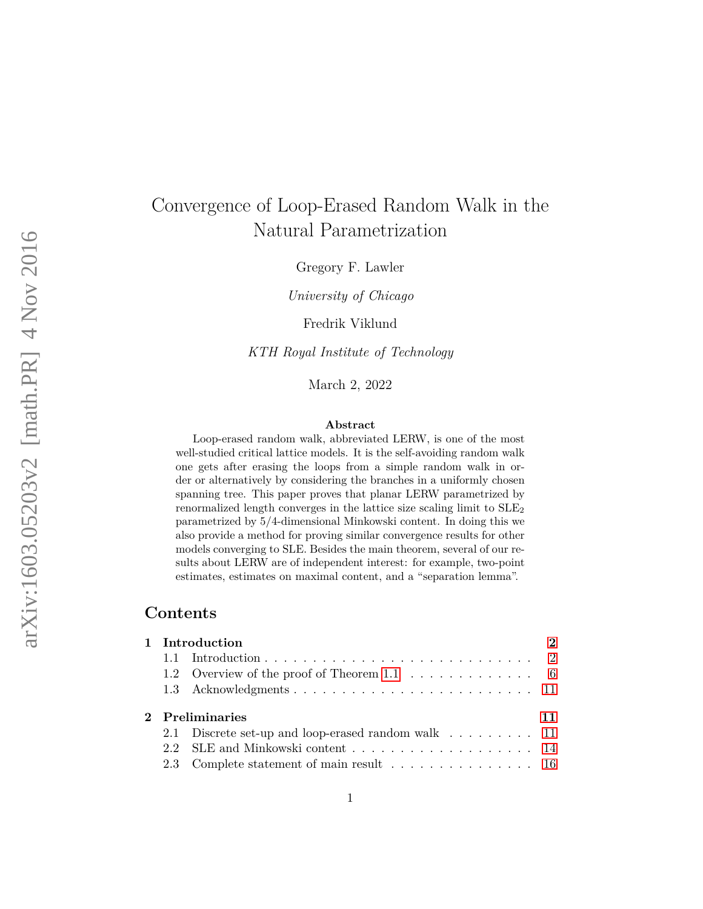# Convergence of Loop-Erased Random Walk in the Natural Parametrization

Gregory F. Lawler

*University of Chicago*

Fredrik Viklund

*KTH Royal Institute of Technology*

March 2, 2022

#### **Abstract**

Loop-erased random walk, abbreviated LERW, is one of the most well-studied critical lattice models. It is the self-avoiding random walk one gets after erasing the loops from a simple random walk in order or alternatively by considering the branches in a uniformly chosen spanning tree. This paper proves that planar LERW parametrized by renormalized length converges in the lattice size scaling limit to  $SLE<sub>2</sub>$ parametrized by 5*/*4-dimensional Minkowski content. In doing this we also provide a method for proving similar convergence results for other models converging to SLE. Besides the main theorem, several of our results about LERW are of independent interest: for example, two-point estimates, estimates on maximal content, and a "separation lemma".

# **Contents**

| 1 Introduction |                                                    |    |  |
|----------------|----------------------------------------------------|----|--|
|                |                                                    |    |  |
|                | 1.2 Overview of the proof of Theorem 1.1 6         |    |  |
|                |                                                    |    |  |
|                | 2 Preliminaries                                    | 11 |  |
|                | 2.1 Discrete set-up and loop-erased random walk 11 |    |  |
|                | 2.2 SLE and Minkowski content 14                   |    |  |
|                |                                                    |    |  |
|                |                                                    |    |  |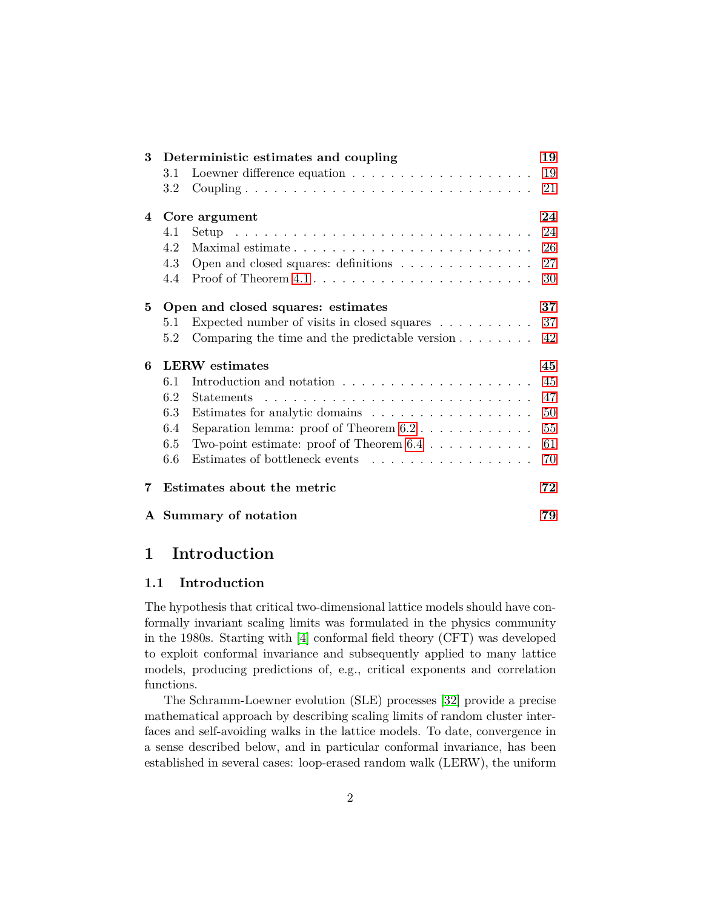| 3 |         | Deterministic estimates and coupling                                    | 19 |
|---|---------|-------------------------------------------------------------------------|----|
|   | 3.1     | Loewner difference equation $\ldots \ldots \ldots \ldots \ldots \ldots$ | 19 |
|   | $3.2\,$ |                                                                         | 21 |
| 4 |         | Core argument                                                           | 24 |
|   | 4.1     |                                                                         | 24 |
|   | 4.2     |                                                                         | 26 |
|   | 4.3     | Open and closed squares: definitions                                    | 27 |
|   | 4.4     |                                                                         | 30 |
| 5 |         | Open and closed squares: estimates                                      | 37 |
|   | 5.1     | Expected number of visits in closed squares $\dots \dots \dots$         | 37 |
|   | 5.2     | Comparing the time and the predictable version $\dots \dots$            | 42 |
| 6 |         | <b>LERW</b> estimates                                                   | 45 |
|   | 6.1     |                                                                         | 45 |
|   | 6.2     |                                                                         | 47 |
|   | 6.3     | Estimates for analytic domains                                          | 50 |
|   | 6.4     | Separation lemma: proof of Theorem $6.2 \ldots \ldots \ldots$           | 55 |
|   | 6.5     | Two-point estimate: proof of Theorem $6.4 \ldots \ldots \ldots$         | 61 |
|   | 6.6     | Estimates of bottleneck events                                          | 70 |
| 7 |         | Estimates about the metric                                              | 72 |
|   |         | A Summary of notation                                                   | 79 |

# <span id="page-1-0"></span>**1 Introduction**

#### <span id="page-1-1"></span>**1.1 Introduction**

The hypothesis that critical two-dimensional lattice models should have conformally invariant scaling limits was formulated in the physics community in the 1980s. Starting with [\[4\]](#page-79-0) conformal field theory (CFT) was developed to exploit conformal invariance and subsequently applied to many lattice models, producing predictions of, e.g., critical exponents and correlation functions.

The Schramm-Loewner evolution (SLE) processes [\[32\]](#page-81-0) provide a precise mathematical approach by describing scaling limits of random cluster interfaces and self-avoiding walks in the lattice models. To date, convergence in a sense described below, and in particular conformal invariance, has been established in several cases: loop-erased random walk (LERW), the uniform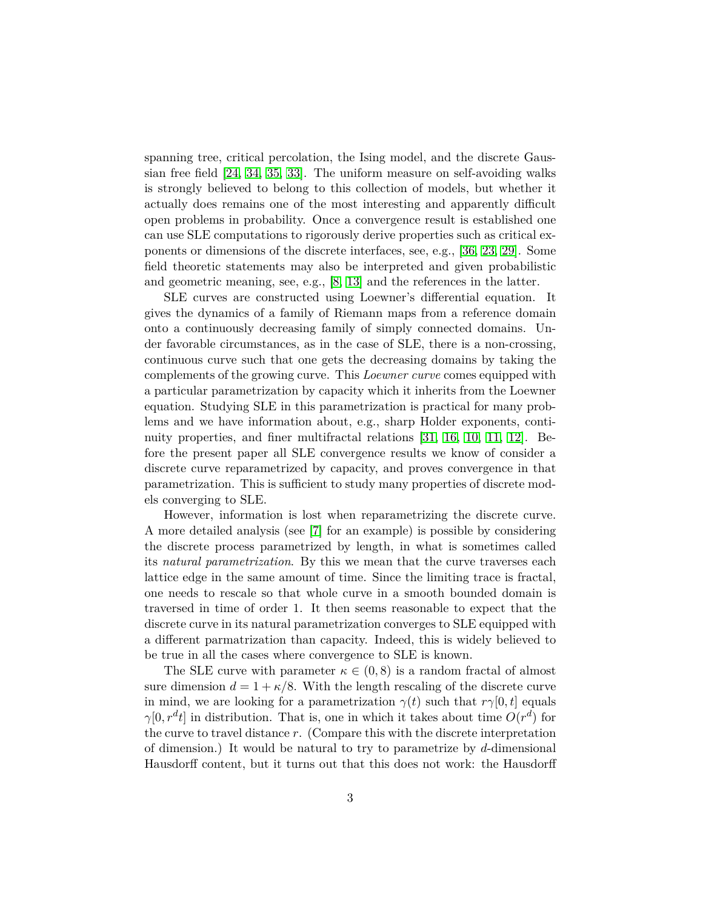spanning tree, critical percolation, the Ising model, and the discrete Gaussian free field [\[24,](#page-80-0) [34,](#page-81-1) [35,](#page-81-2) [33\]](#page-81-3). The uniform measure on self-avoiding walks is strongly believed to belong to this collection of models, but whether it actually does remains one of the most interesting and apparently difficult open problems in probability. Once a convergence result is established one can use SLE computations to rigorously derive properties such as critical exponents or dimensions of the discrete interfaces, see, e.g., [\[36,](#page-81-4) [23,](#page-80-1) [29\]](#page-81-5). Some field theoretic statements may also be interpreted and given probabilistic and geometric meaning, see, e.g., [\[8,](#page-79-1) [13\]](#page-79-2) and the references in the latter.

SLE curves are constructed using Loewner's differential equation. It gives the dynamics of a family of Riemann maps from a reference domain onto a continuously decreasing family of simply connected domains. Under favorable circumstances, as in the case of SLE, there is a non-crossing, continuous curve such that one gets the decreasing domains by taking the complements of the growing curve. This *Loewner curve* comes equipped with a particular parametrization by capacity which it inherits from the Loewner equation. Studying SLE in this parametrization is practical for many problems and we have information about, e.g., sharp Holder exponents, continuity properties, and finer multifractal relations [\[31,](#page-81-6) [16,](#page-80-2) [10,](#page-79-3) [11,](#page-79-4) [12\]](#page-79-5). Before the present paper all SLE convergence results we know of consider a discrete curve reparametrized by capacity, and proves convergence in that parametrization. This is sufficient to study many properties of discrete models converging to SLE.

However, information is lost when reparametrizing the discrete curve. A more detailed analysis (see [\[7\]](#page-79-6) for an example) is possible by considering the discrete process parametrized by length, in what is sometimes called its *natural parametrization*. By this we mean that the curve traverses each lattice edge in the same amount of time. Since the limiting trace is fractal, one needs to rescale so that whole curve in a smooth bounded domain is traversed in time of order 1. It then seems reasonable to expect that the discrete curve in its natural parametrization converges to SLE equipped with a different parmatrization than capacity. Indeed, this is widely believed to be true in all the cases where convergence to SLE is known.

The SLE curve with parameter  $\kappa \in (0,8)$  is a random fractal of almost sure dimension  $d = 1 + \kappa/8$ . With the length rescaling of the discrete curve in mind, we are looking for a parametrization  $\gamma(t)$  such that  $r\gamma[0, t]$  equals  $\gamma[0, r^d t]$  in distribution. That is, one in which it takes about time  $O(r^d)$  for the curve to travel distance *r*. (Compare this with the discrete interpretation of dimension.) It would be natural to try to parametrize by *d*-dimensional Hausdorff content, but it turns out that this does not work: the Hausdorff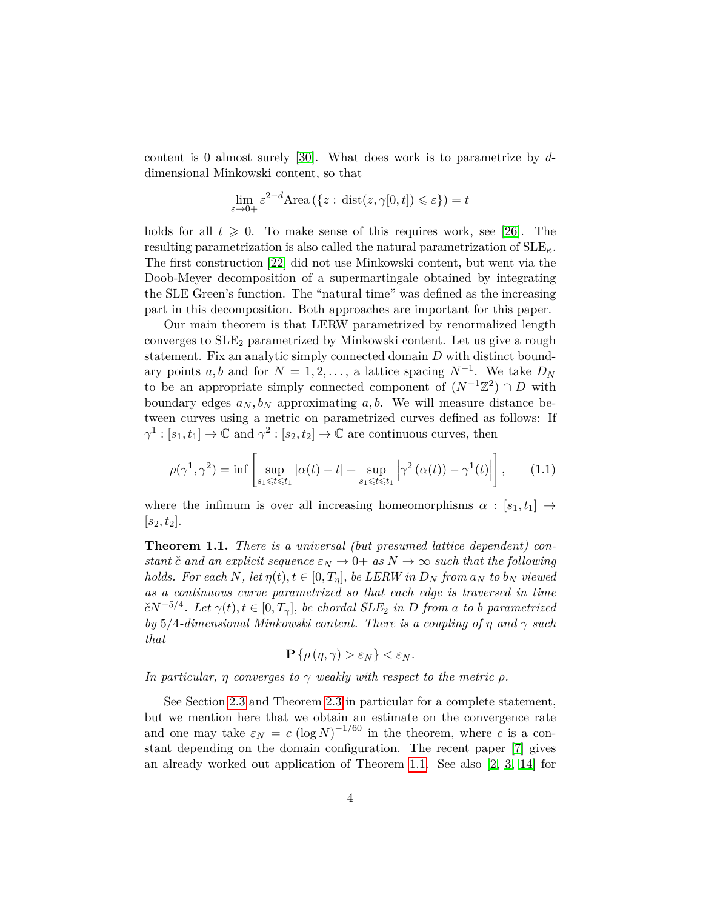content is 0 almost surely [\[30\]](#page-81-7). What does work is to parametrize by *d*dimensional Minkowski content, so that

$$
\lim_{\varepsilon \to 0+} \varepsilon^{2-d} \text{Area}(\{z : \text{dist}(z, \gamma[0, t]) \leq \varepsilon\}) = t
$$

holds for all  $t \geqslant 0$ . To make sense of this requires work, see [\[26\]](#page-80-3). The resulting parametrization is also called the natural parametrization of SLE*κ*. The first construction [\[22\]](#page-80-4) did not use Minkowski content, but went via the Doob-Meyer decomposition of a supermartingale obtained by integrating the SLE Green's function. The "natural time" was defined as the increasing part in this decomposition. Both approaches are important for this paper.

Our main theorem is that LERW parametrized by renormalized length converges to  $SLE<sub>2</sub>$  parametrized by Minkowski content. Let us give a rough statement. Fix an analytic simply connected domain *D* with distinct boundary points *a, b* and for  $N = 1, 2, \ldots$ , a lattice spacing  $N^{-1}$ . We take  $D_N$ to be an appropriate simply connected component of  $(N^{-1}\mathbb{Z}^2) \cap D$  with boundary edges  $a_N, b_N$  approximating  $a, b$ . We will measure distance between curves using a metric on parametrized curves defined as follows: If  $\gamma^1 : [s_1, t_1] \to \mathbb{C}$  and  $\gamma^2 : [s_2, t_2] \to \mathbb{C}$  are continuous curves, then

<span id="page-3-1"></span>
$$
\rho(\gamma^1, \gamma^2) = \inf \left[ \sup_{s_1 \leq t \leq t_1} |\alpha(t) - t| + \sup_{s_1 \leq t \leq t_1} |\gamma^2(\alpha(t)) - \gamma^1(t)| \right], \qquad (1.1)
$$

where the infimum is over all increasing homeomorphisms  $\alpha : [s_1, t_1] \rightarrow$  $|s_2, t_2|$ .

<span id="page-3-0"></span>**Theorem 1.1.** *There is a universal (but presumed lattice dependent) constant*  $\check{c}$  *and an explicit sequence*  $\varepsilon_N \to 0+$  *as*  $N \to \infty$  *such that the following holds.* For each  $N$ *, let*  $\eta(t)$ *,*  $t \in [0, T_{\eta}]$ *, be LERW in*  $D_N$  *from*  $a_N$  *to*  $b_N$  *viewed as a continuous curve parametrized so that each edge is traversed in time*  $\check{c}N^{-5/4}$ *. Let*  $\gamma(t), t \in [0, T_{\gamma}]$ *, be chordal SLE*<sub>2</sub> *in D from a to b parametrized by* 5*/*4*-dimensional Minkowski content. There is a coupling of η and γ such that*

$$
\mathbf{P}\left\{\rho\left(\eta,\gamma\right)>\varepsilon_{N}\right\}<\varepsilon_{N}.
$$

*In particular, η converges to*  $\gamma$  *weakly with respect to the metric*  $\rho$ *.* 

See Section [2.3](#page-15-0) and Theorem [2.3](#page-16-0) in particular for a complete statement, but we mention here that we obtain an estimate on the convergence rate and one may take  $\varepsilon_N = c \left(\log N\right)^{-1/60}$  in the theorem, where *c* is a constant depending on the domain configuration. The recent paper [\[7\]](#page-79-6) gives an already worked out application of Theorem [1.1.](#page-3-0) See also [\[2,](#page-79-7) [3,](#page-79-8) [14\]](#page-79-9) for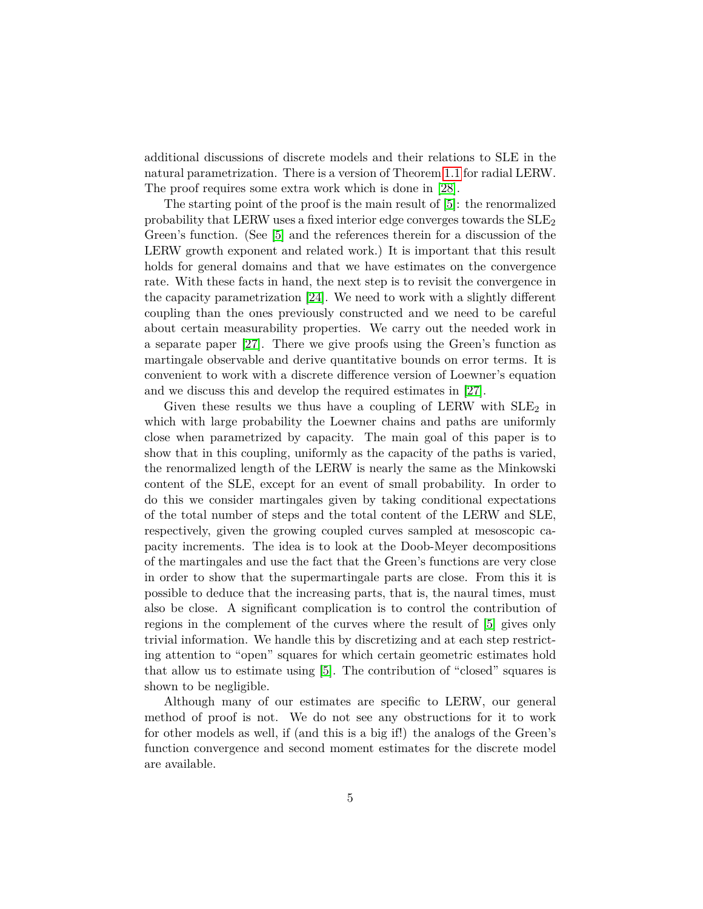additional discussions of discrete models and their relations to SLE in the natural parametrization. There is a version of Theorem [1.1](#page-3-0) for radial LERW. The proof requires some extra work which is done in [\[28\]](#page-81-8).

The starting point of the proof is the main result of [\[5\]](#page-79-10): the renormalized probability that LERW uses a fixed interior edge converges towards the  $SLE<sub>2</sub>$ Green's function. (See [\[5\]](#page-79-10) and the references therein for a discussion of the LERW growth exponent and related work.) It is important that this result holds for general domains and that we have estimates on the convergence rate. With these facts in hand, the next step is to revisit the convergence in the capacity parametrization [\[24\]](#page-80-0). We need to work with a slightly different coupling than the ones previously constructed and we need to be careful about certain measurability properties. We carry out the needed work in a separate paper [\[27\]](#page-80-5). There we give proofs using the Green's function as martingale observable and derive quantitative bounds on error terms. It is convenient to work with a discrete difference version of Loewner's equation and we discuss this and develop the required estimates in [\[27\]](#page-80-5).

Given these results we thus have a coupling of LERW with  $SLE<sub>2</sub>$  in which with large probability the Loewner chains and paths are uniformly close when parametrized by capacity. The main goal of this paper is to show that in this coupling, uniformly as the capacity of the paths is varied, the renormalized length of the LERW is nearly the same as the Minkowski content of the SLE, except for an event of small probability. In order to do this we consider martingales given by taking conditional expectations of the total number of steps and the total content of the LERW and SLE, respectively, given the growing coupled curves sampled at mesoscopic capacity increments. The idea is to look at the Doob-Meyer decompositions of the martingales and use the fact that the Green's functions are very close in order to show that the supermartingale parts are close. From this it is possible to deduce that the increasing parts, that is, the naural times, must also be close. A significant complication is to control the contribution of regions in the complement of the curves where the result of [\[5\]](#page-79-10) gives only trivial information. We handle this by discretizing and at each step restricting attention to "open" squares for which certain geometric estimates hold that allow us to estimate using [\[5\]](#page-79-10). The contribution of "closed" squares is shown to be negligible.

Although many of our estimates are specific to LERW, our general method of proof is not. We do not see any obstructions for it to work for other models as well, if (and this is a big if!) the analogs of the Green's function convergence and second moment estimates for the discrete model are available.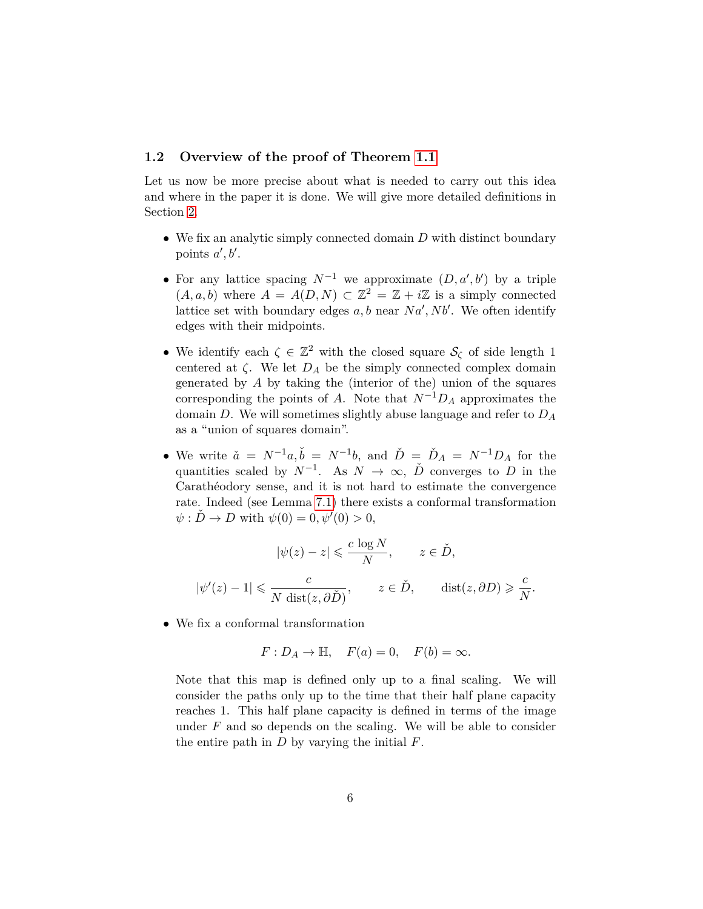#### <span id="page-5-0"></span>**1.2 Overview of the proof of Theorem [1.1](#page-3-0)**

Let us now be more precise about what is needed to carry out this idea and where in the paper it is done. We will give more detailed definitions in Section [2.](#page-10-1)

- We fix an analytic simply connected domain *D* with distinct boundary points  $a', b'$ .
- For any lattice spacing  $N^{-1}$  we approximate  $(D, a', b')$  by a triple  $(A, a, b)$  where  $A = A(D, N) \subset \mathbb{Z}^2 = \mathbb{Z} + i\mathbb{Z}$  is a simply connected lattice set with boundary edges  $a, b$  near  $Na', Nb'$ . We often identify edges with their midpoints.
- We identify each  $\zeta \in \mathbb{Z}^2$  with the closed square  $\mathcal{S}_{\zeta}$  of side length 1 centered at  $\zeta$ . We let  $D_A$  be the simply connected complex domain generated by *A* by taking the (interior of the) union of the squares corresponding the points of *A*. Note that  $N^{-1}D_A$  approximates the domain *D*. We will sometimes slightly abuse language and refer to *D<sup>A</sup>* as a "union of squares domain".
- We write  $\check{a} = N^{-1}a, \check{b} = N^{-1}b$ , and  $\check{D} = \check{D}_A = N^{-1}D_A$  for the quantities scaled by  $N^{-1}$ . As  $N \to \infty$ ,  $\check{D}$  converges to *D* in the Carathéodory sense, and it is not hard to estimate the convergence rate. Indeed (see Lemma [7.1\)](#page-72-0) there exists a conformal transformation  $\psi : \check{D} \to D$  with  $\psi(0) = 0, \psi'(0) > 0$ ,

$$
|\psi(z) - z| \leqslant \frac{c \log N}{N}, \qquad z \in \check{D},
$$
  

$$
|\psi'(z) - 1| \leqslant \frac{c}{N \operatorname{dist}(z, \partial \check{D})}, \qquad z \in \check{D}, \qquad \operatorname{dist}(z, \partial D) \geqslant \frac{c}{N}.
$$

• We fix a conformal transformation

$$
F: D_A \to \mathbb{H}, \quad F(a) = 0, \quad F(b) = \infty.
$$

Note that this map is defined only up to a final scaling. We will consider the paths only up to the time that their half plane capacity reaches 1. This half plane capacity is defined in terms of the image under *F* and so depends on the scaling. We will be able to consider the entire path in *D* by varying the initial *F*.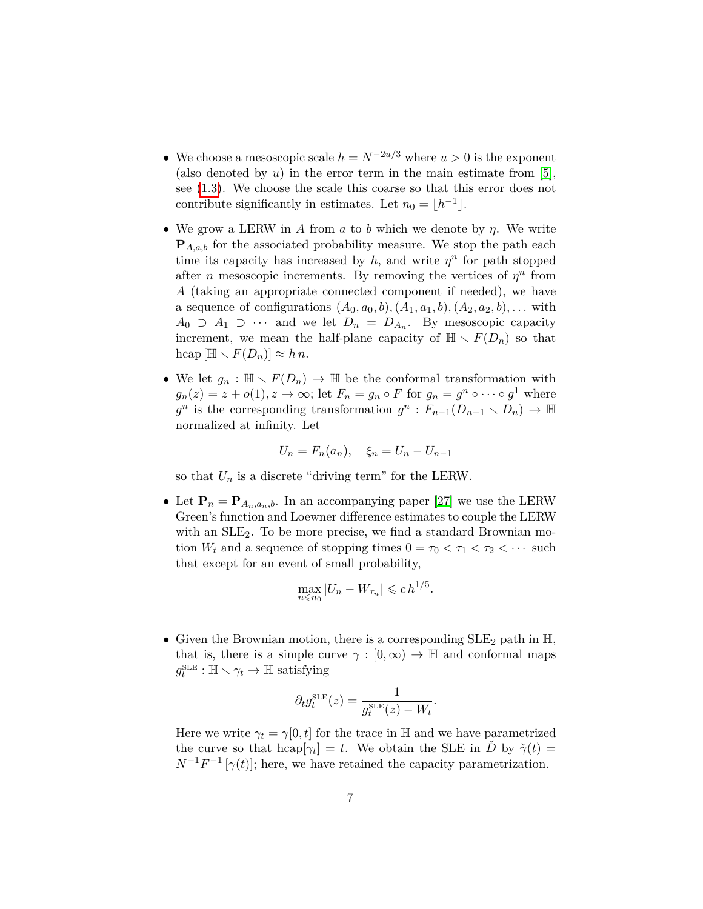- We choose a mesoscopic scale  $h = N^{-2u/3}$  where  $u > 0$  is the exponent (also denoted by  $u$ ) in the error term in the main estimate from [\[5\]](#page-79-10), see [\(1.3\)](#page-8-0). We choose the scale this coarse so that this error does not contribute significantly in estimates. Let  $n_0 = \lfloor h^{-1} \rfloor$ .
- We grow a LERW in *A* from *a* to *b* which we denote by *η*. We write  $P_{A,a,b}$  for the associated probability measure. We stop the path each time its capacity has increased by  $h$ , and write  $\eta^n$  for path stopped after *n* mesoscopic increments. By removing the vertices of  $\eta^n$  from *A* (taking an appropriate connected component if needed), we have a sequence of configurations  $(A_0, a_0, b), (A_1, a_1, b), (A_2, a_2, b), \ldots$  with *A*<sup>0</sup> ⊃ *A*<sup>1</sup> ⊃ · · · and we let  $D_n = D_{A_n}$ . By mesoscopic capacity increment, we mean the half-plane capacity of  $\mathbb{H} \setminus F(D_n)$  so that  $\text{hcap} \left[\mathbb{H} \setminus F(D_n)\right] \approx h n.$
- We let  $g_n : \mathbb{H} \setminus F(D_n) \to \mathbb{H}$  be the conformal transformation with  $g_n(z) = z + o(1), z \to \infty$ ; let  $F_n = g_n \circ F$  for  $g_n = g^n \circ \cdots \circ g^1$  where  $g^n$  is the corresponding transformation  $g^n$  :  $F_{n-1}(D_{n-1} \setminus D_n) \to \mathbb{H}$ normalized at infinity. Let

$$
U_n = F_n(a_n), \quad \xi_n = U_n - U_{n-1}
$$

so that  $U_n$  is a discrete "driving term" for the LERW.

• Let  $\mathbf{P}_n = \mathbf{P}_{A_n, a_n, b}$ . In an accompanying paper [\[27\]](#page-80-5) we use the LERW Green's function and Loewner difference estimates to couple the LERW with an  $SLE_2$ . To be more precise, we find a standard Brownian motion  $W_t$  and a sequence of stopping times  $0 = \tau_0 < \tau_1 < \tau_2 < \cdots$  such that except for an event of small probability,

$$
\max_{n \leq n_0} |U_n - W_{\tau_n}| \leqslant c \, h^{1/5}.
$$

• Given the Brownian motion, there is a corresponding  $SLE_2$  path in  $\mathbb{H}$ , that is, there is a simple curve  $\gamma : [0, \infty) \to \mathbb{H}$  and conformal maps  $g_t^{\text{SLE}}$  :  $\mathbb{H} \setminus \gamma_t \to \mathbb{H}$  satisfying

$$
\partial_t g_t^{\text{SLE}}(z) = \frac{1}{g_t^{\text{SLE}}(z) - W_t}
$$

*.*

Here we write  $\gamma_t = \gamma[0, t]$  for the trace in H and we have parametrized the curve so that  $hcap[\gamma_t] = t$ . We obtain the SLE in  $\check{D}$  by  $\check{\gamma}(t) =$  $N^{-1}F^{-1}$  [ $\gamma(t)$ ]; here, we have retained the capacity parametrization.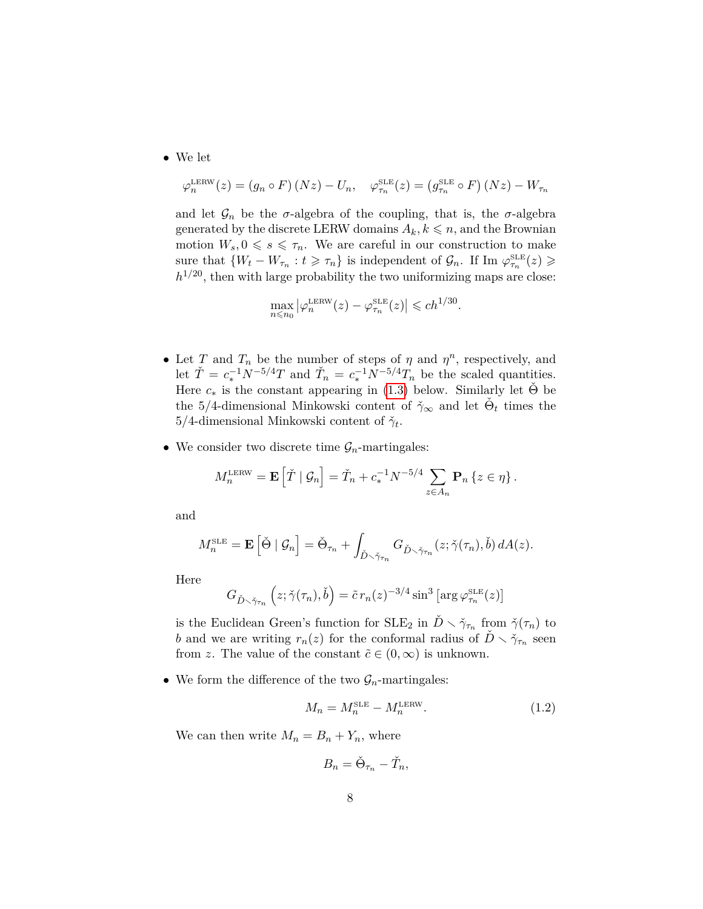• We let

$$
\varphi_n^{\text{LERW}}(z) = (g_n \circ F)(Nz) - U_n, \quad \varphi_{\tau_n}^{\text{SLE}}(z) = (g_{\tau_n}^{\text{SLE}} \circ F)(Nz) - W_{\tau_n}
$$

and let  $\mathcal{G}_n$  be the *σ*-algebra of the coupling, that is, the *σ*-algebra generated by the discrete LERW domains  $A_k, k \leq n$ , and the Brownian motion  $W_s, 0 \le s \le \tau_n$ . We are careful in our construction to make sure that  ${W_t - W_{\tau_n} : t \geq \tau_n}$  is independent of  $\mathcal{G}_n$ . If Im  $\varphi_{\tau_n}^{\text{SLE}}(z) \geq$  $h^{1/20}$ , then with large probability the two uniformizing maps are close:

$$
\max_{n \leq n_0} |\varphi_n^{\text{LERW}}(z) - \varphi_{\tau_n}^{\text{SLE}}(z)| \leq c h^{1/30}.
$$

- Let *T* and  $T_n$  be the number of steps of  $\eta$  and  $\eta^n$ , respectively, and let  $\check{T} = c_*^{-1} N^{-5/4} T$  and  $\check{T}_n = c_*^{-1} N^{-5/4} T_n$  be the scaled quantities. Here  $c_*$  is the constant appearing in [\(1.3\)](#page-8-0) below. Similarly let  $\Theta$  be the 5/4-dimensional Minkowski content of  $\check{\gamma}_{\infty}$  and let  $\check{\Theta}_t$  times the  $5/4$ -dimensional Minkowski content of  $\check{\gamma}_t$ .
- We consider two discrete time  $\mathcal{G}_n$ -martingales:

$$
M_n^{\text{LERW}} = \mathbf{E}\left[\check{T} \mid \mathcal{G}_n\right] = \check{T}_n + c_*^{-1} N^{-5/4} \sum_{z \in A_n} \mathbf{P}_n \left\{ z \in \eta \right\}.
$$

and

$$
M_n^{\text{SLE}} = \mathbf{E} \left[ \check{\Theta} \mid \mathcal{G}_n \right] = \check{\Theta}_{\tau_n} + \int_{\check{D} \times \check{\gamma}_{\tau_n}} G_{\check{D} \times \check{\gamma}_{\tau_n}}(z; \check{\gamma}(\tau_n), \check{b}) dA(z).
$$

Here

$$
G_{\check{D}\smallsetminus\check{\gamma}_{\tau_n}}\left(z;\check{\gamma}(\tau_n),\check{b}\right)=\tilde{c}\,r_n(z)^{-3/4}\sin^3\left[\arg\varphi_{\tau_n}^{\text{SLE}}(z)\right]
$$

is the Euclidean Green's function for  $SLE_2$  in  $\check{D} \setminus \check{\gamma}_{\tau_n}$  from  $\check{\gamma}(\tau_n)$  to *b* and we are writing  $r_n(z)$  for the conformal radius of  $\check{D} \setminus \check{\gamma}_{\tau_n}$  seen from *z*. The value of the constant  $\tilde{c} \in (0,\infty)$  is unknown.

• We form the difference of the two  $\mathcal{G}_n$ -martingales:

$$
M_n = M_n^{\text{SLE}} - M_n^{\text{LERW}}.\tag{1.2}
$$

We can then write  $M_n = B_n + Y_n$ , where

$$
B_n = \check{\Theta}_{\tau_n} - \check{T}_n,
$$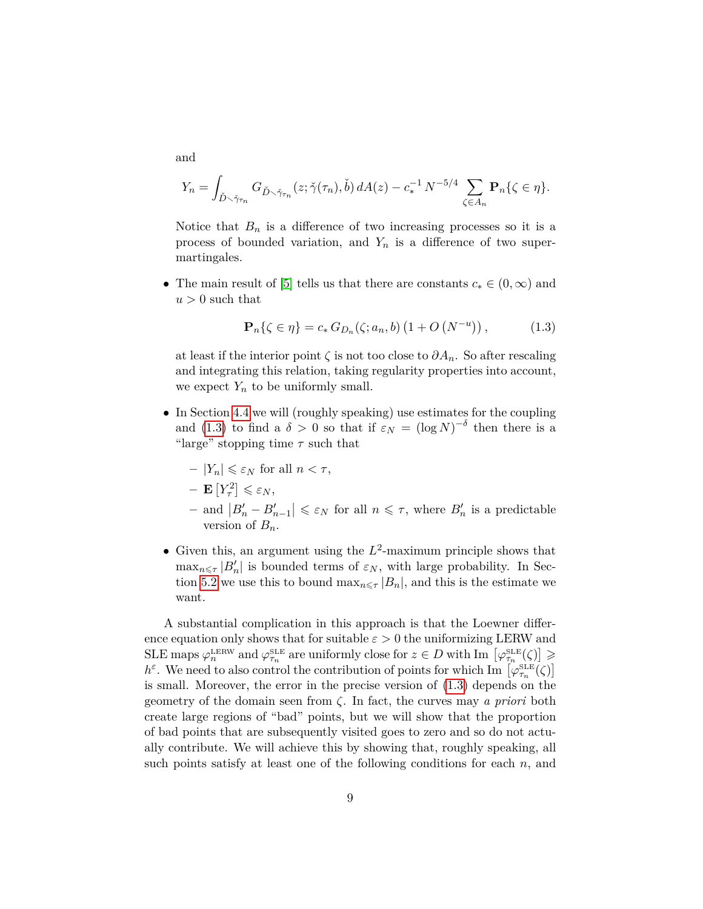and

$$
Y_n = \int_{\check{D}\smallsetminus\check{\gamma}_{\tau_n}} G_{\check{D}\smallsetminus\check{\gamma}_{\tau_n}}(z;\check{\gamma}(\tau_n),\check{b}) dA(z) - c_*^{-1} N^{-5/4} \sum_{\zeta \in A_n} \mathbf{P}_n\{\zeta \in \eta\}.
$$

Notice that  $B_n$  is a difference of two increasing processes so it is a process of bounded variation, and *Y<sup>n</sup>* is a difference of two supermartingales.

• The main result of [\[5\]](#page-79-10) tells us that there are constants  $c_* \in (0, \infty)$  and  $u > 0$  such that

<span id="page-8-0"></span>
$$
\mathbf{P}_{n}\{\zeta \in \eta\} = c_{*} G_{D_{n}}(\zeta; a_{n}, b) (1 + O(N^{-u})), \qquad (1.3)
$$

at least if the interior point  $\zeta$  is not too close to  $\partial A_n$ . So after rescaling and integrating this relation, taking regularity properties into account, we expect  $Y_n$  to be uniformly small.

- In Section [4.4](#page-29-0) we will (roughly speaking) use estimates for the coupling and [\(1.3\)](#page-8-0) to find a  $\delta > 0$  so that if  $\varepsilon_N = (\log N)^{-\delta}$  then there is a "large" stopping time *τ* such that
	- $-|Y_n| \leq \varepsilon_N$  for all  $n < \tau$ ,
	- $-$ **E**  $[Y_{\tau}^2] \leq \varepsilon_N$ ,
	- $-$  and  $|B'_n B'_{n-1}|$  ≤  $\varepsilon_N$  for all  $n ≤ τ$ , where  $B'_n$  is a predictable version of  $B_n$ .
- Given this, an argument using the  $L^2$ -maximum principle shows that  $\max_{n \leq \tau} |B'_n|$  is bounded terms of  $\varepsilon_N$ , with large probability. In Sec-tion [5.2](#page-41-0) we use this to bound  $\max_{n \leq \tau} |B_n|$ , and this is the estimate we want.

A substantial complication in this approach is that the Loewner difference equation only shows that for suitable  $\varepsilon > 0$  the uniformizing LERW and SLE maps  $\varphi_n^{\text{LERW}}$  and  $\varphi_{\tau_n}^{\text{SLE}}$  are uniformly close for  $z \in D$  with Im  $\left[\varphi_{\tau_n}^{\text{SLE}}(\zeta)\right] \geq$ *h*<sup>ε</sup>. We need to also control the contribution of points for which Im  $\left[\varphi_{\tau_n}^{\text{SLE}}(\zeta)\right]$ is small. Moreover, the error in the precise version of [\(1.3\)](#page-8-0) depends on the geometry of the domain seen from *ζ*. In fact, the curves may *a priori* both create large regions of "bad" points, but we will show that the proportion of bad points that are subsequently visited goes to zero and so do not actually contribute. We will achieve this by showing that, roughly speaking, all such points satisfy at least one of the following conditions for each *n*, and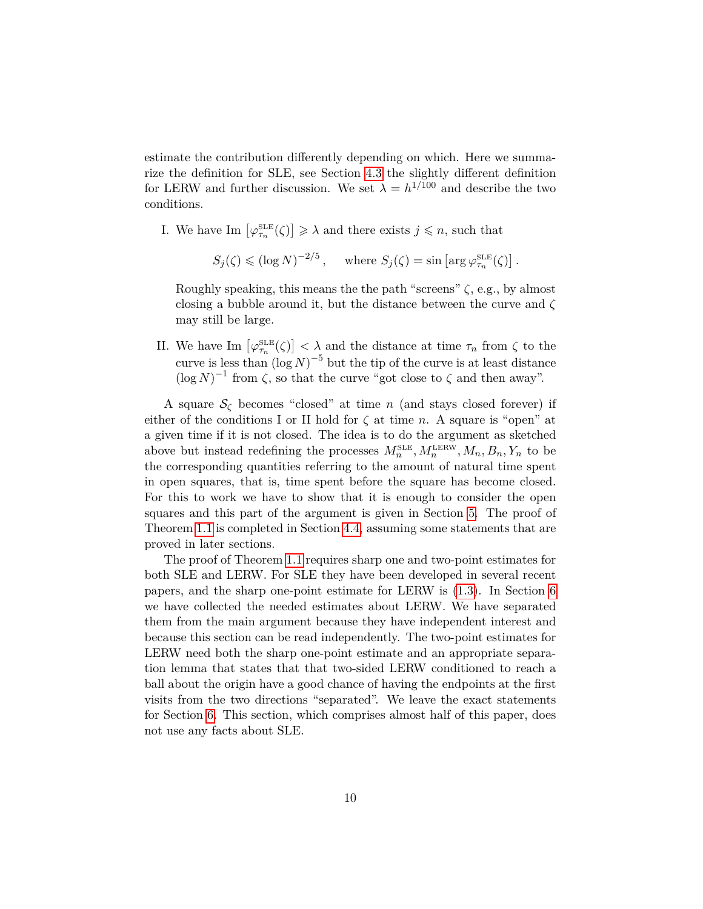estimate the contribution differently depending on which. Here we summarize the definition for SLE, see Section [4.3](#page-26-0) the slightly different definition for LERW and further discussion. We set  $\lambda = h^{1/100}$  and describe the two conditions.

- I. We have Im  $\left[\varphi_{\tau_n}^{\text{SLE}}(\zeta)\right] \geq \lambda$  and there exists  $j \leq n$ , such that
	- $S_j(\zeta) \leq (\log N)^{-2/5}$ , where  $S_j(\zeta) = \sin \left[ \arg \varphi_{\tau_n}^{\text{SLE}}(\zeta) \right]$ .

Roughly speaking, this means the the path "screens" *ζ*, e.g., by almost closing a bubble around it, but the distance between the curve and *ζ* may still be large.

II. We have Im  $\left[\varphi_{\tau_n}^{\text{SLE}}(\zeta)\right] < \lambda$  and the distance at time  $\tau_n$  from  $\zeta$  to the curve is less than  $(\log N)^{-5}$  but the tip of the curve is at least distance  $(\log N)^{-1}$  from  $\zeta$ , so that the curve "got close to  $\zeta$  and then away".

A square  $S_{\zeta}$  becomes "closed" at time *n* (and stays closed forever) if either of the conditions I or II hold for  $\zeta$  at time *n*. A square is "open" at a given time if it is not closed. The idea is to do the argument as sketched above but instead redefining the processes  $M_n^{\text{SLE}}, M_n^{\text{LERW}}, M_n, B_n, Y_n$  to be the corresponding quantities referring to the amount of natural time spent in open squares, that is, time spent before the square has become closed. For this to work we have to show that it is enough to consider the open squares and this part of the argument is given in Section [5.](#page-36-0) The proof of Theorem [1.1](#page-3-0) is completed in Section [4.4,](#page-29-0) assuming some statements that are proved in later sections.

The proof of Theorem [1.1](#page-3-0) requires sharp one and two-point estimates for both SLE and LERW. For SLE they have been developed in several recent papers, and the sharp one-point estimate for LERW is [\(1.3\)](#page-8-0). In Section [6](#page-44-0) we have collected the needed estimates about LERW. We have separated them from the main argument because they have independent interest and because this section can be read independently. The two-point estimates for LERW need both the sharp one-point estimate and an appropriate separation lemma that states that that two-sided LERW conditioned to reach a ball about the origin have a good chance of having the endpoints at the first visits from the two directions "separated". We leave the exact statements for Section [6.](#page-44-0) This section, which comprises almost half of this paper, does not use any facts about SLE.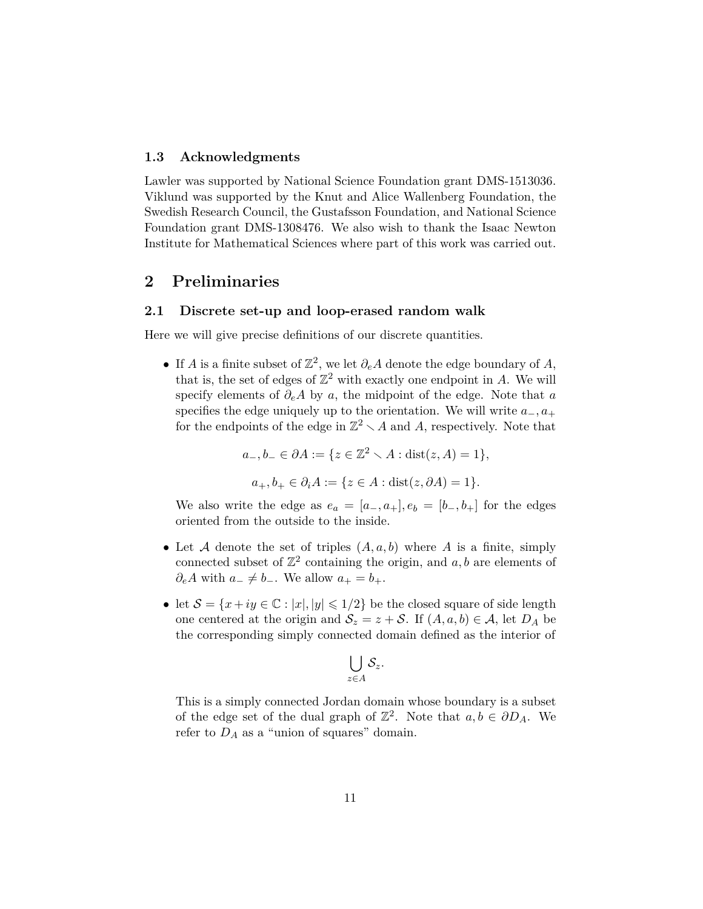#### <span id="page-10-0"></span>**1.3 Acknowledgments**

Lawler was supported by National Science Foundation grant DMS-1513036. Viklund was supported by the Knut and Alice Wallenberg Foundation, the Swedish Research Council, the Gustafsson Foundation, and National Science Foundation grant DMS-1308476. We also wish to thank the Isaac Newton Institute for Mathematical Sciences where part of this work was carried out.

# <span id="page-10-1"></span>**2 Preliminaries**

#### <span id="page-10-2"></span>**2.1 Discrete set-up and loop-erased random walk**

Here we will give precise definitions of our discrete quantities.

• If *A* is a finite subset of  $\mathbb{Z}^2$ , we let  $\partial_e A$  denote the edge boundary of *A*, that is, the set of edges of  $\mathbb{Z}^2$  with exactly one endpoint in A. We will specify elements of *∂eA* by *a*, the midpoint of the edge. Note that *a* specifies the edge uniquely up to the orientation. We will write  $a_-, a_+$ for the endpoints of the edge in  $\mathbb{Z}^2 \setminus A$  and A, respectively. Note that

$$
a_-, b_- \in \partial A := \{ z \in \mathbb{Z}^2 \setminus A : \text{dist}(z, A) = 1 \},
$$
  

$$
a_+, b_+ \in \partial_i A := \{ z \in A : \text{dist}(z, \partial A) = 1 \}.
$$

We also write the edge as  $e_a = [a_-, a_+]$ ,  $e_b = [b_-, b_+]$  for the edges oriented from the outside to the inside.

- Let A denote the set of triples  $(A, a, b)$  where A is a finite, simply connected subset of  $\mathbb{Z}^2$  containing the origin, and  $a, b$  are elements of *∂*<sup>*eA*</sup> with *a*<sup>−</sup> ≠ *b*<sup>−</sup>. We allow *a*<sup>+</sup> = *b*<sup>+</sup>.
- let  $S = \{x + iy \in \mathbb{C} : |x|, |y| \leq 1/2\}$  be the closed square of side length one centered at the origin and  $S_z = z + S$ . If  $(A, a, b) \in A$ , let  $D_A$  be the corresponding simply connected domain defined as the interior of

$$
\bigcup_{z\in A}\mathcal{S}_z.
$$

This is a simply connected Jordan domain whose boundary is a subset of the edge set of the dual graph of  $\mathbb{Z}^2$ . Note that  $a, b \in \partial D_A$ . We refer to  $D_A$  as a "union of squares" domain.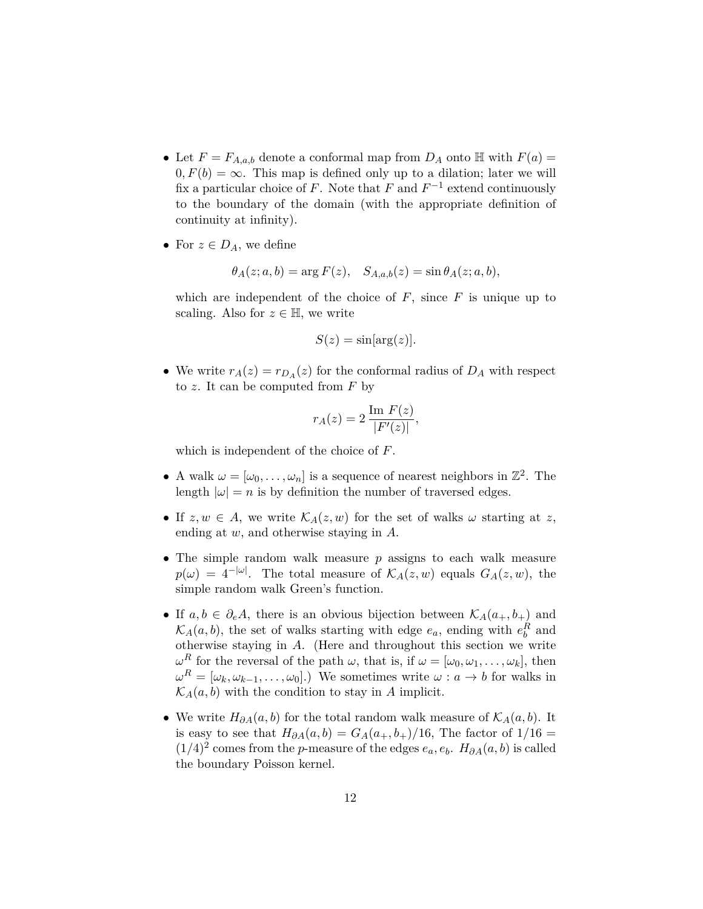- Let  $F = F_{A,a,b}$  denote a conformal map from  $D_A$  onto  $\mathbb H$  with  $F(a) =$  $0, F(b) = \infty$ . This map is defined only up to a dilation; later we will fix a particular choice of *F*. Note that  $F$  and  $F^{-1}$  extend continuously to the boundary of the domain (with the appropriate definition of continuity at infinity).
- For  $z \in D_A$ , we define

$$
\theta_A(z;a,b) = \arg F(z), \quad S_{A,a,b}(z) = \sin \theta_A(z;a,b),
$$

which are independent of the choice of  $F$ , since  $F$  is unique up to scaling. Also for  $z \in \mathbb{H}$ , we write

$$
S(z) = \sin[\arg(z)].
$$

• We write  $r_A(z) = r_{D_A}(z)$  for the conformal radius of  $D_A$  with respect to *z*. It can be computed from *F* by

$$
r_A(z) = 2 \frac{\operatorname{Im} F(z)}{|F'(z)|},
$$

which is independent of the choice of *F*.

- A walk  $\omega = [\omega_0, \dots, \omega_n]$  is a sequence of nearest neighbors in  $\mathbb{Z}^2$ . The length  $|\omega| = n$  is by definition the number of traversed edges.
- If  $z, w \in A$ , we write  $\mathcal{K}_A(z, w)$  for the set of walks  $\omega$  starting at  $z$ , ending at *w*, and otherwise staying in *A*.
- The simple random walk measure *p* assigns to each walk measure  $p(\omega) = 4^{-|\omega|}$ . The total measure of  $\mathcal{K}_A(z, w)$  equals  $G_A(z, w)$ , the simple random walk Green's function.
- If  $a, b \in \partial_e A$ , there is an obvious bijection between  $\mathcal{K}_A(a_+, b_+)$  and  $\mathcal{K}_A(a, b)$ , the set of walks starting with edge  $e_a$ , ending with  $e_b^R$  and otherwise staying in *A*. (Here and throughout this section we write *ω*<sup>*R*</sup> for the reversal of the path *ω*, that is, if  $ω = [ω_0, ω_1, \ldots, ω_k]$ , then  $\omega^R = [\omega_k, \omega_{k-1}, \dots, \omega_0].$  We sometimes write  $\omega : a \to b$  for walks in  $\mathcal{K}_A(a, b)$  with the condition to stay in *A* implicit.
- We write  $H_{\partial A}(a, b)$  for the total random walk measure of  $\mathcal{K}_{A}(a, b)$ . It is easy to see that  $H_{\partial A}(a, b) = G_A(a_+, b_+)/16$ , The factor of  $1/16 =$  $(1/4)^2$  comes from the *p*-measure of the edges  $e_a, e_b$ .  $H_{\partial A}(a, b)$  is called the boundary Poisson kernel.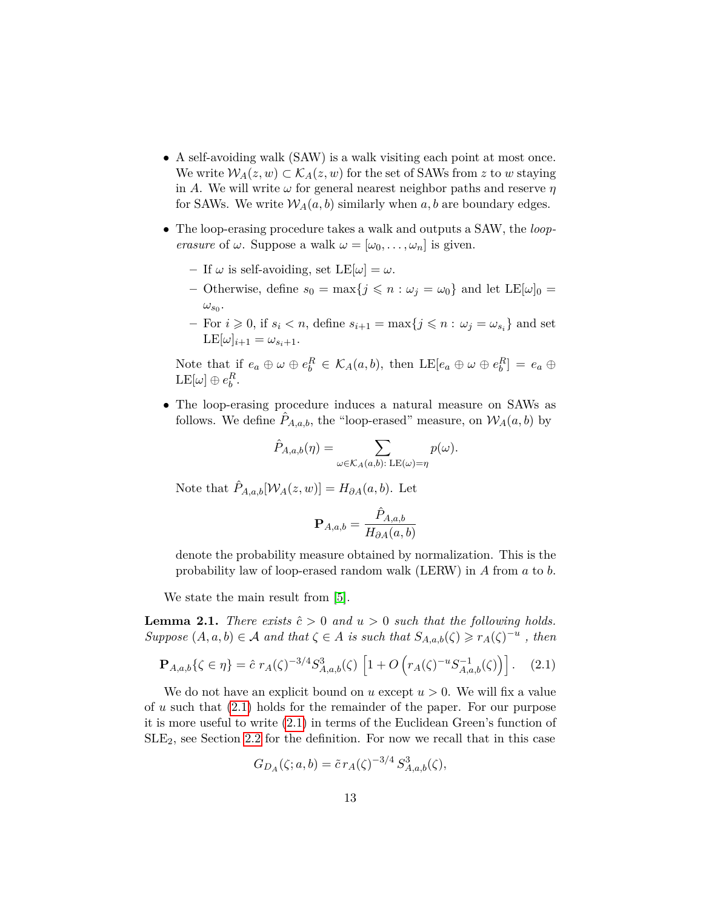- A self-avoiding walk (SAW) is a walk visiting each point at most once. We write  $W_A(z, w) \subset \mathcal{K}_A(z, w)$  for the set of SAWs from z to w staying in *A*. We will write *ω* for general nearest neighbor paths and reserve *η* for SAWs. We write  $W_A(a, b)$  similarly when  $a, b$  are boundary edges.
- The loop-erasing procedure takes a walk and outputs a SAW, the *looperasure* of  $\omega$ . Suppose a walk  $\omega = [\omega_0, \dots, \omega_n]$  is given.
	- $-$  If  $\omega$  is self-avoiding, set  $LE[\omega] = \omega$ .
	- **–** Otherwise, define  $s_0 = \max\{j \leq n : \omega_j = \omega_0\}$  and let  $LE[\omega]_0 =$  $\omega_{s_0}$ .
	- $-$  For  $i \geq 0$ , if  $s_i < n$ , define  $s_{i+1} = \max\{j \leq n : \omega_j = \omega_{s_i}\}\)$  and set  $LE[\omega]_{i+1} = \omega_{s_i+1}.$

Note that if  $e_a \oplus \omega \oplus e_b^R \in \mathcal{K}_A(a, b)$ , then  $LE[e_a \oplus \omega \oplus e_b^R] = e_a \oplus \omega$  $\text{LE}[\omega] \oplus e_b^R.$ 

• The loop-erasing procedure induces a natural measure on SAWs as follows. We define  $P_{A,a,b}$ , the "loop-erased" measure, on  $W_A(a,b)$  by

$$
\hat{P}_{A,a,b}(\eta) = \sum_{\omega \in \mathcal{K}_A(a,b): \, \text{LE}(\omega) = \eta} p(\omega).
$$

Note that  $\hat{P}_{A,a,b}[\mathcal{W}_A(z,w)] = H_{\partial A}(a,b)$ . Let

$$
\mathbf{P}_{A,a,b}=\frac{\hat{P}_{A,a,b}}{H_{\partial A}(a,b)}
$$

denote the probability measure obtained by normalization. This is the probability law of loop-erased random walk (LERW) in *A* from *a* to *b*.

We state the main result from [\[5\]](#page-79-10).

**Lemma 2.1.** *There exists*  $\hat{c} > 0$  *and*  $u > 0$  *such that the following holds. Suppose*  $(A, a, b) \in \mathcal{A}$  *and that*  $\zeta \in A$  *is such that*  $S_{A,a,b}(\zeta) \ge r_A(\zeta)^{-u}$ , *then* 

<span id="page-12-0"></span>
$$
\mathbf{P}_{A,a,b}\{\zeta \in \eta\} = \hat{c} \; r_A(\zeta)^{-3/4} S_{A,a,b}^3(\zeta) \; \left[1 + O\left(r_A(\zeta)^{-u} S_{A,a,b}^{-1}(\zeta)\right)\right]. \tag{2.1}
$$

We do not have an explicit bound on  $u$  except  $u > 0$ . We will fix a value of *u* such that [\(2.1\)](#page-12-0) holds for the remainder of the paper. For our purpose it is more useful to write [\(2.1\)](#page-12-0) in terms of the Euclidean Green's function of  $SLE<sub>2</sub>$ , see Section [2.2](#page-13-0) for the definition. For now we recall that in this case

$$
G_{D_A}(\zeta; a, b) = \tilde{c} r_A(\zeta)^{-3/4} S_{A,a,b}^3(\zeta),
$$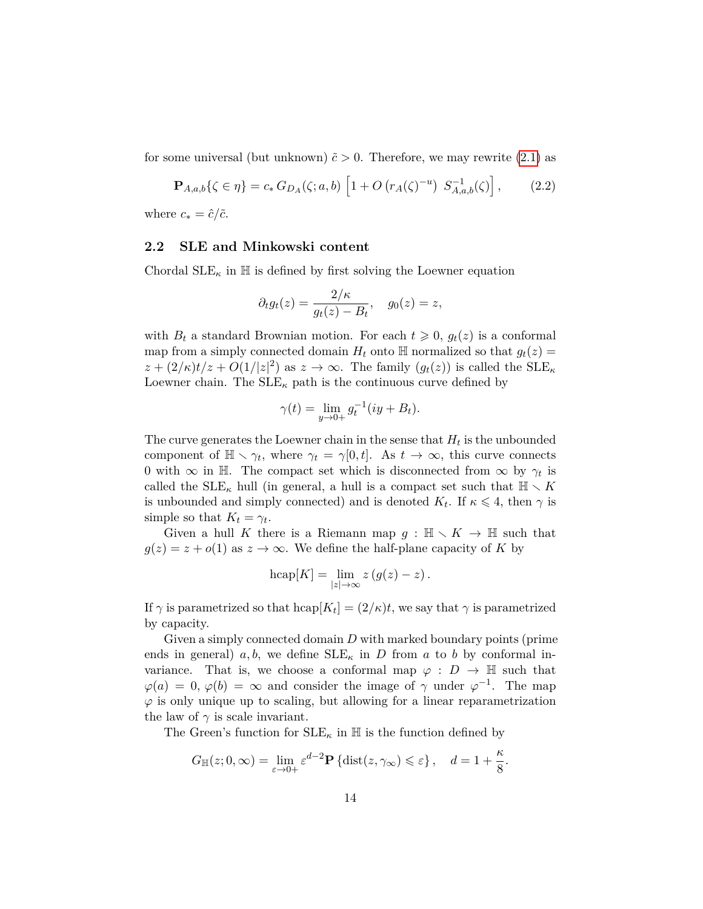for some universal (but unknown)  $\tilde{c} > 0$ . Therefore, we may rewrite [\(2.1\)](#page-12-0) as

<span id="page-13-1"></span>
$$
\mathbf{P}_{A,a,b}\{\zeta \in \eta\} = c_* \, G_{D_A}(\zeta; a, b) \left[1 + O\left(r_A(\zeta)^{-u}\right) \, S_{A,a,b}^{-1}(\zeta)\right],\tag{2.2}
$$

where  $c_* = \hat{c}/\tilde{c}$ .

#### <span id="page-13-0"></span>**2.2 SLE and Minkowski content**

Chordal  $\text{SLE}_{\kappa}$  in  $\mathbb H$  is defined by first solving the Loewner equation

$$
\partial_t g_t(z) = \frac{2/\kappa}{g_t(z) - B_t}, \quad g_0(z) = z,
$$

with  $B_t$  a standard Brownian motion. For each  $t \geq 0$ ,  $g_t(z)$  is a conformal map from a simply connected domain  $H_t$  onto  $\mathbb{H}$  normalized so that  $g_t(z) =$  $z + (2/\kappa)t/z + O(1/|z|^2)$  as  $z \to \infty$ . The family  $(g_t(z))$  is called the SLE<sub>K</sub> Loewner chain. The  $SLE_{\kappa}$  path is the continuous curve defined by

$$
\gamma(t) = \lim_{y \to 0+} g_t^{-1}(iy + B_t).
$$

The curve generates the Loewner chain in the sense that  $H_t$  is the unbounded component of  $\mathbb{H} \setminus \gamma_t$ , where  $\gamma_t = \gamma[0, t]$ . As  $t \to \infty$ , this curve connects 0 with  $\infty$  in H. The compact set which is disconnected from  $\infty$  by  $\gamma_t$  is called the  $\text{SLE}_\kappa$  hull (in general, a hull is a compact set such that  $\mathbb{H} \setminus K$ is unbounded and simply connected) and is denoted  $K_t$ . If  $\kappa \leq 4$ , then  $\gamma$  is simple so that  $K_t = \gamma_t$ .

Given a hull K there is a Riemann map  $g : \mathbb{H} \setminus K \to \mathbb{H}$  such that  $g(z) = z + o(1)$  as  $z \to \infty$ . We define the half-plane capacity of *K* by

$$
h\mathrm{cap}[K] = \lim_{|z| \to \infty} z(g(z) - z).
$$

If  $\gamma$  is parametrized so that  $hcap[K_t] = (2/\kappa)t$ , we say that  $\gamma$  is parametrized by capacity.

Given a simply connected domain *D* with marked boundary points (prime ends in general)  $a, b$ , we define  $SLE_{\kappa}$  in *D* from *a* to *b* by conformal invariance. That is, we choose a conformal map  $\varphi : D \to \mathbb{H}$  such that  $\varphi(a) = 0, \varphi(b) = \infty$  and consider the image of  $\gamma$  under  $\varphi^{-1}$ . The map  $\varphi$  is only unique up to scaling, but allowing for a linear reparametrization the law of  $\gamma$  is scale invariant.

The Green's function for  $\text{SLE}_{\kappa}$  in  $\mathbb H$  is the function defined by

$$
G_{\mathbb{H}}(z;0,\infty) = \lim_{\varepsilon \to 0+} \varepsilon^{d-2} \mathbf{P} \left\{ \mathrm{dist}(z,\gamma_{\infty}) \leqslant \varepsilon \right\}, \quad d = 1 + \frac{\kappa}{8}.
$$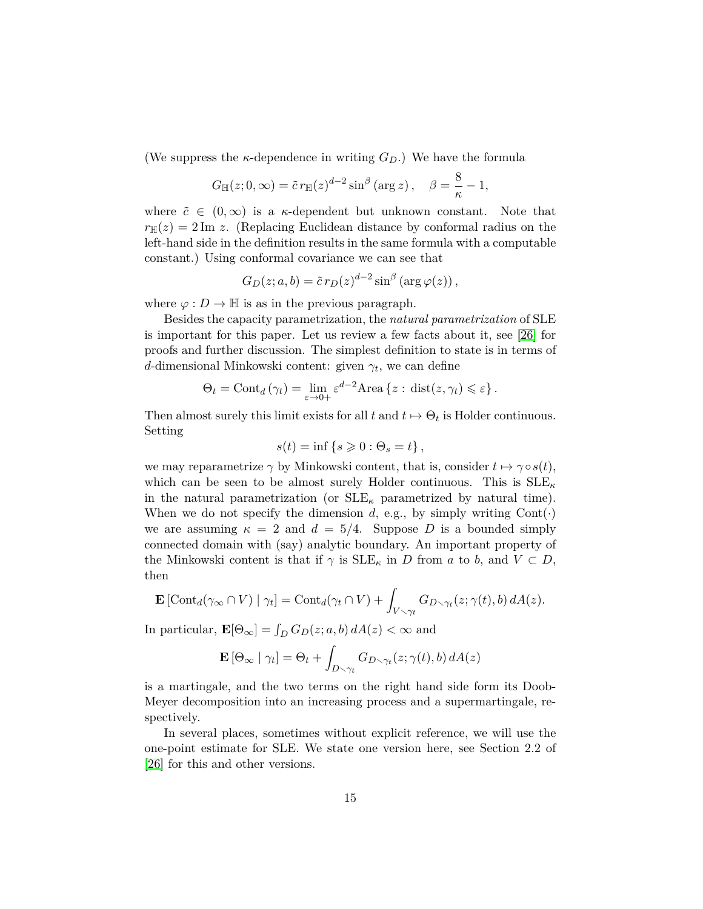(We suppress the *κ*-dependence in writing  $G_D$ .) We have the formula

$$
G_{\mathbb{H}}(z;0,\infty) = \tilde{c} r_{\mathbb{H}}(z)^{d-2} \sin^{\beta} (\arg z), \quad \beta = \frac{8}{\kappa} - 1,
$$

where  $\tilde{c} \in (0,\infty)$  is a *κ*-dependent but unknown constant. Note that  $r_{\mathbb{H}}(z) = 2 \text{Im } z$ . (Replacing Euclidean distance by conformal radius on the left-hand side in the definition results in the same formula with a computable constant.) Using conformal covariance we can see that

$$
G_D(z; a, b) = \tilde{c} r_D(z)^{d-2} \sin^{\beta} (\arg \varphi(z)),
$$

where  $\varphi : D \to \mathbb{H}$  is as in the previous paragraph.

Besides the capacity parametrization, the *natural parametrization* of SLE is important for this paper. Let us review a few facts about it, see [\[26\]](#page-80-3) for proofs and further discussion. The simplest definition to state is in terms of *d*-dimensional Minkowski content: given *γ<sup>t</sup>* , we can define

$$
\Theta_t = \text{Cont}_d(\gamma_t) = \lim_{\varepsilon \to 0+} \varepsilon^{d-2} \text{Area} \left\{ z : \text{dist}(z, \gamma_t) \leqslant \varepsilon \right\}.
$$

Then almost surely this limit exists for all  $t$  and  $t \mapsto \Theta_t$  is Holder continuous. Setting

$$
s(t) = \inf \{ s \geq 0 : \Theta_s = t \},
$$

we may reparametrize  $\gamma$  by Minkowski content, that is, consider  $t \mapsto \gamma \circ s(t)$ , which can be seen to be almost surely Holder continuous. This is SLE*<sup>κ</sup>* in the natural parametrization (or  $SLE_{\kappa}$  parametrized by natural time). When we do not specify the dimension  $d$ , e.g., by simply writing  $Cont(\cdot)$ we are assuming  $\kappa = 2$  and  $d = 5/4$ . Suppose *D* is a bounded simply connected domain with (say) analytic boundary. An important property of the Minkowski content is that if  $\gamma$  is  $SLE_{\kappa}$  in *D* from *a* to *b*, and  $V \subset D$ , then

$$
\mathbf{E}\left[\mathrm{Cont}_d(\gamma_\infty \cap V) \mid \gamma_t\right] = \mathrm{Cont}_d(\gamma_t \cap V) + \int_{V \setminus \gamma_t} G_{D \setminus \gamma_t}(z; \gamma(t), b) dA(z).
$$

In particular,  $\mathbf{E}[\Theta_{\infty}] = \int_D G_D(z; a, b) dA(z) < \infty$  and

$$
\mathbf{E}\left[\Theta_{\infty} \mid \gamma_t\right] = \Theta_t + \int_{D \setminus \gamma_t} G_{D \setminus \gamma_t}(z; \gamma(t), b) dA(z)
$$

is a martingale, and the two terms on the right hand side form its Doob-Meyer decomposition into an increasing process and a supermartingale, respectively.

In several places, sometimes without explicit reference, we will use the one-point estimate for SLE. We state one version here, see Section 2.2 of [\[26\]](#page-80-3) for this and other versions.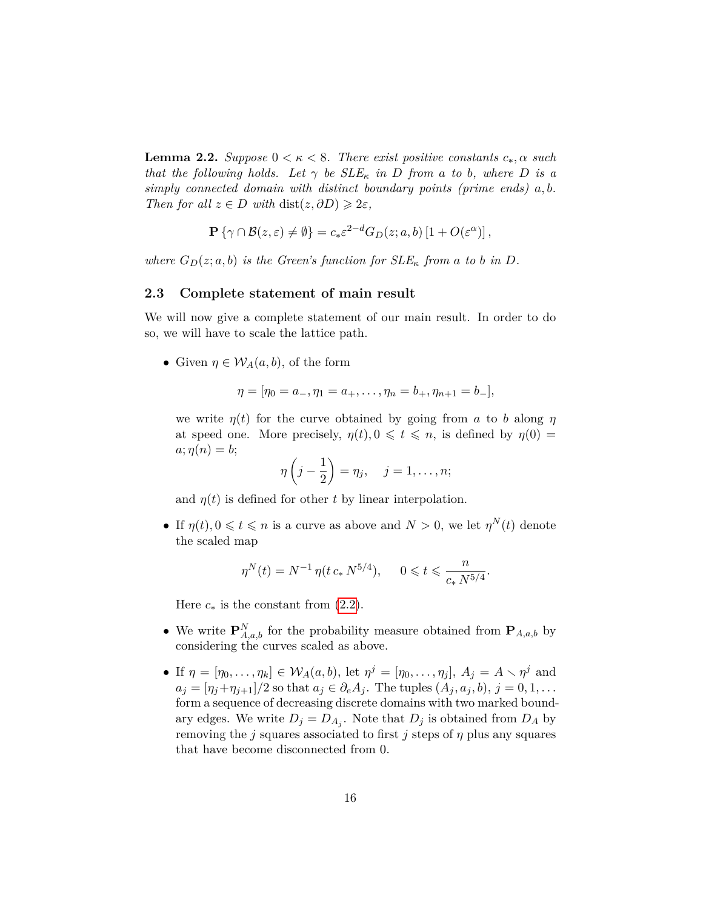**Lemma 2.2.** *Suppose*  $0 < \kappa < 8$ *. There exist positive constants*  $c_*, \alpha$  *such that the following holds.* Let  $\gamma$  *be SLE*<sub>*k</sub> in D from a to b, where D is a*</sub> *simply connected domain with distinct boundary points (prime ends) a, b. Then for all*  $z \in D$  *with* dist $(z, \partial D) \geq 2\varepsilon$ ,

$$
\mathbf{P}\left\{\gamma \cap \mathcal{B}(z,\varepsilon) \neq \emptyset\right\} = c_* \varepsilon^{2-d} G_D(z;a,b) \left[1 + O(\varepsilon^{\alpha})\right],
$$

*where*  $G_D(z; a, b)$  *is the Green's function for*  $SLE_{\kappa}$  *from a to b in D.* 

#### <span id="page-15-0"></span>**2.3 Complete statement of main result**

We will now give a complete statement of our main result. In order to do so, we will have to scale the lattice path.

• Given  $\eta \in \mathcal{W}_A(a, b)$ , of the form

$$
\eta = [\eta_0 = a_-, \eta_1 = a_+, \dots, \eta_n = b_+, \eta_{n+1} = b_-],
$$

we write  $\eta(t)$  for the curve obtained by going from *a* to *b* along  $\eta$ at speed one. More precisely,  $\eta(t), 0 \leq t \leq n$ , is defined by  $\eta(0) =$  $a; \eta(n) = b;$ 

$$
\eta\left(j-\frac{1}{2}\right)=\eta_j,\quad j=1,\ldots,n;
$$

and  $\eta(t)$  is defined for other *t* by linear interpolation.

• If  $\eta(t), 0 \leq t \leq n$  is a curve as above and  $N > 0$ , we let  $\eta^N(t)$  denote the scaled map

$$
\eta^N(t) = N^{-1} \, \eta(t \, c_* \, N^{5/4}), \qquad 0 \leqslant t \leqslant \frac{n}{c_* \, N^{5/4}}.
$$

Here  $c_*$  is the constant from  $(2.2)$ .

- We write  $\mathbf{P}_{A,a,b}^{N}$  for the probability measure obtained from  $\mathbf{P}_{A,a,b}$  by considering the curves scaled as above.
- If  $\eta = [\eta_0, \ldots, \eta_k] \in \mathcal{W}_A(a, b)$ , let  $\eta^j = [\eta_0, \ldots, \eta_j]$ ,  $A_j = A \setminus \eta^j$  and  $a_j = \frac{\eta_j + \eta_{j+1}}{2}$  so that  $a_j \in \partial_e A_j$ . The tuples  $(A_j, a_j, b), j = 0, 1, \ldots$ form a sequence of decreasing discrete domains with two marked boundary edges. We write  $D_j = D_{A_j}$ . Note that  $D_j$  is obtained from  $D_A$  by removing the *j* squares associated to first *j* steps of *η* plus any squares that have become disconnected from 0.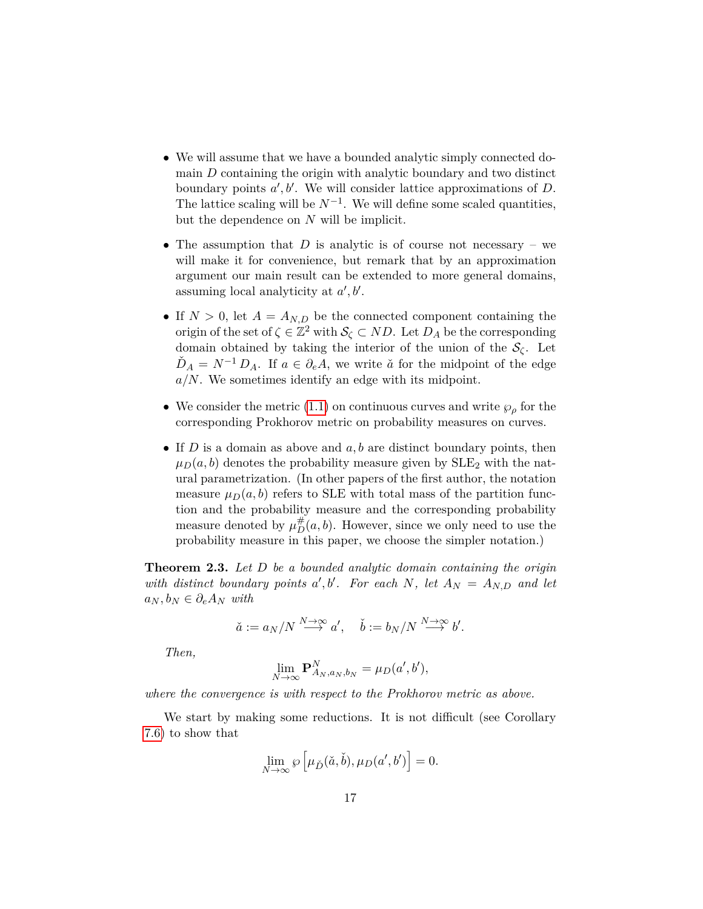- We will assume that we have a bounded analytic simply connected domain *D* containing the origin with analytic boundary and two distinct boundary points  $a', b'$ . We will consider lattice approximations of  $D$ . The lattice scaling will be  $N^{-1}$ . We will define some scaled quantities, but the dependence on *N* will be implicit.
- The assumption that  $D$  is analytic is of course not necessary we will make it for convenience, but remark that by an approximation argument our main result can be extended to more general domains, assuming local analyticity at  $a', b'$ .
- If  $N > 0$ , let  $A = A_{N,D}$  be the connected component containing the origin of the set of  $\zeta \in \mathbb{Z}^2$  with  $\mathcal{S}_{\zeta} \subset ND$ . Let  $D_A$  be the corresponding domain obtained by taking the interior of the union of the  $\mathcal{S}_{\zeta}$ . Let  $D_A = N^{-1} D_A$ . If  $a \in \partial_e A$ , we write  $\check{a}$  for the midpoint of the edge *a/N*. We sometimes identify an edge with its midpoint.
- We consider the metric [\(1.1\)](#page-3-1) on continuous curves and write  $\wp_{\rho}$  for the corresponding Prokhorov metric on probability measures on curves.
- If *D* is a domain as above and *a, b* are distinct boundary points, then  $\mu_D(a, b)$  denotes the probability measure given by  $SLE_2$  with the natural parametrization. (In other papers of the first author, the notation measure  $\mu_D(a, b)$  refers to SLE with total mass of the partition function and the probability measure and the corresponding probability measure denoted by  $\mu_D^{\#}(a, b)$ . However, since we only need to use the probability measure in this paper, we choose the simpler notation.)

<span id="page-16-0"></span>**Theorem 2.3.** *Let D be a bounded analytic domain containing the origin* with distinct boundary points  $a', b'$ . For each N, let  $A_N = A_{N,D}$  and let  $a_N, b_N ∈ \partial_e A_N$  *with* 

$$
\check{a} := a_N/N \stackrel{N \to \infty}{\longrightarrow} a', \quad \check{b} := b_N/N \stackrel{N \to \infty}{\longrightarrow} b'.
$$

*Then,*

$$
\lim_{N \to \infty} \mathbf{P}_{A_N, a_N, b_N}^N = \mu_D(a', b'),
$$

*where the convergence is with respect to the Prokhorov metric as above.*

We start by making some reductions. It is not difficult (see Corollary [7.6\)](#page-76-0) to show that

$$
\lim_{N \to \infty} \wp \left[ \mu_{\check{D}}(\check{a}, \check{b}), \mu_D(a', b') \right] = 0.
$$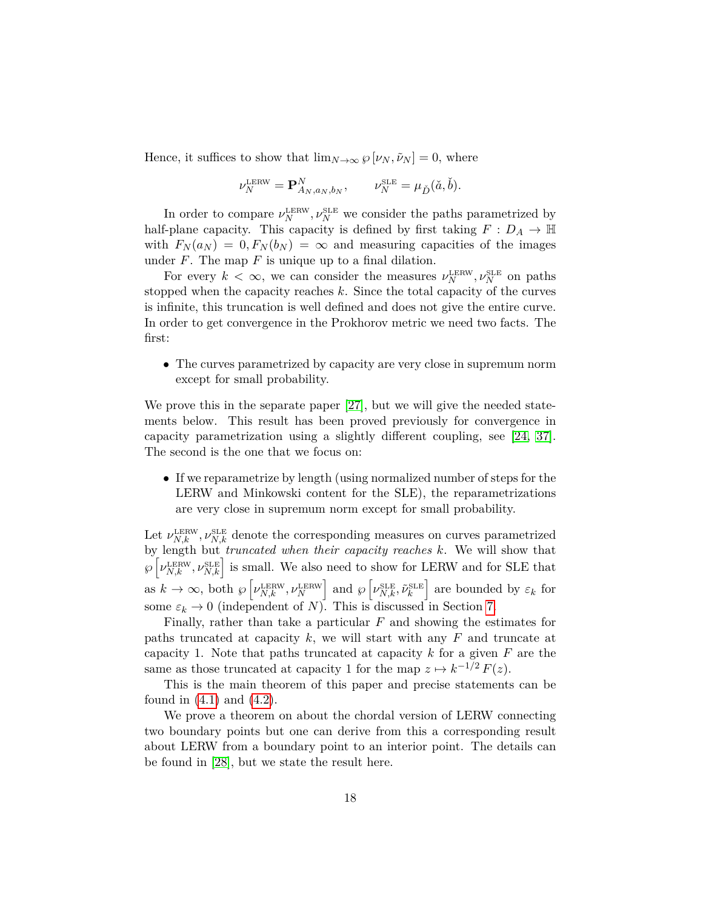Hence, it suffices to show that  $\lim_{N\to\infty} \varphi[\nu_N, \tilde{\nu}_N] = 0$ , where

$$
\nu_N^{\text{LERW}} = \mathbf{P}_{A_N, a_N, b_N}^N, \qquad \nu_N^{\text{SLE}} = \mu_{\check{D}}(\check{a}, \check{b}).
$$

In order to compare  $\nu_N^{\text{LERW}}$ ,  $\nu_N^{\text{SLE}}$  we consider the paths parametrized by half-plane capacity. This capacity is defined by first taking  $F: D_A \to \mathbb{H}$ with  $F_N(a_N) = 0, F_N(b_N) = \infty$  and measuring capacities of the images under  $F$ . The map  $F$  is unique up to a final dilation.

For every  $k < \infty$ , we can consider the measures  $\nu_N^{\text{LERW}}, \nu_N^{\text{SLE}}$  on paths stopped when the capacity reaches *k*. Since the total capacity of the curves is infinite, this truncation is well defined and does not give the entire curve. In order to get convergence in the Prokhorov metric we need two facts. The first:

• The curves parametrized by capacity are very close in supremum norm except for small probability.

We prove this in the separate paper [\[27\]](#page-80-5), but we will give the needed statements below. This result has been proved previously for convergence in capacity parametrization using a slightly different coupling, see [\[24,](#page-80-0) [37\]](#page-81-9). The second is the one that we focus on:

• If we reparametrize by length (using normalized number of steps for the LERW and Minkowski content for the SLE), the reparametrizations are very close in supremum norm except for small probability.

Let  $\nu_{N,k}^{\text{LERW}}$ ,  $\nu_{N,k}^{\text{SLE}}$  denote the corresponding measures on curves parametrized by length but *truncated when their capacity reaches k*. We will show that  $\wp\left[\nu_{N,k}^{\text{LERW}}, \nu_{N,k}^{\text{SLE}}\right]$  is small. We also need to show for LERW and for SLE that as  $k \to \infty$ , both  $\wp \left[ \nu_{N,k}^{\text{LERW}}, \nu_N^{\text{LERW}} \right]$  and  $\wp \left[ \nu_{N,k}^{\text{SLE}}, \tilde{\nu}_k^{\text{SLE}} \right]$  are bounded by  $\varepsilon_k$  for some  $\varepsilon_k \to 0$  (independent of *N*). This is discussed in Section [7.](#page-71-0)

Finally, rather than take a particular *F* and showing the estimates for paths truncated at capacity *k*, we will start with any *F* and truncate at capacity 1. Note that paths truncated at capacity *k* for a given *F* are the same as those truncated at capacity 1 for the map  $z \mapsto k^{-1/2} F(z)$ .

This is the main theorem of this paper and precise statements can be found in  $(4.1)$  and  $(4.2)$ .

We prove a theorem on about the chordal version of LERW connecting two boundary points but one can derive from this a corresponding result about LERW from a boundary point to an interior point. The details can be found in [\[28\]](#page-81-8), but we state the result here.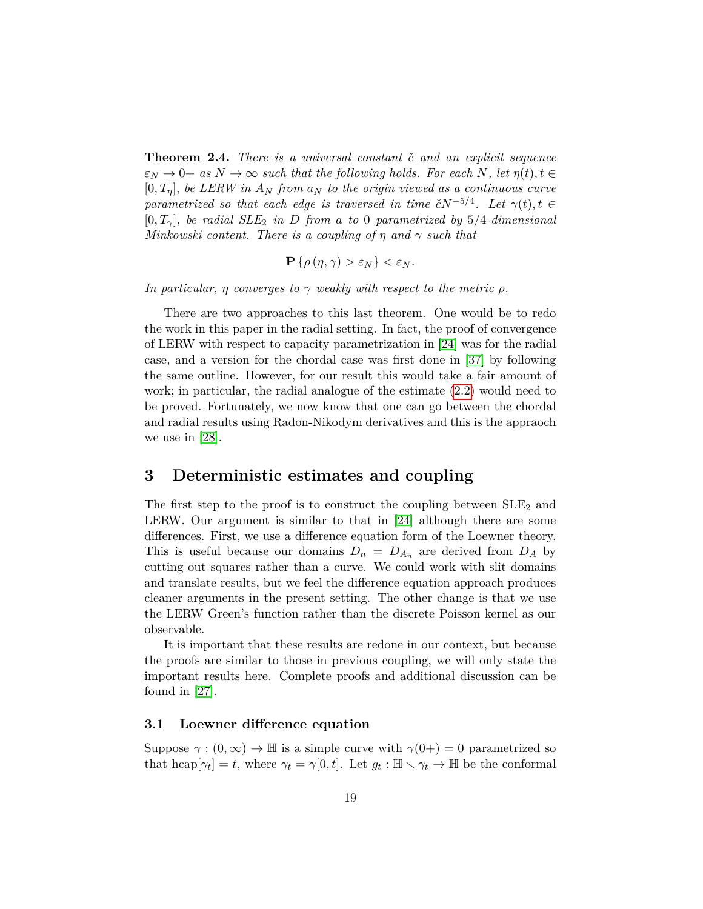**Theorem 2.4.** *There is a universal constant*  $\check{c}$  *and an explicit sequence*  $\varepsilon_N \to 0^+$  *as*  $N \to \infty$  *such that the following holds. For each*  $N$ *, let*  $\eta(t)$ *, t*  $\in$  $[0, T<sub>n</sub>]$ *, be LERW in*  $A<sub>N</sub>$  *from*  $a<sub>N</sub>$  *to the origin viewed as a continuous curve parametrized so that each edge is traversed in time*  $\tilde{c}N^{-5/4}$ . Let  $\gamma(t), t \in$  $[0, T_\gamma]$ , *be radial SLE*<sub>2</sub> *in D from a to* 0 *parametrized by* 5/4-dimensional *Minkowski content. There is a coupling of η and γ such that*

$$
\mathbf{P}\left\{\rho\left(\eta,\gamma\right)>\varepsilon_{N}\right\}<\varepsilon_{N}.
$$

*In particular, η converges to*  $\gamma$  *weakly with respect to the metric*  $\rho$ *.* 

There are two approaches to this last theorem. One would be to redo the work in this paper in the radial setting. In fact, the proof of convergence of LERW with respect to capacity parametrization in [\[24\]](#page-80-0) was for the radial case, and a version for the chordal case was first done in [\[37\]](#page-81-9) by following the same outline. However, for our result this would take a fair amount of work; in particular, the radial analogue of the estimate [\(2.2\)](#page-13-1) would need to be proved. Fortunately, we now know that one can go between the chordal and radial results using Radon-Nikodym derivatives and this is the appraoch we use in [\[28\]](#page-81-8).

## <span id="page-18-0"></span>**3 Deterministic estimates and coupling**

The first step to the proof is to construct the coupling between  $SLE<sub>2</sub>$  and LERW. Our argument is similar to that in [\[24\]](#page-80-0) although there are some differences. First, we use a difference equation form of the Loewner theory. This is useful because our domains  $D_n = D_{A_n}$  are derived from  $D_A$  by cutting out squares rather than a curve. We could work with slit domains and translate results, but we feel the difference equation approach produces cleaner arguments in the present setting. The other change is that we use the LERW Green's function rather than the discrete Poisson kernel as our observable.

It is important that these results are redone in our context, but because the proofs are similar to those in previous coupling, we will only state the important results here. Complete proofs and additional discussion can be found in [\[27\]](#page-80-5).

#### <span id="page-18-1"></span>**3.1 Loewner difference equation**

Suppose  $\gamma : (0, \infty) \to \mathbb{H}$  is a simple curve with  $\gamma(0+) = 0$  parametrized so that hcap $[\gamma_t] = t$ , where  $\gamma_t = \gamma[0, t]$ . Let  $g_t : \mathbb{H} \setminus \gamma_t \to \mathbb{H}$  be the conformal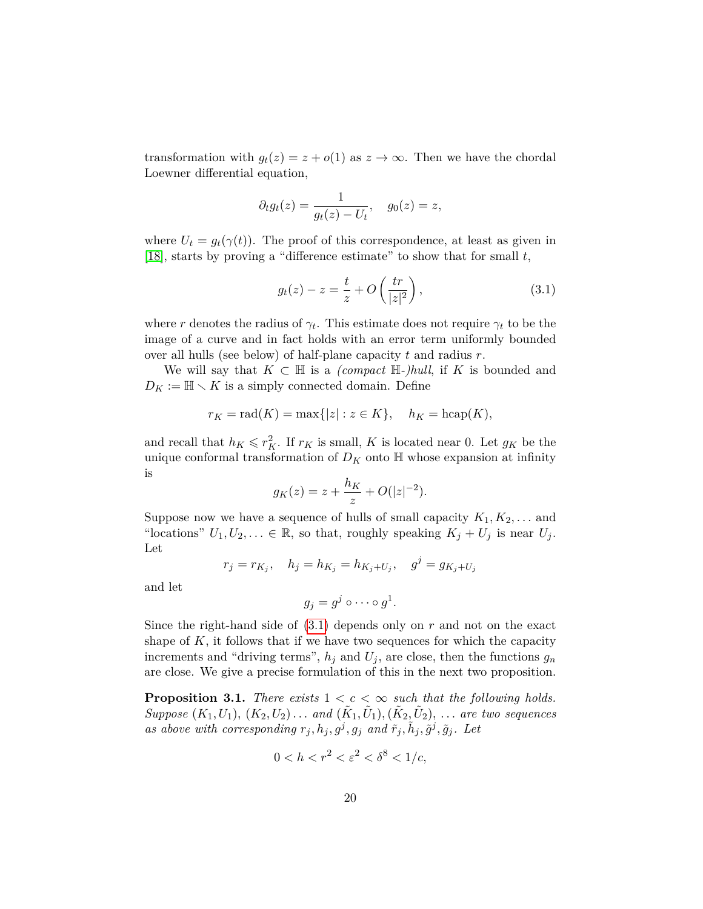transformation with  $g_t(z) = z + o(1)$  as  $z \to \infty$ . Then we have the chordal Loewner differential equation,

$$
\partial_t g_t(z) = \frac{1}{g_t(z) - U_t}, \quad g_0(z) = z,
$$

where  $U_t = g_t(\gamma(t))$ . The proof of this correspondence, at least as given in [\[18\]](#page-80-6), starts by proving a "difference estimate" to show that for small *t*,

<span id="page-19-0"></span>
$$
g_t(z) - z = \frac{t}{z} + O\left(\frac{tr}{|z|^2}\right),\tag{3.1}
$$

where *r* denotes the radius of  $\gamma_t$ . This estimate does not require  $\gamma_t$  to be the image of a curve and in fact holds with an error term uniformly bounded over all hulls (see below) of half-plane capacity *t* and radius *r*.

We will say that  $K \subset \mathbb{H}$  is a *(compact*  $\mathbb{H}$ -*)hull*, if K is bounded and  $D_K := \mathbb{H} \setminus K$  is a simply connected domain. Define

$$
r_K = \text{rad}(K) = \max\{|z| : z \in K\}, \quad h_K = \text{hcap}(K),
$$

and recall that  $h_K \leqslant r_K^2$ . If  $r_K$  is small, *K* is located near 0. Let  $g_K$  be the unique conformal transformation of  $D_K$  onto  $\mathbb H$  whose expansion at infinity is

$$
g_K(z) = z + \frac{h_K}{z} + O(|z|^{-2}).
$$

Suppose now we have a sequence of hulls of small capacity  $K_1, K_2, \ldots$  and "locations"  $U_1, U_2, \ldots \in \mathbb{R}$ , so that, roughly speaking  $K_j + U_j$  is near  $U_j$ . Let

$$
r_j = r_{K_j},
$$
  $h_j = h_{K_j} = h_{K_j + U_j},$   $g^j = g_{K_j + U_j}$ 

and let

$$
g_j=g^j\circ\cdots\circ g^1.
$$

Since the right-hand side of [\(3.1\)](#page-19-0) depends only on *r* and not on the exact shape of  $K$ , it follows that if we have two sequences for which the capacity increments and "driving terms",  $h_j$  and  $U_j$ , are close, then the functions  $g_n$ are close. We give a precise formulation of this in the next two proposition.

**Proposition 3.1.** *There exists*  $1 < c < \infty$  *such that the following holds. Suppose*  $(K_1, U_1)$ *,*  $(K_2, U_2)$ *... and*  $(\tilde{K}_1, \tilde{U}_1)$ *,*  $(\tilde{K}_2, \tilde{U}_2)$ *, ... are two sequences* as above with corresponding  $r_j, h_j, g^j, g_j$  and  $\tilde{r}_j, \tilde{h}_j, \tilde{g}^j, \tilde{g}_j$ . Let

$$
0 < h < r^2 < \varepsilon^2 < \delta^8 < 1/c
$$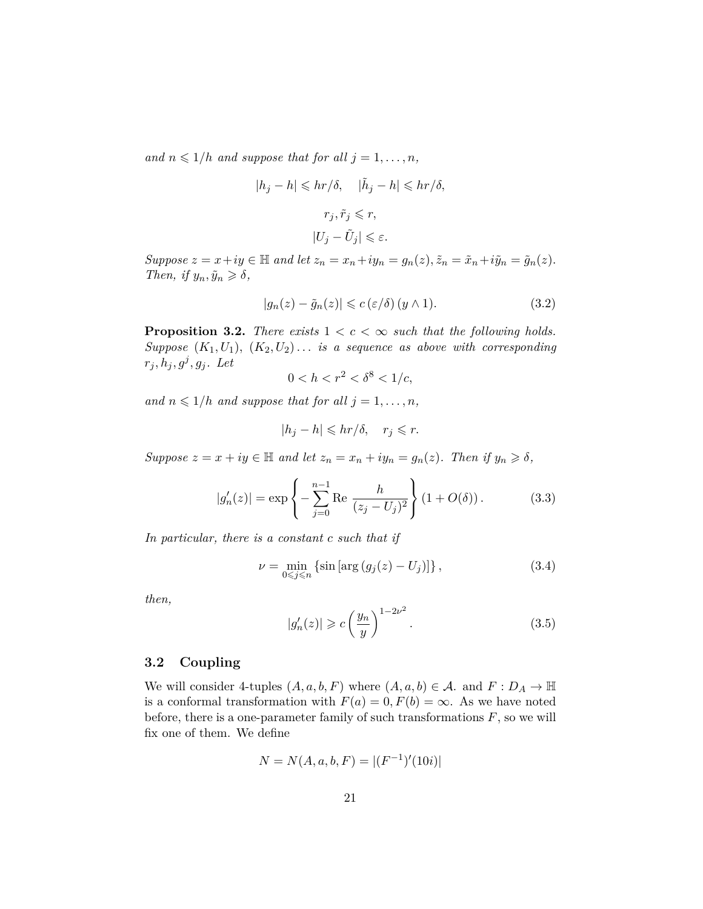*and*  $n \leq 1/h$  *and suppose that for all*  $j = 1, \ldots, n$ *,* 

$$
|h_j - h| \leqslant hr/\delta, \quad |\tilde{h}_j - h| \leqslant hr/\delta,
$$
  

$$
r_j, \tilde{r}_j \leqslant r,
$$
  

$$
|U_j - \tilde{U}_j| \leqslant \varepsilon.
$$

Suppose  $z = x + iy \in \mathbb{H}$  and let  $z_n = x_n + iy_n = g_n(z)$ ,  $\tilde{z}_n = \tilde{x}_n + i\tilde{y}_n = \tilde{g}_n(z)$ . *Then, if*  $y_n, \tilde{y}_n \geq \delta$ ,

$$
|g_n(z) - \tilde{g}_n(z)| \leqslant c \left(\varepsilon/\delta\right) (y \wedge 1). \tag{3.2}
$$

**Proposition 3.2.** *There exists*  $1 < c < \infty$  *such that the following holds. Suppose*  $(K_1, U_1)$ ,  $(K_2, U_2)$ ... *is a sequence as above with corresponding*  $r_j, h_j, g^j, g_j$ . Let

$$
0 < h < r^2 < \delta^8 < 1/c
$$

*and*  $n \leq 1/h$  *and suppose that for all*  $j = 1, \ldots, n$ *,* 

$$
|h_j - h| \leqslant hr/\delta, \quad r_j \leqslant r.
$$

*Suppose*  $z = x + iy \in \mathbb{H}$  *and let*  $z_n = x_n + iy_n = g_n(z)$ *. Then if*  $y_n \geq \delta$ *,* 

$$
|g'_n(z)| = \exp\left\{-\sum_{j=0}^{n-1} \text{Re} \frac{h}{(z_j - U_j)^2}\right\} (1 + O(\delta)). \tag{3.3}
$$

*In particular, there is a constant c such that if*

$$
\nu = \min_{0 \le j \le n} \left\{ \sin \left[ \arg \left( g_j(z) - U_j \right) \right] \right\},\tag{3.4}
$$

*then,*

<span id="page-20-1"></span>
$$
|g'_n(z)| \geqslant c \left(\frac{y_n}{y}\right)^{1-2\nu^2}.\tag{3.5}
$$

#### <span id="page-20-0"></span>**3.2 Coupling**

We will consider 4-tuples  $(A, a, b, F)$  where  $(A, a, b) \in \mathcal{A}$ . and  $F : D_A \to \mathbb{H}$ is a conformal transformation with  $F(a) = 0, F(b) = \infty$ . As we have noted before, there is a one-parameter family of such transformations *F*, so we will fix one of them. We define

$$
N = N(A, a, b, F) = |(F^{-1})'(10i)|
$$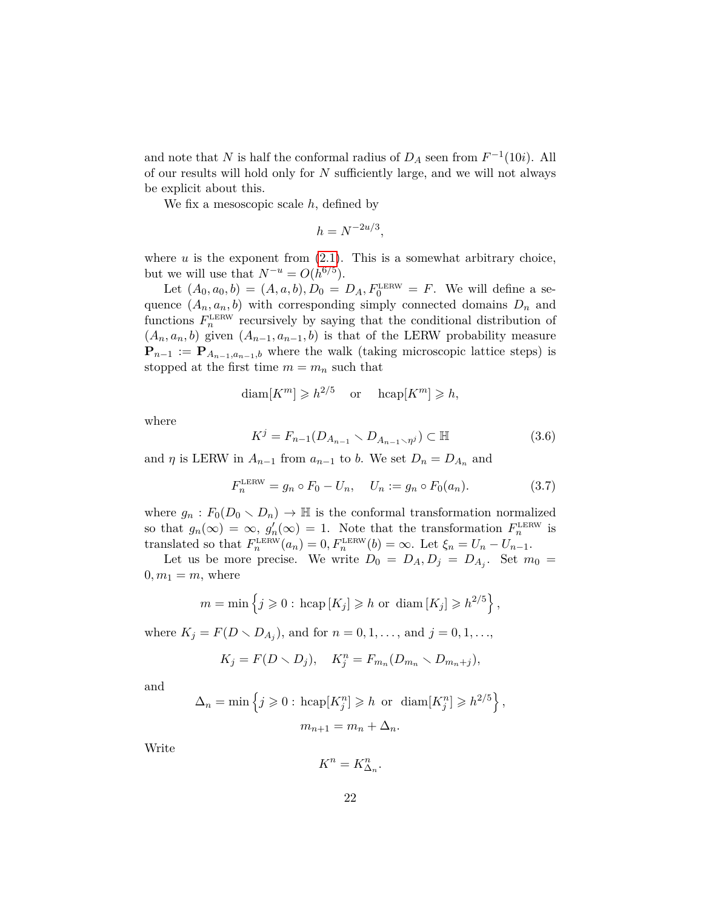and note that *N* is half the conformal radius of  $D_A$  seen from  $F^{-1}(10i)$ . All of our results will hold only for *N* sufficiently large, and we will not always be explicit about this.

We fix a mesoscopic scale *h*, defined by

$$
h = N^{-2u/3},
$$

where  $u$  is the exponent from  $(2.1)$ . This is a somewhat arbitrary choice, but we will use that  $N^{-u} = O(h^{6/5})$ .

Let  $(A_0, a_0, b) = (A, a, b), D_0 = D_A, F_0^{\text{LERW}} = F$ . We will define a sequence  $(A_n, a_n, b)$  with corresponding simply connected domains  $D_n$  and functions  $F_n^{\text{LERW}}$  recursively by saying that the conditional distribution of  $(A_n, a_n, b)$  given  $(A_{n-1}, a_{n-1}, b)$  is that of the LERW probability measure  ${\bf P}_{n-1} := {\bf P}_{A_{n-1},a_{n-1},b}$  where the walk (taking microscopic lattice steps) is stopped at the first time  $m = m_n$  such that

$$
diam[K^m] \geqslant h^{2/5} \quad \text{or} \quad \text{hcap}[K^m] \geqslant h,
$$

where

$$
K^{j} = F_{n-1}(D_{A_{n-1}} \setminus D_{A_{n-1} \setminus \eta^{j}}) \subset \mathbb{H}
$$
\n(3.6)

and  $\eta$  is LERW in  $A_{n-1}$  from  $a_{n-1}$  to *b*. We set  $D_n = D_{A_n}$  and

$$
F_n^{\text{LERW}} = g_n \circ F_0 - U_n, \quad U_n := g_n \circ F_0(a_n). \tag{3.7}
$$

where  $g_n$ :  $F_0(D_0 \setminus D_n) \to \mathbb{H}$  is the conformal transformation normalized so that  $g_n(\infty) = \infty$ ,  $g'_n(\infty) = 1$ . Note that the transformation  $F_n^{\text{LERW}}$  is translated so that  $F_n^{\text{LERW}}(a_n) = 0, F_n^{\text{LERW}}(b) = \infty$ . Let  $\xi_n = U_n - U_{n-1}$ .

Let us be more precise. We write  $D_0 = D_A, D_j = D_{A_j}$ . Set  $m_0 =$  $0, m_1 = m$ , where

$$
m = \min\left\{j \geqslant 0 : \text{hcap}\left[K_j\right] \geqslant h \text{ or } \text{diam}\left[K_j\right] \geqslant h^{2/5}\right\},\
$$

where  $K_j = F(D \setminus D_{A_j})$ , and for  $n = 0, 1, ...,$  and  $j = 0, 1, ...,$ 

$$
K_j = F(D \setminus D_j), \quad K_j^n = F_{m_n}(D_{m_n} \setminus D_{m_n+j}),
$$

and

$$
\Delta_n = \min \left\{ j \geq 0 : \text{hcap}[K_j^n] \geq h \text{ or } \text{diam}[K_j^n] \geq h^{2/5} \right\},\
$$

$$
m_{n+1} = m_n + \Delta_n.
$$

Write

$$
K^n = K^n_{\Delta_n}
$$

*.*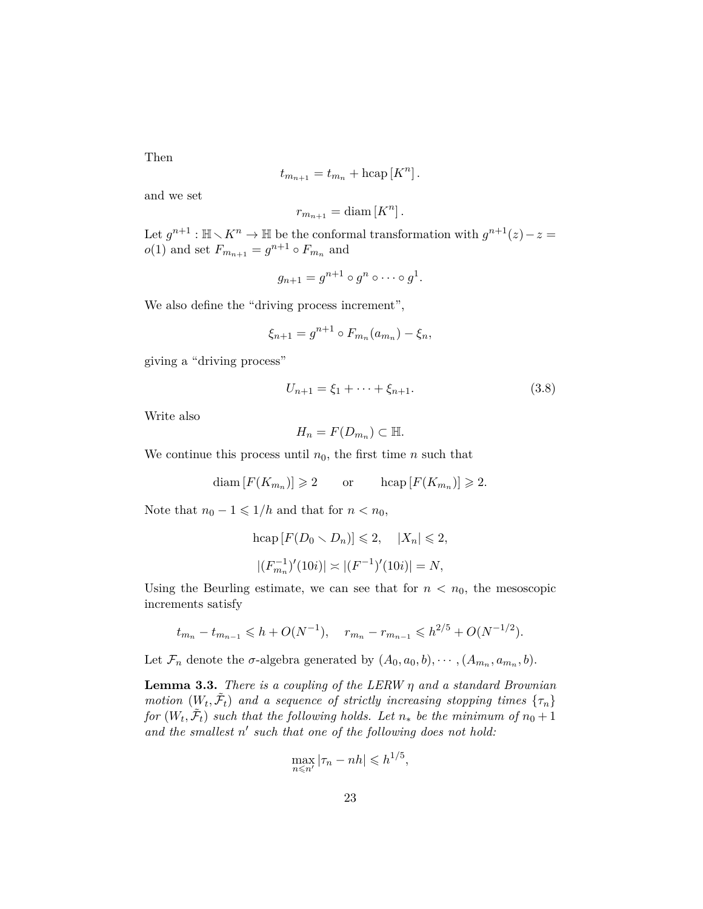Then

$$
t_{m_{n+1}} = t_{m_n} + \text{hcap}[K^n].
$$

and we set

$$
r_{m_{n+1}} = \text{diam}\left[K^n\right].
$$

Let  $g^{n+1}$ :  $\mathbb{H} \setminus K^n \to \mathbb{H}$  be the conformal transformation with  $g^{n+1}(z) - z =$  $o(1)$  and set  $F_{m_{n+1}} = g^{n+1} \circ F_{m_n}$  and

$$
g_{n+1}=g^{n+1}\circ g^n\circ\cdots\circ g^1.
$$

We also define the "driving process increment",

$$
\xi_{n+1} = g^{n+1} \circ F_{m_n}(a_{m_n}) - \xi_n,
$$

giving a "driving process"

$$
U_{n+1} = \xi_1 + \dots + \xi_{n+1}.
$$
\n(3.8)

Write also

$$
H_n = F(D_{m_n}) \subset \mathbb{H}.
$$

We continue this process until  $n_0$ , the first time  $n$  such that

$$
\text{diam}[F(K_{m_n})] \geq 2 \qquad \text{or} \qquad \text{hcap}[F(K_{m_n})] \geq 2.
$$

Note that  $n_0 - 1 \leq 1/h$  and that for  $n < n_0$ ,

$$
\text{hcap}[F(D_0 \setminus D_n)] \leq 2, \quad |X_n| \leq 2,
$$
  

$$
|(F_{m_n}^{-1})'(10i)| \approx |(F^{-1})'(10i)| = N,
$$

Using the Beurling estimate, we can see that for  $n < n_0$ , the mesoscopic increments satisfy

$$
t_{m_n} - t_{m_{n-1}} \leq h + O(N^{-1}), \quad r_{m_n} - r_{m_{n-1}} \leq h^{2/5} + O(N^{-1/2}).
$$

Let  $\mathcal{F}_n$  denote the  $\sigma$ -algebra generated by  $(A_0, a_0, b), \cdots, (A_{m_n}, a_{m_n}, b)$ .

<span id="page-22-0"></span>**Lemma 3.3.** *There is a coupling of the LERW η and a standard Brownian motion*  $(W_t, \tilde{\mathcal{F}}_t)$  *and a sequence of strictly increasing stopping times*  $\{\tau_n\}$ *for*  $(W_t, \tilde{\mathcal{F}}_t)$  *such that the following holds. Let*  $n_*$  *be the minimum of*  $n_0 + 1$ and the smallest  $n'$  such that one of the following does not hold:

$$
\max_{n \leq n'} |\tau_n - nh| \leqslant h^{1/5},
$$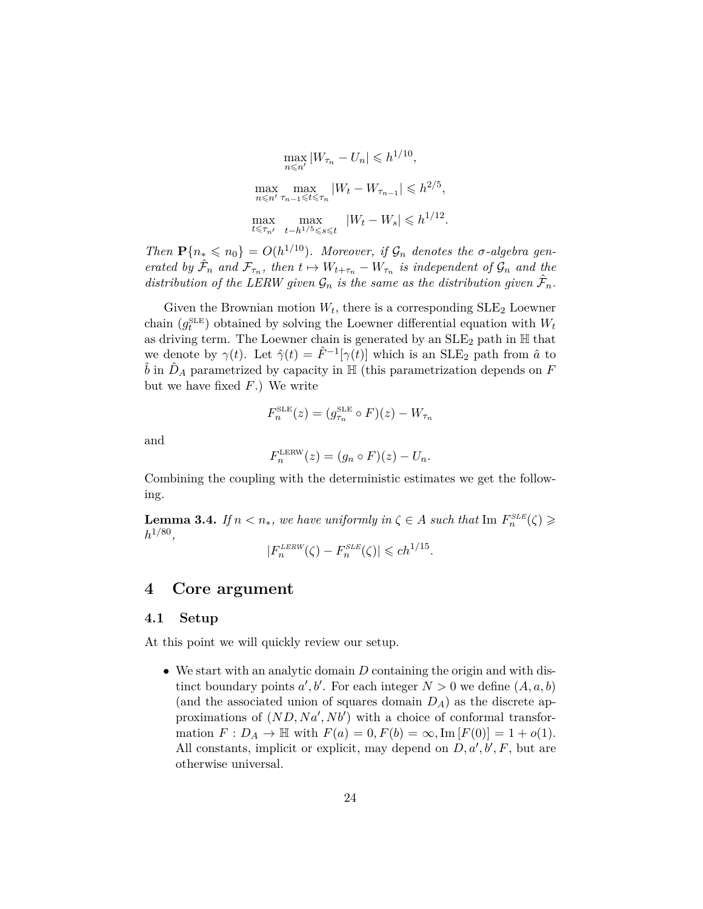$$
\max_{n \le n'} |W_{\tau_n} - U_n| \le h^{1/10},
$$
  

$$
\max_{n \le n'} \max_{\tau_{n-1} \le t \le \tau_n} |W_t - W_{\tau_{n-1}}| \le h^{2/5},
$$
  

$$
\max_{t \le \tau_{n'}} \max_{t - h^{1/5} \le s \le t} |W_t - W_s| \le h^{1/12}.
$$

*Then*  $P\{n_* \le n_0\} = O(h^{1/10})$ *. Moreover, if*  $\mathcal{G}_n$  *denotes the σ*-*algebra generated by*  $\hat{\mathcal{F}}_n$  *and*  $\mathcal{F}_{\tau_n}$ *, then*  $t \mapsto W_{t+\tau_n} - W_{\tau_n}$  *is independent of*  $\mathcal{G}_n$  *and the distribution of the LERW given*  $\mathcal{G}_n$  *is the same as the distribution given*  $\hat{\mathcal{F}}_n$ *.* 

Given the Brownian motion  $W_t$ , there is a corresponding  $SLE_2$  Loewner chain  $(g_t^{\text{SLE}})$  obtained by solving the Loewner differential equation with  $W_t$ as driving term. The Loewner chain is generated by an  $\text{SLE}_2$  path in  $\mathbb H$  that we denote by  $\gamma(t)$ . Let  $\hat{\gamma}(t) = \hat{F}^{-1}[\gamma(t)]$  which is an SLE<sub>2</sub> path from  $\hat{a}$  to  $\hat{b}$  in  $\hat{D}_A$  parametrized by capacity in  $\mathbb{H}$  (this parametrization depends on *F* but we have fixed *F*.) We write

$$
F_n^{\text{SLE}}(z) = (g_{\tau_n}^{\text{SLE}} \circ F)(z) - W_{\tau_n}
$$

and

$$
F_n^{\text{LERW}}(z) = (g_n \circ F)(z) - U_n.
$$

Combining the coupling with the deterministic estimates we get the following.

<span id="page-23-2"></span>**Lemma 3.4.** *If*  $n < n_*$ *, we have uniformly in*  $\zeta \in A$  *such that* Im  $F_n^{\text{SLE}}(\zeta) \geqslant$ *h* 1*/*80 *,*

$$
|F_n^{\text{LERW}}(\zeta) - F_n^{\text{SLE}}(\zeta)| \leq c h^{1/15}.
$$

## <span id="page-23-0"></span>**4 Core argument**

#### <span id="page-23-1"></span>**4.1 Setup**

At this point we will quickly review our setup.

• We start with an analytic domain *D* containing the origin and with distinct boundary points  $a', b'$ . For each integer  $N > 0$  we define  $(A, a, b)$ (and the associated union of squares domain  $D_A$ ) as the discrete approximations of  $(ND, Na', Nb')$  with a choice of conformal transformation  $F: D_A \to \mathbb{H}$  with  $F(a) = 0, F(b) = \infty, \text{Im}[F(0)] = 1 + o(1)$ . All constants, implicit or explicit, may depend on  $D, a', b', F$ , but are otherwise universal.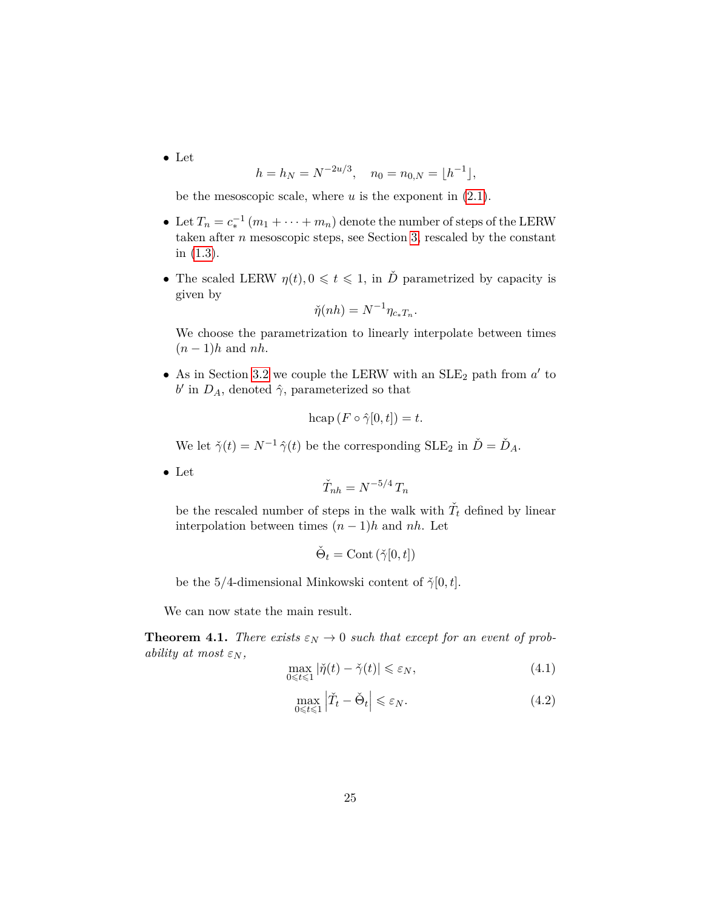• Let

$$
h = h_N = N^{-2u/3}, \quad n_0 = n_{0,N} = \lfloor h^{-1} \rfloor,
$$

be the mesoscopic scale, where *u* is the exponent in [\(2.1\)](#page-12-0).

- Let  $T_n = c_*^{-1} (m_1 + \cdots + m_n)$  denote the number of steps of the LERW taken after *n* mesoscopic steps, see Section [3,](#page-18-0) rescaled by the constant in [\(1.3\)](#page-8-0).
- The scaled LERW  $\eta(t), 0 \leq t \leq 1$ , in  $\check{D}$  parametrized by capacity is given by

$$
\check{\eta}(nh) = N^{-1} \eta_{c_* T_n}.
$$

We choose the parametrization to linearly interpolate between times (*n* − 1)*h* and *nh*.

• As in Section [3.2](#page-20-0) we couple the LERW with an  $SLE<sub>2</sub>$  path from  $a'$  to *b*<sup> $\prime$ </sup> in *D<sub><i>A*</sub>, denoted  $\hat{\gamma}$ , parameterized so that

$$
\mathrm{hcap}\,(F\circ\hat{\gamma}[0,t])=t.
$$

We let  $\check{\gamma}(t) = N^{-1} \hat{\gamma}(t)$  be the corresponding  $SLE_2$  in  $\check{D} = \check{D}_A$ .

• Let

$$
\check{T}_{nh} = N^{-5/4} \, T_n
$$

be the rescaled number of steps in the walk with  $\check{T}_t$  defined by linear interpolation between times  $(n-1)h$  and *nh*. Let

$$
\check{\Theta}_t = \text{Cont }(\check{\gamma}[0,t])
$$

be the 5/4-dimensional Minkowski content of  $\check{\gamma}[0,t]$ .

We can now state the main result.

<span id="page-24-0"></span>**Theorem 4.1.** *There exists*  $\varepsilon_N \to 0$  *such that except for an event of probability at most*  $\varepsilon_N$ *,* 

<span id="page-24-1"></span>
$$
\max_{0 \le t \le 1} |\check{\eta}(t) - \check{\gamma}(t)| \le \varepsilon_N,\tag{4.1}
$$

<span id="page-24-2"></span>
$$
\max_{0 \le t \le 1} \left| \check{T}_t - \check{\Theta}_t \right| \le \varepsilon_N. \tag{4.2}
$$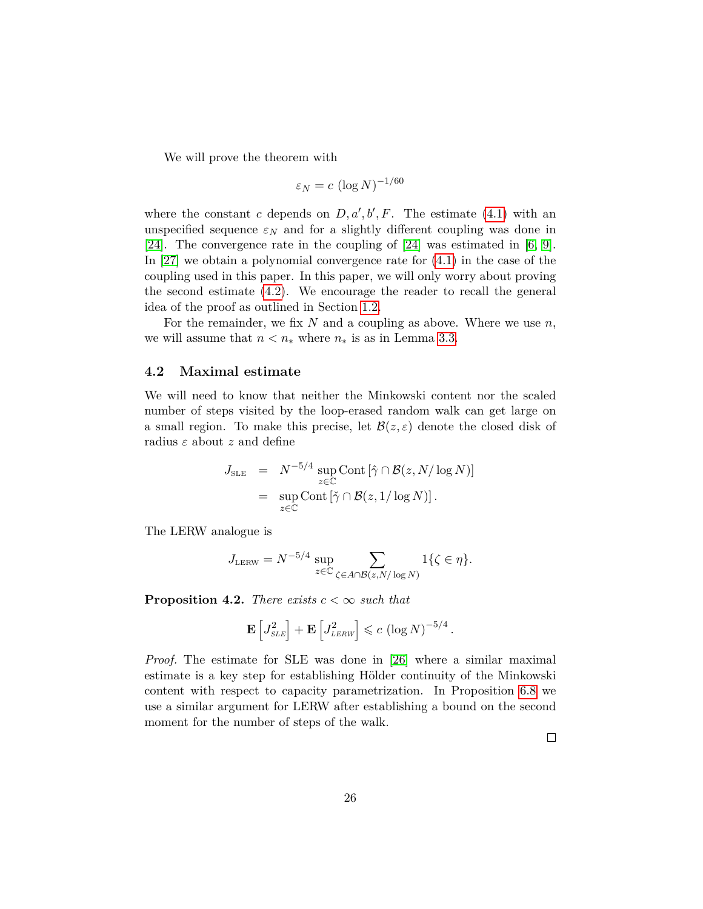We will prove the theorem with

$$
\varepsilon_N = c \, (\log N)^{-1/60}
$$

where the constant *c* depends on  $D, a', b', F$ . The estimate [\(4.1\)](#page-24-1) with an unspecified sequence  $\varepsilon_N$  and for a slightly different coupling was done in [\[24\]](#page-80-0). The convergence rate in the coupling of [\[24\]](#page-80-0) was estimated in [\[6,](#page-79-11) [9\]](#page-79-12). In [\[27\]](#page-80-5) we obtain a polynomial convergence rate for [\(4.1\)](#page-24-1) in the case of the coupling used in this paper. In this paper, we will only worry about proving the second estimate [\(4.2\)](#page-24-2). We encourage the reader to recall the general idea of the proof as outlined in Section [1.2.](#page-5-0)

For the remainder, we fix *N* and a coupling as above. Where we use *n*, we will assume that  $n < n_*$  where  $n_*$  is as in Lemma [3.3.](#page-22-0)

#### <span id="page-25-0"></span>**4.2 Maximal estimate**

We will need to know that neither the Minkowski content nor the scaled number of steps visited by the loop-erased random walk can get large on a small region. To make this precise, let  $\mathcal{B}(z,\varepsilon)$  denote the closed disk of radius *ε* about *z* and define

$$
J_{\text{SLE}} = N^{-5/4} \sup_{z \in \mathbb{C}} \text{Cont} \left[ \hat{\gamma} \cap \mathcal{B}(z, N/\log N) \right]
$$
  
= 
$$
\sup_{z \in \mathbb{C}} \text{Cont} \left[ \check{\gamma} \cap \mathcal{B}(z, 1/\log N) \right].
$$

The LERW analogue is

$$
J_{\text{\tiny LERW}} = N^{-5/4} \sup_{z \in \mathbb{C}} \sum_{\zeta \in A \cap \mathcal{B}(z,N/\log N)} 1\{\zeta \in \eta\}.
$$

<span id="page-25-1"></span>**Proposition 4.2.** *There exists*  $c < \infty$  *such that* 

$$
\mathbf{E}\left[J_{SLE}^2\right] + \mathbf{E}\left[J_{LERW}^2\right] \leqslant c \left(\log N\right)^{-5/4}.
$$

*Proof.* The estimate for SLE was done in [\[26\]](#page-80-3) where a similar maximal estimate is a key step for establishing Hölder continuity of the Minkowski content with respect to capacity parametrization. In Proposition [6.8](#page-53-0) we use a similar argument for LERW after establishing a bound on the second moment for the number of steps of the walk.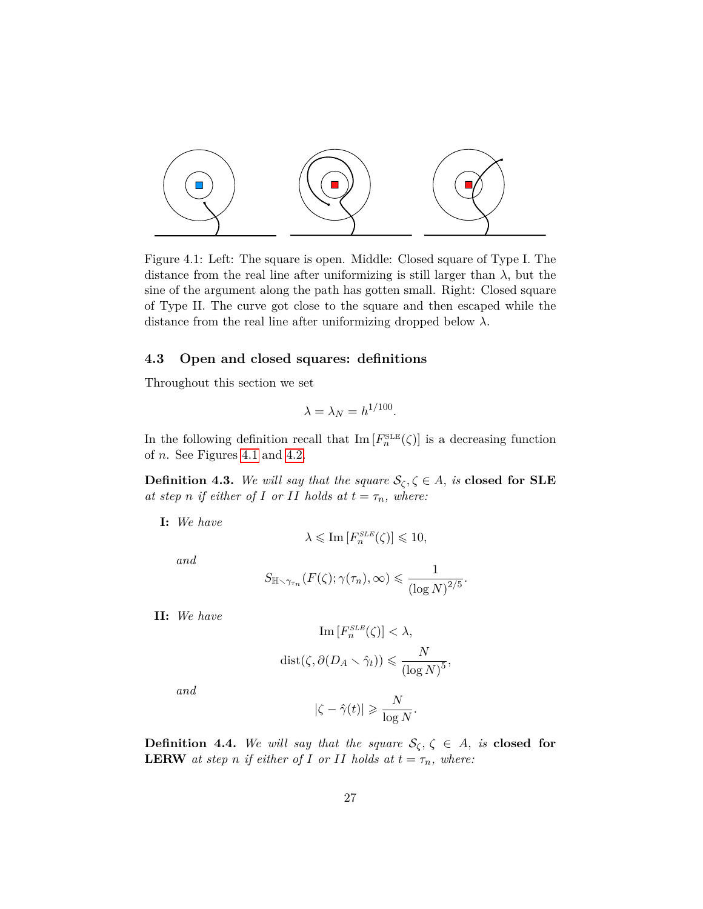

<span id="page-26-1"></span>Figure 4.1: Left: The square is open. Middle: Closed square of Type I. The distance from the real line after uniformizing is still larger than  $\lambda$ , but the sine of the argument along the path has gotten small. Right: Closed square of Type II. The curve got close to the square and then escaped while the distance from the real line after uniformizing dropped below *λ*.

#### <span id="page-26-0"></span>**4.3 Open and closed squares: definitions**

Throughout this section we set

$$
\lambda = \lambda_N = h^{1/100}.
$$

In the following definition recall that  $\text{Im}[F_n^{\text{SLE}}(\zeta)]$  is a decreasing function of *n*. See Figures [4.1](#page-26-1) and [4.2.](#page-27-0)

**Definition 4.3.** *We will say that the square*  $\mathcal{S}_{\zeta}, \zeta \in A$ , *is* **closed for SLE** *at step n if either of I or II holds at*  $t = \tau_n$ *, where:* 

**I:** *We have*

$$
\lambda \leqslant {\rm Im}\left[F_{n}^{SLE}(\zeta)\right] \leqslant 10,
$$

*and*

$$
S_{\mathbb{H}\smallsetminus\gamma_{\tau_n}}(F(\zeta);\gamma(\tau_n),\infty)\leqslant\frac{1}{(\log N)^{2/5}}.
$$

**II:** *We have*

$$
\operatorname{Im}\left[F_n^{SLE}(\zeta)\right] < \lambda,
$$
\n
$$
\operatorname{dist}(\zeta, \partial(D_A \setminus \hat{\gamma}_t)) \leqslant \frac{N}{(\log N)^5},
$$

*and*

$$
|\zeta - \hat{\gamma}(t)| \geqslant \frac{N}{\log N}.
$$

**Definition 4.4.** We will say that the square  $\mathcal{S}_{\zeta}, \zeta \in A$ , is **closed for LERW** *at step n if either of I or II holds at*  $t = \tau_n$ *, where:*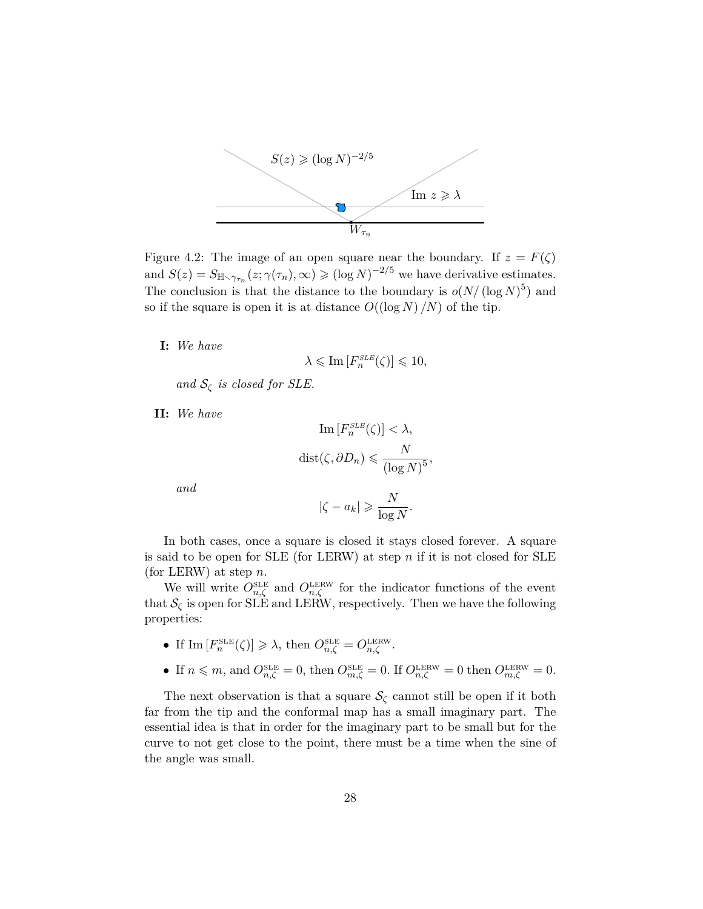

<span id="page-27-0"></span>Figure 4.2: The image of an open square near the boundary. If  $z = F(\zeta)$ and  $S(z) = S_{\mathbb{H}\setminus\gamma_{\tau_n}}(z;\gamma(\tau_n),\infty) \geqslant (\log N)^{-2/5}$  we have derivative estimates. The conclusion is that the distance to the boundary is  $o(N/(\log N)^5)$  and so if the square is open it is at distance  $O((\log N)/N)$  of the tip.

**I:** *We have*

$$
\lambda \leqslant \mathrm{Im}\left[F_{n}^{SLE}(\zeta)\right] \leqslant 10,
$$

*and*  $S_{\zeta}$  *is closed for SLE.* 

**II:** *We have*

Im 
$$
[F_n^{SLE}(\zeta)] < \lambda
$$
,  
dist $(\zeta, \partial D_n) \le \frac{N}{(\log N)^5}$ ,

*and*

$$
|\zeta - a_k| \geqslant \frac{N}{\log N}.
$$

In both cases, once a square is closed it stays closed forever. A square is said to be open for SLE (for LERW) at step *n* if it is not closed for SLE (for LERW) at step *n*.

We will write  $O_{n,\zeta}^{\text{SLE}}$  and  $O_{n,\zeta}^{\text{LERW}}$  for the indicator functions of the event that  $\mathcal{S}_{\zeta}$  is open for SLE and LERW, respectively. Then we have the following properties:

- If  $\text{Im}\left[F_n^{\text{SLE}}(\zeta)\right] \geqslant \lambda$ , then  $O_{n,\zeta}^{\text{SLE}} = O_{n,\zeta}^{\text{LERW}}$ .
- If  $n \leq m$ , and  $O_{n,\zeta}^{\text{SLE}} = 0$ , then  $O_{m,\zeta}^{\text{SLE}} = 0$ . If  $O_{n,\zeta}^{\text{LERW}} = 0$  then  $O_{m,\zeta}^{\text{LERW}} = 0$ .

The next observation is that a square  $\mathcal{S}_{\zeta}$  cannot still be open if it both far from the tip and the conformal map has a small imaginary part. The essential idea is that in order for the imaginary part to be small but for the curve to not get close to the point, there must be a time when the sine of the angle was small.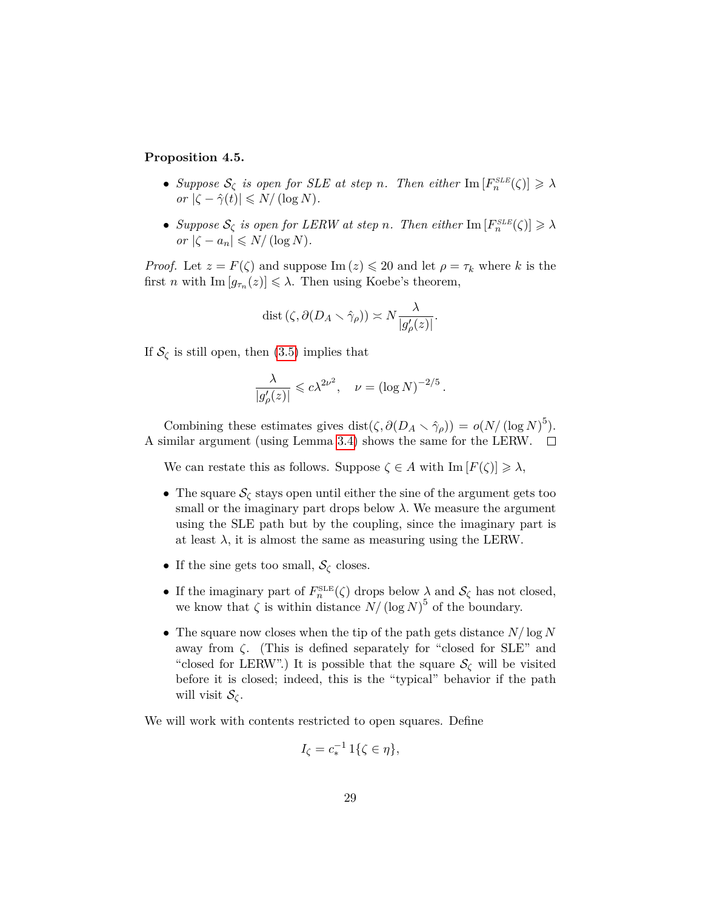#### <span id="page-28-0"></span>**Proposition 4.5.**

- *Suppose*  $S_{\zeta}$  *is open for SLE at step n. Then either*  $\text{Im}[F_n^{\text{SLE}}(\zeta)] \geq \lambda$  $or$   $|\zeta - \hat{\gamma}(t)| \leq N/(\log N)$ .
- *Suppose*  $S_{\zeta}$  *is open for LERW at step n. Then either*  $\text{Im}[F_n^{\text{SLE}}(\zeta)] \geq \lambda$  $or$   $|\zeta - a_n| \leq N/(\log N)$ .

*Proof.* Let  $z = F(\zeta)$  and suppose Im  $(z) \leq 20$  and let  $\rho = \tau_k$  where *k* is the first *n* with  $\text{Im}[g_{\tau_n}(z)] \leq \lambda$ . Then using Koebe's theorem,

$$
\operatorname{dist}(\zeta, \partial(D_A \setminus \hat{\gamma}\rho)) \asymp N \frac{\lambda}{|g'_{\rho}(z)|}.
$$

If  $S_{\zeta}$  is still open, then [\(3.5\)](#page-20-1) implies that

$$
\frac{\lambda}{|g'_{\rho}(z)|} \leqslant c\lambda^{2\nu^2}, \quad \nu = (\log N)^{-2/5}.
$$

Combining these estimates gives dist $(\zeta, \partial(D_A \setminus \hat{\gamma}_{\rho})) = o(N/(\log N)^5)$ . A similar argument (using Lemma [3.4\)](#page-23-2) shows the same for the LERW.  $\Box$ 

We can restate this as follows. Suppose  $\zeta \in A$  with  $\text{Im}[F(\zeta)] \geq \lambda$ ,

- The square  $S_{\zeta}$  stays open until either the sine of the argument gets too small or the imaginary part drops below  $\lambda$ . We measure the argument using the SLE path but by the coupling, since the imaginary part is at least  $\lambda$ , it is almost the same as measuring using the LERW.
- If the sine gets too small,  $S_{\zeta}$  closes.
- If the imaginary part of  $F_n^{\text{SLE}}(\zeta)$  drops below  $\lambda$  and  $\mathcal{S}_{\zeta}$  has not closed, we know that  $\zeta$  is within distance  $N/(\log N)^5$  of the boundary.
- The square now closes when the tip of the path gets distance *N/* log *N* away from *ζ*. (This is defined separately for "closed for SLE" and "closed for LERW".) It is possible that the square  $\mathcal{S}_{\zeta}$  will be visited before it is closed; indeed, this is the "typical" behavior if the path will visit  $S_{\mathcal{C}}$ .

We will work with contents restricted to open squares. Define

$$
I_{\zeta}=c_*^{-1}1\{\zeta\in\eta\},
$$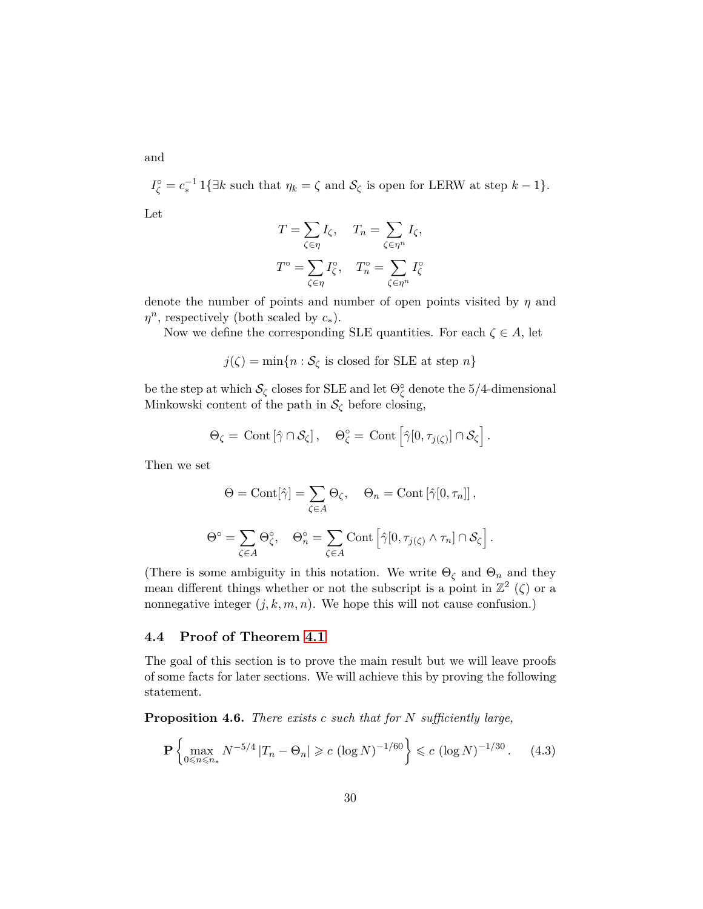and

 $I_{\zeta}^{\circ} = c_*^{-1} 1\{\exists k \text{ such that } \eta_k = \zeta \text{ and } \mathcal{S}_{\zeta} \text{ is open for LERNW at step } k-1\}.$ Let

$$
T = \sum_{\zeta \in \eta} I_{\zeta}, \quad T_n = \sum_{\zeta \in \eta^n} I_{\zeta},
$$

$$
T^{\circ} = \sum_{\zeta \in \eta} I_{\zeta}^{\circ}, \quad T_n^{\circ} = \sum_{\zeta \in \eta^n} I_{\zeta}^{\circ}
$$

denote the number of points and number of open points visited by *η* and *η n* , respectively (both scaled by *c*∗).

Now we define the corresponding SLE quantities. For each  $\zeta \in A$ , let

 $j(\zeta) = \min\{n : S_{\zeta} \text{ is closed for SLE at step } n\}$ 

be the step at which  $\mathcal{S}_\zeta$  closes for SLE and let  $\Theta_\zeta^\circ$  denote the 5/4-dimensional Minkowski content of the path in  $\mathcal{S}_{\zeta}$  before closing,

$$
\Theta_{\zeta} = \mathrm{Cont} \left[ \hat{\gamma} \cap \mathcal{S}_{\zeta} \right], \quad \Theta_{\zeta}^{\circ} = \mathrm{Cont} \left[ \hat{\gamma} [0, \tau_{j(\zeta)}] \cap \mathcal{S}_{\zeta} \right].
$$

Then we set

$$
\Theta = \text{Cont}[\hat{\gamma}] = \sum_{\zeta \in A} \Theta_{\zeta}, \quad \Theta_n = \text{Cont}[\hat{\gamma}[0, \tau_n]],
$$

$$
\Theta^{\circ} = \sum_{\zeta \in A} \Theta_{\zeta}^{\circ}, \quad \Theta_n^{\circ} = \sum_{\zeta \in A} \text{Cont}[\hat{\gamma}[0, \tau_{j(\zeta)} \wedge \tau_n] \cap \mathcal{S}_{\zeta}].
$$

(There is some ambiguity in this notation. We write  $\Theta_{\zeta}$  and  $\Theta_n$  and they mean different things whether or not the subscript is a point in  $\mathbb{Z}^2$  ( $\zeta$ ) or a nonnegative integer  $(j, k, m, n)$ . We hope this will not cause confusion.)

#### <span id="page-29-0"></span>**4.4 Proof of Theorem [4.1](#page-24-0)**

The goal of this section is to prove the main result but we will leave proofs of some facts for later sections. We will achieve this by proving the following statement.

<span id="page-29-2"></span>**Proposition 4.6.** *There exists c such that for N sufficiently large,*

<span id="page-29-1"></span>
$$
\mathbf{P}\left\{\max_{0\leqslant n\leqslant n_*} N^{-5/4} |T_n - \Theta_n| \geqslant c \left(\log N\right)^{-1/60}\right\} \leqslant c \left(\log N\right)^{-1/30}.\tag{4.3}
$$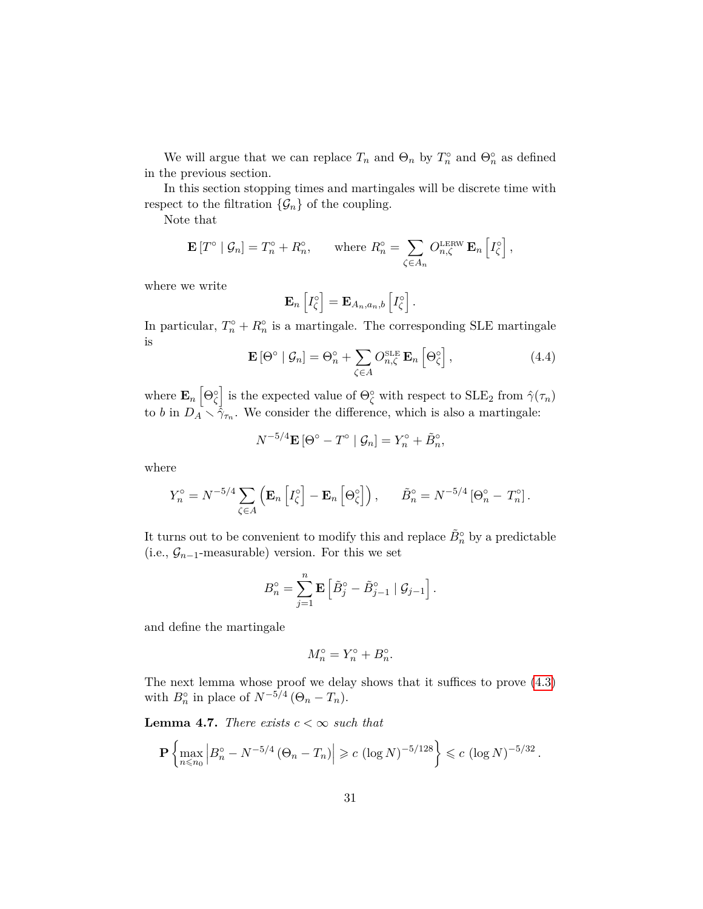We will argue that we can replace  $T_n$  and  $\Theta_n$  by  $T_n^{\circ}$  and  $\Theta_n^{\circ}$  as defined in the previous section.

In this section stopping times and martingales will be discrete time with respect to the filtration  $\{\mathcal{G}_n\}$  of the coupling.

Note that

$$
\mathbf{E}[T^{\circ} \mid \mathcal{G}_n] = T_n^{\circ} + R_n^{\circ}, \quad \text{where } R_n^{\circ} = \sum_{\zeta \in A_n} O_{n,\zeta}^{\text{LERW}} \mathbf{E}_n \left[ I_{\zeta}^{\circ} \right],
$$

where we write

$$
\mathbf{E}_n\left[I_{\zeta}^{\circ}\right]=\mathbf{E}_{A_n,a_n,b}\left[I_{\zeta}^{\circ}\right].
$$

In particular,  $T_n^{\circ} + R_n^{\circ}$  is a martingale. The corresponding SLE martingale is

$$
\mathbf{E}\left[\Theta^{\circ} \mid \mathcal{G}_n\right] = \Theta_n^{\circ} + \sum_{\zeta \in A} O_{n,\zeta}^{\text{SLE}} \mathbf{E}_n \left[\Theta_{\zeta}^{\circ}\right],\tag{4.4}
$$

where  $\mathbf{E}_n \left[ \Theta_{\zeta}^{\circ} \right]$  is the expected value of  $\Theta_{\zeta}^{\circ}$  with respect to  $\text{SLE}_2$  from  $\hat{\gamma}(\tau_n)$ to *b* in  $D_A \times \hat{\gamma}_{\tau_n}$ . We consider the difference, which is also a martingale:

$$
N^{-5/4}\mathbf{E}\left[\Theta^{\circ}-T^{\circ}\mid\mathcal{G}_n\right]=Y_n^{\circ}+\tilde{B}_n^{\circ},
$$

where

$$
Y_n^{\circ} = N^{-5/4} \sum_{\zeta \in A} \left( \mathbf{E}_n \left[ I_{\zeta}^{\circ} \right] - \mathbf{E}_n \left[ \Theta_{\zeta}^{\circ} \right] \right), \quad \tilde{B}_n^{\circ} = N^{-5/4} \left[ \Theta_n^{\circ} - T_n^{\circ} \right].
$$

It turns out to be convenient to modify this and replace  $\tilde{B}^\circ_n$  by a predictable (i.e., G*n*−1-measurable) version. For this we set

$$
B_n^{\circ} = \sum_{j=1}^n \mathbf{E} \left[ \tilde{B}_j^{\circ} - \tilde{B}_{j-1}^{\circ} \mid \mathcal{G}_{j-1} \right].
$$

and define the martingale

$$
M_n^{\circ} = Y_n^{\circ} + B_n^{\circ}.
$$

The next lemma whose proof we delay shows that it suffices to prove [\(4.3\)](#page-29-1) with  $B_n^{\circ}$  in place of  $N^{-5/4}$  ( $\Theta_n - T_n$ ).

**Lemma 4.7.** *There exists*  $c < \infty$  *such that* 

$$
\mathbf{P}\left\{\max_{n\leq n_0} \left|B_n^{\circ} - N^{-5/4} \left(\Theta_n - T_n\right)\right| \geqslant c \left(\log N\right)^{-5/128}\right\} \leqslant c \left(\log N\right)^{-5/32}.
$$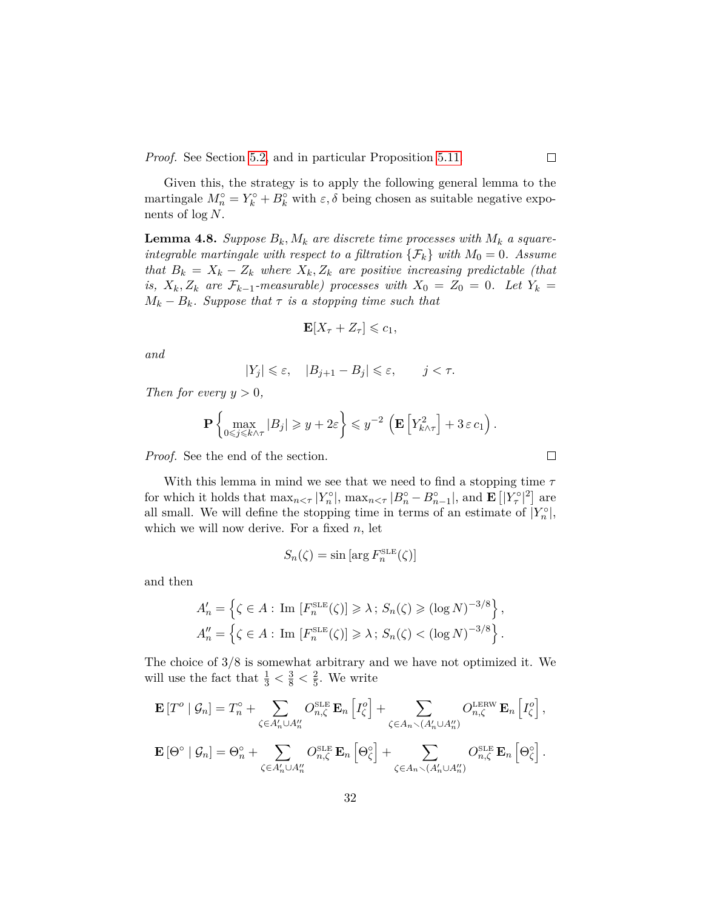*Proof.* See Section [5.2,](#page-41-0) and in particular Proposition [5.11.](#page-43-0)

Given this, the strategy is to apply the following general lemma to the martingale  $M_n^{\circ} = Y_k^{\circ} + B_k^{\circ}$  with  $\varepsilon, \delta$  being chosen as suitable negative exponents of log *N*.

<span id="page-31-0"></span>**Lemma 4.8.** *Suppose*  $B_k$ ,  $M_k$  *are discrete time processes with*  $M_k$  *a squareintegrable martingale with respect to a filtration*  $\{\mathcal{F}_k\}$  *with*  $M_0 = 0$ *. Assume that*  $B_k = X_k - Z_k$  *where*  $X_k, Z_k$  *are positive increasing predictable (that is,*  $X_k, Z_k$  are  $\mathcal{F}_{k-1}$ -measurable) processes with  $X_0 = Z_0 = 0$ . Let  $Y_k =$  $M_k - B_k$ *. Suppose that*  $\tau$  *is a stopping time such that* 

$$
\mathbf{E}[X_{\tau} + Z_{\tau}] \leqslant c_1,
$$

*and*

$$
|Y_j| \leqslant \varepsilon, \quad |B_{j+1} - B_j| \leqslant \varepsilon, \qquad j < \tau.
$$

*Then for every*  $y > 0$ ,

$$
\mathbf{P}\left\{\max_{0\leq j\leq k\wedge\tau}|B_j|\geqslant y+2\varepsilon\right\}\leqslant y^{-2}\left(\mathbf{E}\left[Y_{k\wedge\tau}^2\right]+3\,\varepsilon\,c_1\right).
$$

*Proof.* See the end of the section.

With this lemma in mind we see that we need to find a stopping time *τ* for which it holds that  $\max_{n \leq \tau} |Y_n^{\circ}|$ ,  $\max_{n \leq \tau} |B_n^{\circ} - B_{n-1}^{\circ}|$ , and  $\mathbf{E} [|Y_\tau^{\circ}|^2]$  are all small. We will define the stopping time in terms of an estimate of  $|Y_n^{\circ}|$ , which we will now derive. For a fixed *n*, let

$$
S_n(\zeta) = \sin \left[ \arg F_n^{\text{SLE}}(\zeta) \right]
$$

and then

$$
A'_n = \left\{ \zeta \in A : \text{Im} \left[ F_n^{\text{SLE}}(\zeta) \right] \geq \lambda \, ; \, S_n(\zeta) \geq (\log N)^{-3/8} \right\},
$$
  

$$
A''_n = \left\{ \zeta \in A : \text{Im} \left[ F_n^{\text{SLE}}(\zeta) \right] \geq \lambda \, ; \, S_n(\zeta) < (\log N)^{-3/8} \right\}.
$$

The choice of 3*/*8 is somewhat arbitrary and we have not optimized it. We will use the fact that  $\frac{1}{3} < \frac{3}{8} < \frac{2}{5}$  $\frac{2}{5}$ . We write

$$
\mathbf{E}\left[T^o \mid \mathcal{G}_n\right] = T_n^o + \sum_{\zeta \in A'_n \cup A''_n} O_{n,\zeta}^{\text{SLE}} \mathbf{E}_n \left[I_\zeta^o\right] + \sum_{\zeta \in A_n \smallsetminus (A'_n \cup A''_n)} O_{n,\zeta}^{\text{LERW}} \mathbf{E}_n \left[I_\zeta^o\right],
$$
  

$$
\mathbf{E}\left[\Theta^\circ \mid \mathcal{G}_n\right] = \Theta_n^\circ + \sum_{\zeta \in A'_n \cup A''_n} O_{n,\zeta}^{\text{SLE}} \mathbf{E}_n \left[\Theta_\zeta^\circ\right] + \sum_{\zeta \in A_n \smallsetminus (A'_n \cup A''_n)} O_{n,\zeta}^{\text{SLE}} \mathbf{E}_n \left[\Theta_\zeta^\circ\right].
$$

 $\Box$ 

 $\Box$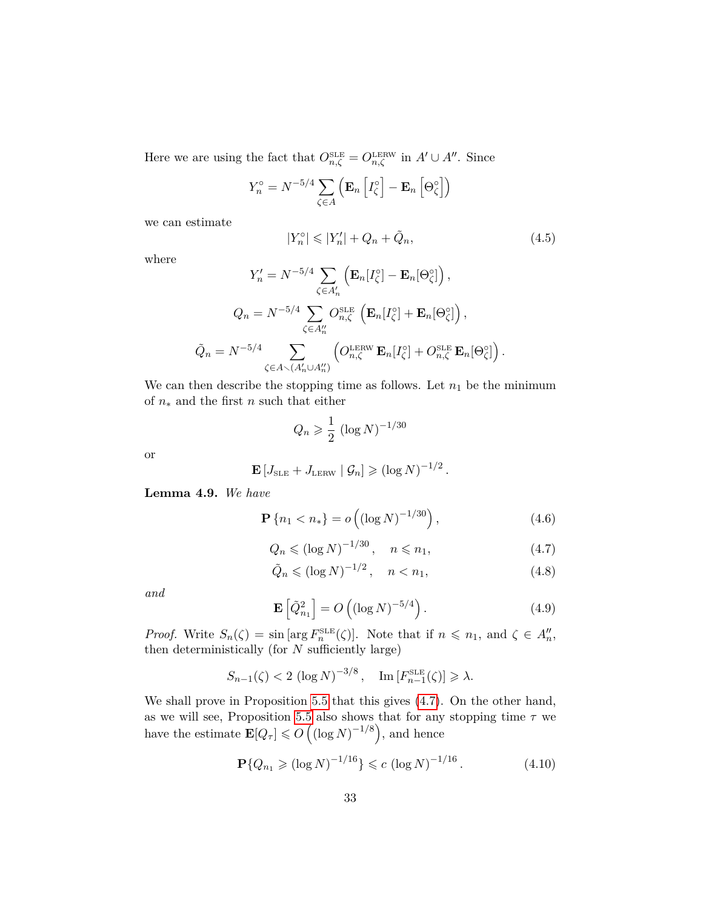Here we are using the fact that  $O_{n,\zeta}^{\text{SLE}} = O_{n,\zeta}^{\text{LERW}}$  in  $A' \cup A''$ . Since

$$
Y_n^{\circ} = N^{-5/4} \sum_{\zeta \in A} \left( \mathbf{E}_n \left[ I_{\zeta}^{\circ} \right] - \mathbf{E}_n \left[ \Theta_{\zeta}^{\circ} \right] \right)
$$

we can estimate

<span id="page-32-5"></span>
$$
|Y_n^{\circ}| \leqslant |Y_n'| + Q_n + \tilde{Q}_n,\tag{4.5}
$$

where

$$
Y'_{n} = N^{-5/4} \sum_{\zeta \in A'_{n}} \left( \mathbf{E}_{n} [I_{\zeta}^{\circ}] - \mathbf{E}_{n} [\Theta_{\zeta}^{\circ}] \right),
$$
  

$$
Q_{n} = N^{-5/4} \sum_{\zeta \in A''_{n}} O_{n,\zeta}^{\text{SLE}} \left( \mathbf{E}_{n} [I_{\zeta}^{\circ}] + \mathbf{E}_{n} [\Theta_{\zeta}^{\circ}] \right),
$$
  

$$
\tilde{Q}_{n} = N^{-5/4} \sum_{\zeta \in A \smallsetminus (A'_{n} \cup A''_{n})} \left( O_{n,\zeta}^{\text{LERW}} \mathbf{E}_{n} [I_{\zeta}^{\circ}] + O_{n,\zeta}^{\text{SLE}} \mathbf{E}_{n} [\Theta_{\zeta}^{\circ}] \right).
$$

We can then describe the stopping time as follows. Let  $n_1$  be the minimum of *n*<sup>∗</sup> and the first *n* such that either

$$
Q_n \geqslant \frac{1}{2} \left( \log N \right)^{-1/30}
$$

or

$$
\mathbf{E}[J_{\text{SLE}} + J_{\text{LERW}} | \mathcal{G}_n] \geqslant (\log N)^{-1/2}.
$$

**Lemma 4.9.** *We have*

<span id="page-32-4"></span>
$$
\mathbf{P}\left\{n_1 < n_*\right\} = o\left(\left(\log N\right)^{-1/30}\right),\tag{4.6}
$$

<span id="page-32-0"></span>
$$
Q_n \leqslant (\log N)^{-1/30}, \quad n \leqslant n_1,\tag{4.7}
$$

<span id="page-32-1"></span>
$$
\tilde{Q}_n \le (\log N)^{-1/2}, \quad n < n_1,\tag{4.8}
$$

*and*

<span id="page-32-2"></span>
$$
\mathbf{E}\left[\tilde{Q}_{n_1}^2\right] = O\left(\left(\log N\right)^{-5/4}\right). \tag{4.9}
$$

*Proof.* Write  $S_n(\zeta) = \sin \left[\arg F_n^{\text{SLE}}(\zeta)\right]$ . Note that if  $n \leq n_1$ , and  $\zeta \in A_n^{\prime\prime}$ , then deterministically (for *N* sufficiently large)

$$
S_{n-1}(\zeta) < 2 \left(\log N\right)^{-3/8}, \quad \operatorname{Im}\left[F_{n-1}^{\operatorname{SLE}}(\zeta)\right] \geqslant \lambda.
$$

We shall prove in Proposition [5.5](#page-38-0) that this gives [\(4.7\)](#page-32-0). On the other hand, as we will see, Proposition [5.5](#page-38-0) also shows that for any stopping time *τ* we have the estimate  $\mathbf{E}[Q_{\tau}] \leqslant O\left(\left(\log N\right)^{-1/8}\right)$ , and hence

<span id="page-32-3"></span>
$$
\mathbf{P}\{Q_{n_1} \geqslant (\log N)^{-1/16}\} \leqslant c \; (\log N)^{-1/16} \,. \tag{4.10}
$$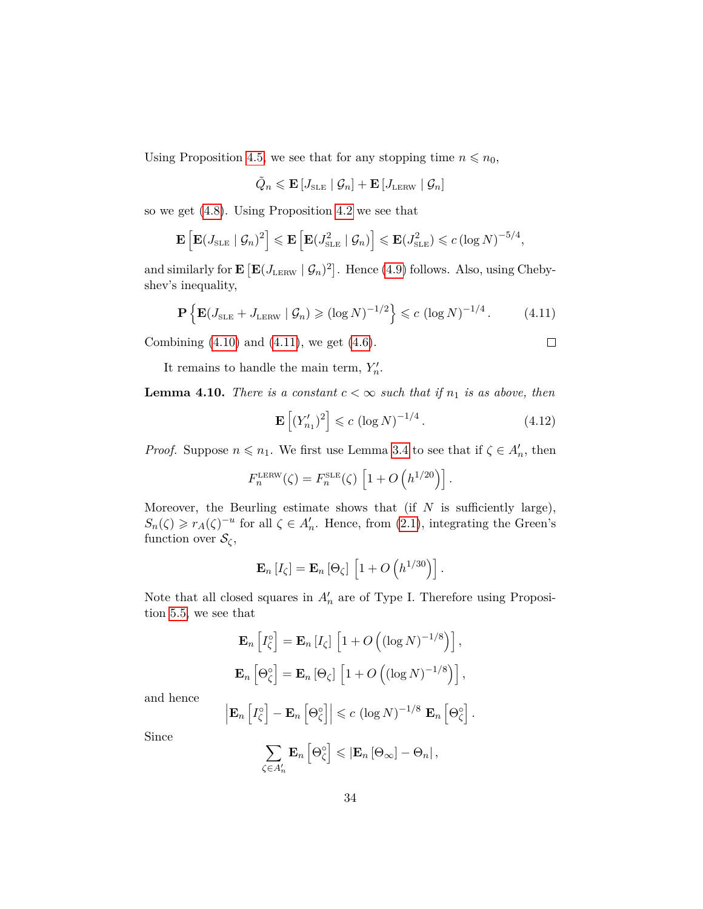Using Proposition [4.5,](#page-28-0) we see that for any stopping time  $n \le n_0$ ,

$$
\tilde{Q}_n \leqslant \mathbf{E} \left[ J_\text{\tiny SLE} \mid \mathcal{G}_n \right] + \mathbf{E} \left[ J_\text{\tiny LERW} \mid \mathcal{G}_n \right]
$$

so we get [\(4.8\)](#page-32-1). Using Proposition [4.2](#page-25-1) we see that

$$
\mathbf{E}\left[\mathbf{E}(J_{\text{SLE}} \mid \mathcal{G}_n)^2\right] \leqslant \mathbf{E}\left[\mathbf{E}(J_{\text{SLE}}^2 \mid \mathcal{G}_n)\right] \leqslant \mathbf{E}(J_{\text{SLE}}^2) \leqslant c\left(\log N\right)^{-5/4},
$$

and similarly for  $\mathbf{E} [\mathbf{E} (J_{\text{LERW}} | \mathcal{G}_n)^2]$ . Hence [\(4.9\)](#page-32-2) follows. Also, using Chebyshev's inequality,

<span id="page-33-0"></span>
$$
\mathbf{P}\left\{\mathbf{E}(J_{\text{SLE}} + J_{\text{LERW}} \mid \mathcal{G}_n) \geq (\log N)^{-1/2}\right\} \leq c \left(\log N\right)^{-1/4}.\tag{4.11}
$$

Combining  $(4.10)$  and  $(4.11)$ , we get  $(4.6)$ .

 $\Box$ 

It remains to handle the main term,  $Y'_n$ .

**Lemma 4.10.** *There is a constant*  $c < \infty$  *such that if*  $n_1$  *is as above, then* 

<span id="page-33-1"></span>
$$
\mathbf{E}\left[ (Y'_{n_1})^2 \right] \leqslant c \left( \log N \right)^{-1/4}.
$$
\n(4.12)

*Proof.* Suppose  $n \le n_1$ . We first use Lemma [3.4](#page-23-2) to see that if  $\zeta \in A_n'$ , then

$$
F_n^{\text{LERW}}(\zeta) = F_n^{\text{SLE}}(\zeta) \left[ 1 + O\left( h^{1/20} \right) \right].
$$

Moreover, the Beurling estimate shows that (if *N* is sufficiently large),  $S_n(\zeta) \geq r_A(\zeta)^{-u}$  for all  $\zeta \in A_n'$ . Hence, from [\(2.1\)](#page-12-0), integrating the Green's function over  $\mathcal{S}_{\zeta}$ ,

$$
\mathbf{E}_n[I_\zeta] = \mathbf{E}_n[\Theta_\zeta] \left[1 + O\left(h^{1/30}\right)\right].
$$

Note that all closed squares in  $A'_n$  are of Type I. Therefore using Proposition [5.5,](#page-38-0) we see that

$$
\mathbf{E}_n \left[ I_{\zeta}^{\circ} \right] = \mathbf{E}_n \left[ I_{\zeta} \right] \left[ 1 + O\left( (\log N)^{-1/8} \right) \right],
$$
  

$$
\mathbf{E}_n \left[ \Theta_{\zeta}^{\circ} \right] = \mathbf{E}_n \left[ \Theta_{\zeta} \right] \left[ 1 + O\left( (\log N)^{-1/8} \right) \right],
$$

and hence

$$
\left|\mathbf{E}_n\left[I_{\zeta}^{\circ}\right]-\mathbf{E}_n\left[\Theta_{\zeta}^{\circ}\right]\right|\leqslant c\,\left(\log N\right)^{-1/8}\,\mathbf{E}_n\left[\Theta_{\zeta}^{\circ}\right].
$$

Since

$$
\sum_{\zeta \in A'_n} \mathbf{E}_n \left[ \Theta_{\zeta}^{\circ} \right] \leqslant \left| \mathbf{E}_n \left[ \Theta_{\infty} \right] - \Theta_n \right|,
$$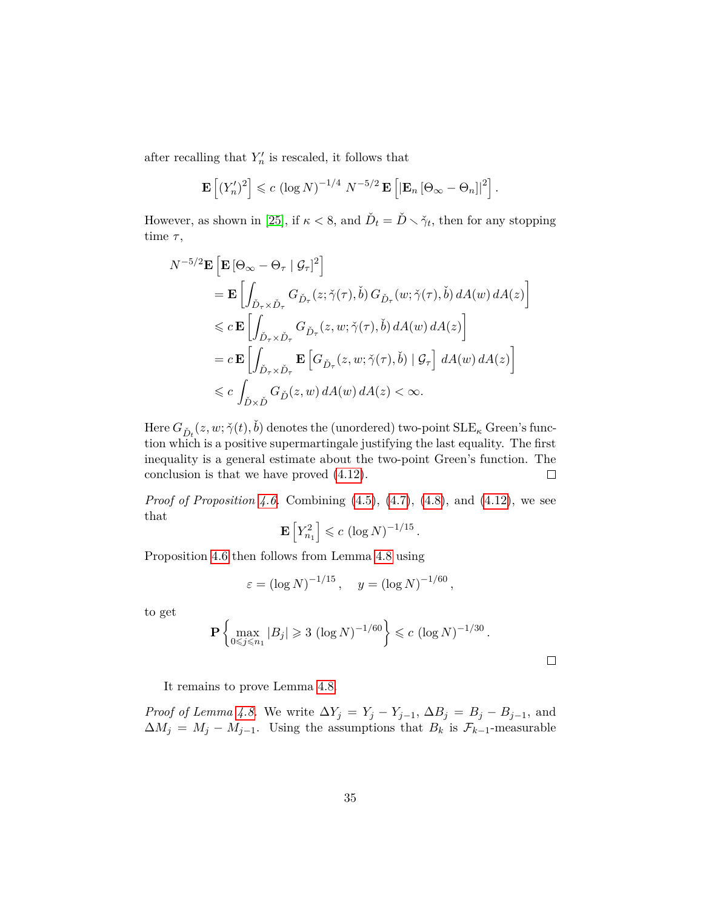after recalling that  $Y'_n$  is rescaled, it follows that

$$
\mathbf{E}\left[ (Y_n')^2 \right] \leqslant c \left( \log N \right)^{-1/4} N^{-5/2} \mathbf{E}\left[ \left| \mathbf{E}_n \left[ \Theta_\infty - \Theta_n \right] \right|^2 \right].
$$

However, as shown in [\[25\]](#page-80-7), if  $\kappa < 8$ , and  $\check{D}_t = \check{D} \setminus \check{\gamma}_t$ , then for any stopping time *τ* ,

$$
N^{-5/2} \mathbf{E} \left[ \mathbf{E} \left[ \Theta_{\infty} - \Theta_{\tau} \mid \mathcal{G}_{\tau} \right]^{2} \right]
$$
  
\n
$$
= \mathbf{E} \left[ \int_{\check{D}_{\tau} \times \check{D}_{\tau}} G_{\check{D}_{\tau}}(z; \check{\gamma}(\tau), \check{b}) G_{\check{D}_{\tau}}(w; \check{\gamma}(\tau), \check{b}) dA(w) dA(z) \right]
$$
  
\n
$$
\leq c \mathbf{E} \left[ \int_{\check{D}_{\tau} \times \check{D}_{\tau}} G_{\check{D}_{\tau}}(z, w; \check{\gamma}(\tau), \check{b}) dA(w) dA(z) \right]
$$
  
\n
$$
= c \mathbf{E} \left[ \int_{\check{D}_{\tau} \times \check{D}_{\tau}} \mathbf{E} \left[ G_{\check{D}_{\tau}}(z, w; \check{\gamma}(\tau), \check{b}) \mid \mathcal{G}_{\tau} \right] dA(w) dA(z) \right]
$$
  
\n
$$
\leq c \int_{\check{D} \times \check{D}} G_{\check{D}}(z, w) dA(w) dA(z) < \infty.
$$

 $\text{Here } G_{\check{D}t}(z,w;\check{\gamma}(t),\check{b}) \text{ denotes the (unordered) two-point SLE}_{\kappa} \text{ Green's func-}$ tion which is a positive supermartingale justifying the last equality. The first inequality is a general estimate about the two-point Green's function. The conclusion is that we have proved [\(4.12\)](#page-33-1).  $\Box$ 

*Proof of Proposition [4.6.](#page-29-2)* Combining [\(4.5\)](#page-32-5), [\(4.7\)](#page-32-0), [\(4.8\)](#page-32-1), and [\(4.12\)](#page-33-1), we see that

$$
\mathbf{E}\left[Y_{n_1}^2\right] \leqslant c \left(\log N\right)^{-1/15}.
$$

Proposition [4.6](#page-29-2) then follows from Lemma [4.8](#page-31-0) using

$$
\varepsilon = (\log N)^{-1/15}
$$
,  $y = (\log N)^{-1/60}$ ,

to get

$$
\mathbf{P}\left\{\max_{0\leq j\leq n_1}|B_j|\geq 3\right. (\log N)^{-1/60}\right\}\leqslant c\left.(\log N)^{-1/30}\right..
$$

It remains to prove Lemma [4.8.](#page-31-0)

*Proof of Lemma [4.8.](#page-31-0)* We write  $\Delta Y_j = Y_j - Y_{j-1}, \Delta B_j = B_j - B_{j-1}$ , and  $\Delta M_j = M_j - M_{j-1}$ . Using the assumptions that  $B_k$  is  $\mathcal{F}_{k-1}$ -measurable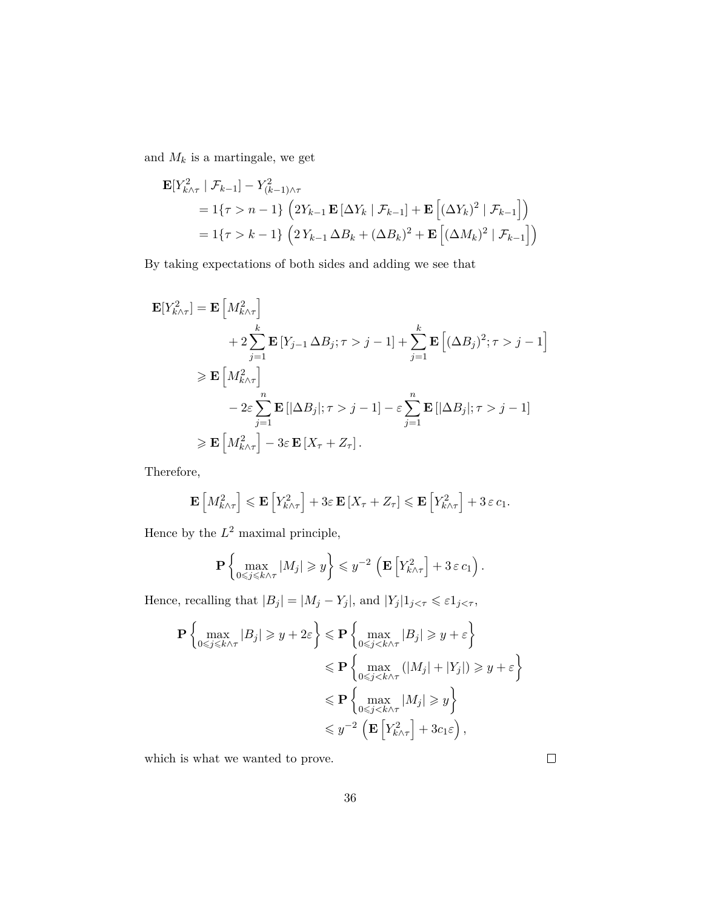and  $M_k$  is a martingale, we get

$$
\mathbf{E}[Y_{k \wedge \tau}^{2} | \mathcal{F}_{k-1}] - Y_{(k-1) \wedge \tau}^{2}
$$
\n
$$
= 1\{\tau > n - 1\} \left(2Y_{k-1} \mathbf{E} [\Delta Y_{k} | \mathcal{F}_{k-1}] + \mathbf{E} [(\Delta Y_{k})^{2} | \mathcal{F}_{k-1}] \right)
$$
\n
$$
= 1\{\tau > k - 1\} \left(2Y_{k-1} \Delta B_{k} + (\Delta B_{k})^{2} + \mathbf{E} [(\Delta M_{k})^{2} | \mathcal{F}_{k-1}] \right)
$$

By taking expectations of both sides and adding we see that

$$
\mathbf{E}[Y_{k\wedge\tau}^{2}] = \mathbf{E}\left[M_{k\wedge\tau}^{2}\right] \n+ 2\sum_{j=1}^{k} \mathbf{E}\left[Y_{j-1}\Delta B_{j};\tau > j-1\right] + \sum_{j=1}^{k} \mathbf{E}\left[(\Delta B_{j})^{2};\tau > j-1\right] \n\geqslant \mathbf{E}\left[M_{k\wedge\tau}^{2}\right] \n- 2\varepsilon \sum_{j=1}^{n} \mathbf{E}\left[|\Delta B_{j}|;\tau > j-1\right] - \varepsilon \sum_{j=1}^{n} \mathbf{E}\left[|\Delta B_{j}|;\tau > j-1\right] \n\geqslant \mathbf{E}\left[M_{k\wedge\tau}^{2}\right] - 3\varepsilon \mathbf{E}\left[X_{\tau} + Z_{\tau}\right].
$$

Therefore,

$$
\mathbf{E}\left[M_{k\wedge\tau}^{2}\right] \leqslant \mathbf{E}\left[Y_{k\wedge\tau}^{2}\right] + 3\varepsilon \mathbf{E}\left[X_{\tau} + Z_{\tau}\right] \leqslant \mathbf{E}\left[Y_{k\wedge\tau}^{2}\right] + 3\varepsilon c_{1}.
$$

Hence by the  $L^2$  maximal principle,

$$
\mathbf{P}\left\{\max_{0\leq j\leq k\wedge\tau}|M_j|\geq y\right\}\leq y^{-2}\left(\mathbf{E}\left[Y_{k\wedge\tau}^2\right]+3\,\varepsilon\,c_1\right).
$$

Hence, recalling that  $|B_j| = |M_j - Y_j|$ , and  $|Y_j|1_{j < \tau} \leq \varepsilon 1_{j < \tau}$ ,

$$
\mathbf{P}\left\{\max_{0\leq j\leq k\wedge\tau}|B_j|\geq y+2\varepsilon\right\}\leqslant \mathbf{P}\left\{\max_{0\leqslant j\leq k\wedge\tau}|B_j|\geqslant y+\varepsilon\right\}
$$

$$
\leqslant \mathbf{P}\left\{\max_{0\leqslant j\leqslant k\wedge\tau}(|M_j|+|Y_j|)\geqslant y+\varepsilon\right\}
$$

$$
\leqslant \mathbf{P}\left\{\max_{0\leqslant j\leqslant k\wedge\tau}|M_j|\geqslant y\right\}
$$

$$
\leqslant y^{-2}\left(\mathbf{E}\left[Y_{k\wedge\tau}^2\right]+3c_1\varepsilon\right),\right.
$$

which is what we wanted to prove.

 $\Box$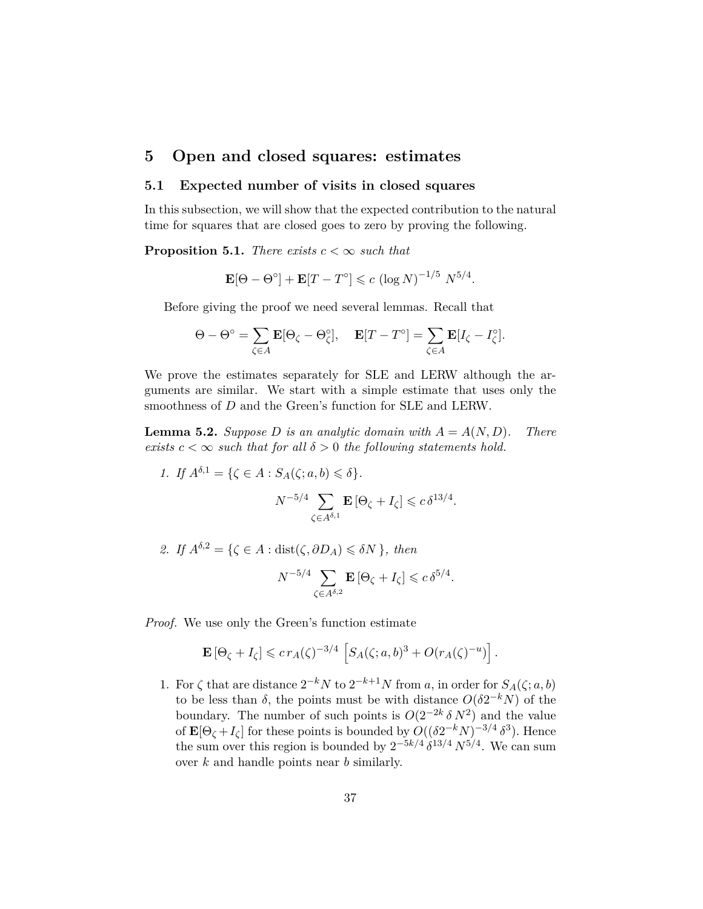# **5 Open and closed squares: estimates**

#### **5.1 Expected number of visits in closed squares**

In this subsection, we will show that the expected contribution to the natural time for squares that are closed goes to zero by proving the following.

<span id="page-36-0"></span>**Proposition 5.1.** *There exists*  $c < \infty$  *such that* 

$$
\mathbf{E}[\Theta - \Theta^{\circ}] + \mathbf{E}[T - T^{\circ}] \leqslant c \left(\log N\right)^{-1/5} N^{5/4}.
$$

Before giving the proof we need several lemmas. Recall that

$$
\Theta - \Theta^{\circ} = \sum_{\zeta \in A} \mathbf{E}[\Theta_{\zeta} - \Theta_{\zeta}^{\circ}], \quad \mathbf{E}[T - T^{\circ}] = \sum_{\zeta \in A} \mathbf{E}[I_{\zeta} - I_{\zeta}^{\circ}].
$$

We prove the estimates separately for SLE and LERW although the arguments are similar. We start with a simple estimate that uses only the smoothness of *D* and the Green's function for SLE and LERW.

**Lemma 5.2.** *Suppose D is an analytic domain with*  $A = A(N, D)$ *. There exists*  $c < \infty$  *such that for all*  $\delta > 0$  *the following statements hold.* 

1. If 
$$
A^{\delta,1} = \{ \zeta \in A : S_A(\zeta; a, b) \le \delta \}
$$
.  

$$
N^{-5/4} \sum_{\zeta \in A^{\delta,1}} \mathbf{E} \left[ \Theta_{\zeta} + I_{\zeta} \right] \le c \delta^{13/4}
$$

*2. If*  $A^{\delta,2} = \{ \zeta \in A : \text{dist}(\zeta, \partial D_A) \leq \delta N \}$ , then

$$
N^{-5/4} \sum_{\zeta \in A^{\delta,2}} \mathbf{E} \left[ \Theta_{\zeta} + I_{\zeta} \right] \leqslant c \, \delta^{5/4}.
$$

*.*

*Proof.* We use only the Green's function estimate

$$
\mathbf{E}\left[\Theta_{\zeta}+I_{\zeta}\right] \leqslant c \, r_A(\zeta)^{-3/4} \left[S_A(\zeta;a,b)^3 + O(r_A(\zeta)^{-u})\right].
$$

1. For  $\zeta$  that are distance  $2^{-k}N$  to  $2^{-k+1}N$  from *a*, in order for  $S_A(\zeta; a, b)$ to be less than  $\delta$ , the points must be with distance  $O(\delta 2^{-k}N)$  of the boundary. The number of such points is  $O(2^{-2k}\delta N^2)$  and the value of  $\mathbf{E}[\Theta_{\zeta} + I_{\zeta}]$  for these points is bounded by  $O((\delta 2^{-k}N)^{-3/4} \delta^3)$ . Hence the sum over this region is bounded by  $2^{-5k/4} \delta^{13/4} N^{5/4}$ . We can sum over *k* and handle points near *b* similarly.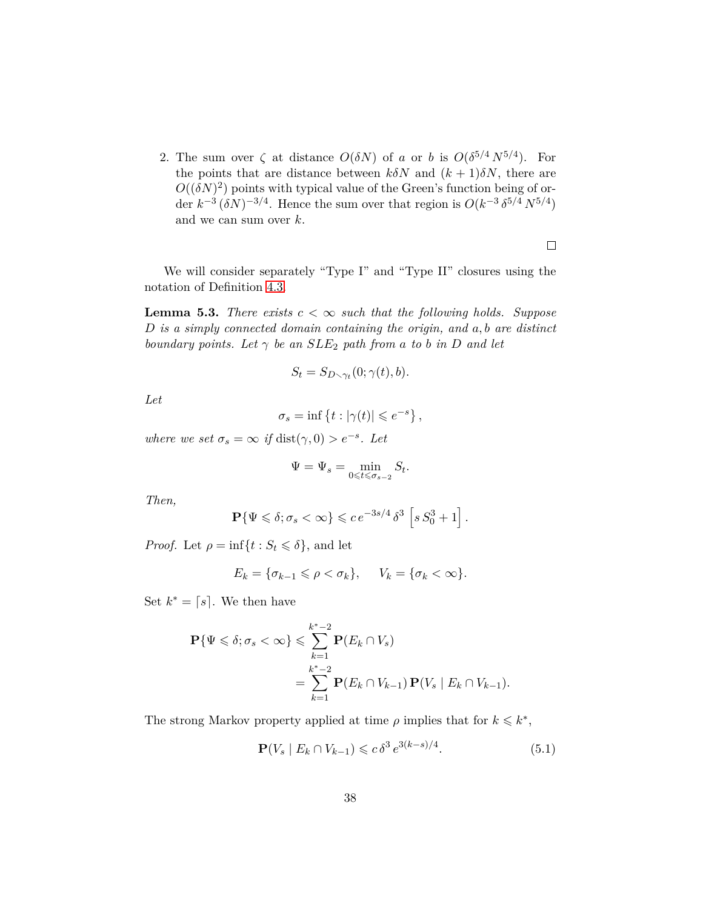2. The sum over  $\zeta$  at distance  $O(\delta N)$  of *a* or *b* is  $O(\delta^{5/4} N^{5/4})$ . For the points that are distance between  $k\delta N$  and  $(k+1)\delta N$ , there are  $O((\delta N)^2)$  points with typical value of the Green's function being of order  $k^{-3} (\delta N)^{-3/4}$ . Hence the sum over that region is  $O(k^{-3} \delta^{5/4} N^{5/4})$ and we can sum over *k*.

We will consider separately "Type I" and "Type II" closures using the notation of Definition [4.3.](#page-26-0)

<span id="page-37-1"></span>**Lemma 5.3.** *There exists*  $c < \infty$  *such that the following holds. Suppose D is a simply connected domain containing the origin, and a, b are distinct boundary points.* Let  $\gamma$  *be an*  $SLE_2$  *path from a to b in D and let* 

$$
S_t = S_{D \setminus \gamma_t}(0; \gamma(t), b).
$$

*Let*

$$
\sigma_s = \inf \left\{ t : |\gamma(t)| \leqslant e^{-s} \right\},\,
$$

*where we set*  $\sigma_s = \infty$  *if* dist $(\gamma, 0) > e^{-s}$ . Let

$$
\Psi=\Psi_s=\min_{0\leqslant t\leqslant\sigma_{s-2}}S_t.
$$

*Then,*

$$
\mathbf{P}\{\Psi \leqslant \delta; \sigma_s < \infty\} \leqslant c \, e^{-3s/4} \, \delta^3 \, \left[s \, S_0^3 + 1\right].
$$

*Proof.* Let  $\rho = \inf\{t : S_t \leq \delta\}$ , and let

$$
E_k = \{\sigma_{k-1} \leqslant \rho < \sigma_k\}, \quad V_k = \{\sigma_k < \infty\}.
$$

Set  $k^* = \lceil s \rceil$ . We then have

$$
\mathbf{P}\{\Psi \leqslant \delta; \sigma_s < \infty\} \leqslant \sum_{k=1}^{k^*-2} \mathbf{P}(E_k \cap V_s)
$$
\n
$$
= \sum_{k=1}^{k^*-2} \mathbf{P}(E_k \cap V_{k-1}) \mathbf{P}(V_s \mid E_k \cap V_{k-1}).
$$

The strong Markov property applied at time  $\rho$  implies that for  $k \leq k^*$ ,

<span id="page-37-0"></span>
$$
\mathbf{P}(V_s \mid E_k \cap V_{k-1}) \leq c \, \delta^3 \, e^{3(k-s)/4}.\tag{5.1}
$$

 $\Box$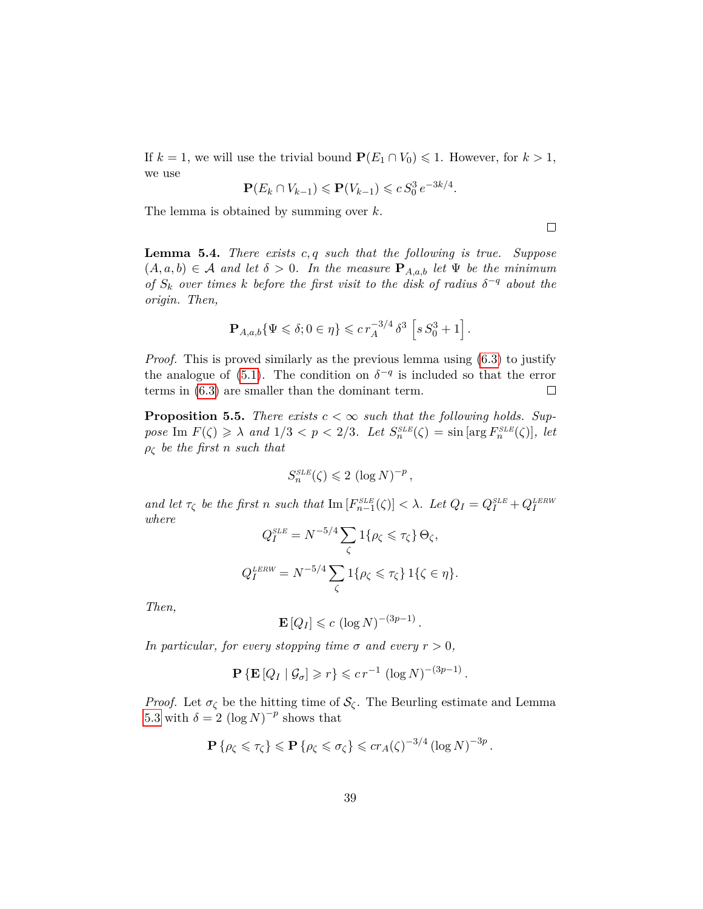If  $k = 1$ , we will use the trivial bound  $P(E_1 \cap V_0) \leq 1$ . However, for  $k > 1$ , we use

$$
\mathbf{P}(E_k \cap V_{k-1}) \leq \mathbf{P}(V_{k-1}) \leq c S_0^3 e^{-3k/4}.
$$

The lemma is obtained by summing over *k*.

 $\Box$ 

<span id="page-38-0"></span>**Lemma 5.4.** *There exists c, q such that the following is true. Suppose*  $(A, a, b) \in \mathcal{A}$  and let  $\delta > 0$ . In the measure  $\mathbf{P}_{A, a, b}$  let  $\Psi$  be the minimum *of*  $S_k$  *over times k before the first visit to the disk of radius*  $\delta^{-q}$  *about the origin. Then,*

$$
\mathbf{P}_{A,a,b}\{\Psi \leqslant \delta; 0 \in \eta\} \leqslant c \, r_A^{-3/4} \, \delta^3 \, \left[ s \, S_0^3 + 1 \right].
$$

*Proof.* This is proved similarly as the previous lemma using [\(6.3\)](#page-46-0) to justify the analogue of [\(5.1\)](#page-37-0). The condition on  $\delta^{-q}$  is included so that the error terms in [\(6.3\)](#page-46-0) are smaller than the dominant term.  $\Box$ 

<span id="page-38-1"></span>**Proposition 5.5.** *There exists*  $c < \infty$  *such that the following holds. Suppose* Im  $F(\zeta) \ge \lambda$  *and*  $1/3 < p < 2/3$ *. Let*  $S_n^{SLE}(\zeta) = \sin \left[\arg F_n^{SLE}(\zeta)\right]$ *, let ρ<sup>ζ</sup> be the first n such that*

$$
S_n^{\text{SLE}}(\zeta) \leq 2 (\log N)^{-p},
$$

and let  $\tau_{\zeta}$  be the first n such that  $\text{Im}[F_{n-1}^{SLE}(\zeta)] < \lambda$ . Let  $Q_I = Q_I^{SLE} + Q_I^{LERW}$ *where* −5*/*4X

$$
Q_I^{SLE} = N^{-5/4} \sum_{\zeta} 1\{\rho_{\zeta} \le \tau_{\zeta}\} \Theta_{\zeta},
$$
  

$$
Q_I^{LERW} = N^{-5/4} \sum_{\zeta} 1\{\rho_{\zeta} \le \tau_{\zeta}\} 1\{\zeta \in \eta\}.
$$

*Then,*

$$
\mathbf{E}[Q_I] \leqslant c \left(\log N\right)^{-(3p-1)}.
$$

*In particular, for every stopping time*  $\sigma$  *and every*  $r > 0$ *,* 

$$
\mathbf{P}\left\{\mathbf{E}\left[Q_I \mid \mathcal{G}_{\sigma}\right] \geqslant r\right\} \leqslant c \, r^{-1} \, \left(\log N\right)^{-(3p-1)}.
$$

*Proof.* Let  $\sigma_{\zeta}$  be the hitting time of  $\mathcal{S}_{\zeta}$ . The Beurling estimate and Lemma [5.3](#page-37-1) with  $\delta = 2 (\log N)^{-p}$  shows that

$$
\mathbf{P}\left\{\rho_{\zeta}\leqslant\tau_{\zeta}\right\}\leqslant\mathbf{P}\left\{\rho_{\zeta}\leqslant\sigma_{\zeta}\right\}\leqslant cr_{A}(\zeta)^{-3/4}\left(\log N\right)^{-3p}.
$$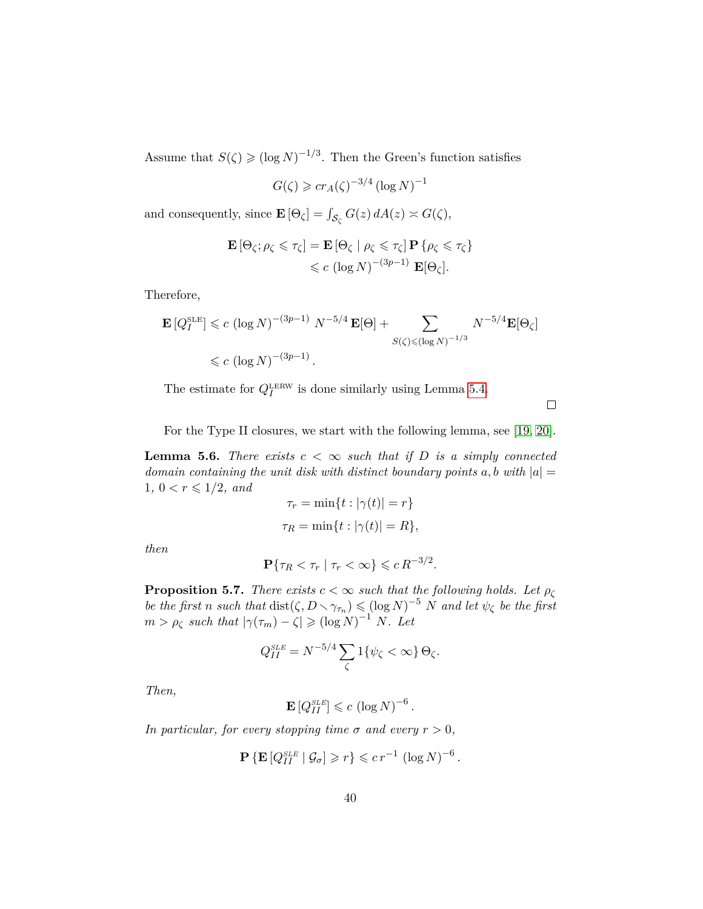Assume that  $S(\zeta) \geq (\log N)^{-1/3}$ . Then the Green's function satisfies

$$
G(\zeta) \geqslant cr_A(\zeta)^{-3/4} \left(\log N\right)^{-1}
$$

and consequently, since  $\mathbf{E}[\Theta_{\zeta}] = \int_{\mathcal{S}_{\zeta}} G(z) dA(z) \asymp G(\zeta),$ 

$$
\mathbf{E}[\Theta_{\zeta}; \rho_{\zeta} \leq \tau_{\zeta}] = \mathbf{E}[\Theta_{\zeta} | \rho_{\zeta} \leq \tau_{\zeta}] \mathbf{P} \{ \rho_{\zeta} \leq \tau_{\zeta} \}
$$
  

$$
\leq c (\log N)^{-(3p-1)} \mathbf{E}[\Theta_{\zeta}].
$$

Therefore,

$$
\mathbf{E}[Q_I^{\text{SLE}}] \le c \left(\log N\right)^{-(3p-1)} N^{-5/4} \mathbf{E}[\Theta] + \sum_{S(\zeta) \le (\log N)^{-1/3}} N^{-5/4} \mathbf{E}[\Theta_{\zeta}]
$$
  
 $\le c \left(\log N\right)^{-(3p-1)}.$ 

The estimate for  $Q_I^{\text{LERW}}$  is done similarly using Lemma [5.4.](#page-38-0)

 $\Box$ 

For the Type II closures, we start with the following lemma, see [\[19,](#page-80-0) [20\]](#page-80-1).

<span id="page-39-0"></span>**Lemma 5.6.** *There exists*  $c < \infty$  *such that if*  $D$  *is a simply connected domain containing the unit disk with distinct boundary points*  $a, b$  with  $|a| =$  $1, 0 < r \leq 1/2, and$ 

$$
\tau_r = \min\{t : |\gamma(t)| = r\}
$$
  

$$
\tau_R = \min\{t : |\gamma(t)| = R\},\
$$

*then*

$$
\mathbf{P}\{\tau_R < \tau_r \mid \tau_r < \infty\} \leqslant c R^{-3/2}.
$$

<span id="page-39-1"></span>**Proposition 5.7.** *There exists*  $c < \infty$  *such that the following holds. Let*  $\rho_{\zeta}$ *be the first n such that* dist $(\zeta, D \setminus \gamma_{\tau_n}) \leq (\log N)^{-5}$  *N and let*  $\psi_{\zeta}$  *be the first*  $m > \rho_{\zeta}$  *such that*  $|\gamma(\tau_m) - \zeta| \geqslant (\log N)^{-1} N$ *. Let* 

$$
Q_{II}^{SLE} = N^{-5/4} \sum_{\zeta} 1\{\psi_{\zeta} < \infty\} \Theta_{\zeta}.
$$

*Then,*

$$
\mathbf{E}\left[Q_{II}^{SLE}\right] \leqslant c \left(\log N\right)^{-6}
$$

*.*

*In particular, for every stopping time*  $\sigma$  *and every*  $r > 0$ *,* 

$$
\mathbf{P}\left\{\mathbf{E}\left[Q_{II}^{SLE} \mid \mathcal{G}_{\sigma}\right] \geqslant r\right\} \leqslant c r^{-1} \left(\log N\right)^{-6}.
$$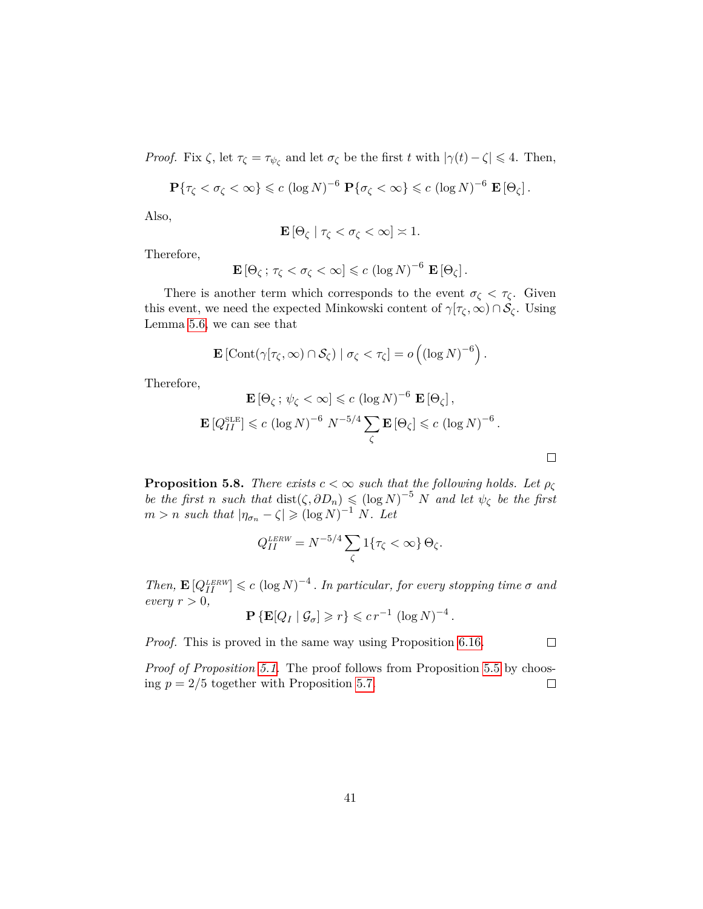*Proof.* Fix  $\zeta$ , let  $\tau_{\zeta} = \tau_{\psi_{\zeta}}$  and let  $\sigma_{\zeta}$  be the first *t* with  $|\gamma(t) - \zeta| \leq 4$ . Then,

$$
\mathbf{P}\{\tau_{\zeta} < \sigma_{\zeta} < \infty\} \leqslant c \left(\log N\right)^{-6} \mathbf{P}\{\sigma_{\zeta} < \infty\} \leqslant c \left(\log N\right)^{-6} \mathbf{E}\left[\Theta_{\zeta}\right].
$$

Also,

$$
\mathbf{E}\left[\Theta_{\zeta} \mid \tau_{\zeta} < \sigma_{\zeta} < \infty\right] \asymp 1.
$$

Therefore,

$$
\mathbf{E}[\Theta_{\zeta}\,;\,\tau_{\zeta}<\sigma_{\zeta}<\infty]\leqslant c\,\left(\log N\right)^{-6}\,\mathbf{E}\left[\Theta_{\zeta}\right].
$$

There is another term which corresponds to the event  $\sigma_{\zeta} < \tau_{\zeta}$ . Given this event, we need the expected Minkowski content of  $\gamma[\tau_{\zeta}, \infty) \cap \mathcal{S}_{\zeta}$ . Using Lemma [5.6,](#page-39-0) we can see that

$$
\mathbf{E}\left[\mathrm{Cont}(\gamma[\tau_{\zeta},\infty)\cap S_{\zeta})\mid \sigma_{\zeta}<\tau_{\zeta}\right]=o\left((\log N)^{-6}\right).
$$

Therefore,

$$
\mathbf{E}[\Theta_{\zeta}; \psi_{\zeta} < \infty] \leqslant c (\log N)^{-6} \mathbf{E}[\Theta_{\zeta}],
$$
  

$$
\mathbf{E}[Q_{II}^{\text{SLE}}] \leqslant c (\log N)^{-6} N^{-5/4} \sum_{\zeta} \mathbf{E}[\Theta_{\zeta}] \leqslant c (\log N)^{-6}.
$$

**Proposition 5.8.** *There exists*  $c < \infty$  *such that the following holds. Let*  $\rho_{\zeta}$ *be the first n such that* dist $(\zeta, \partial D_n) \leq (\log N)^{-5} N$  *and let*  $\psi_{\zeta}$  *be the first*  $m > n$  *such that*  $|\eta_{\sigma_n} - \zeta| \geqslant (\log N)^{-1} N$ *. Let* 

$$
Q_{II}^{LERW} = N^{-5/4} \sum_{\zeta} 1\{\tau_{\zeta} < \infty\} \Theta_{\zeta}.
$$

*Then,*  $\mathbf{E}[Q_{II}^{LERW}] \leq c (\log N)^{-4}$ . *In particular, for every stopping time*  $\sigma$  *and*  $every r > 0,$ 

$$
\mathbf{P}\left\{\mathbf{E}[Q_I \mid \mathcal{G}_\sigma] \geqslant r\right\} \leqslant c r^{-1} \left(\log N\right)^{-4}.
$$

*Proof.* This is proved in the same way using Proposition [6.16.](#page-69-0)

*Proof of Proposition [5.1.](#page-36-0)* The proof follows from Proposition [5.5](#page-38-1) by choosing  $p = 2/5$  together with Proposition [5.7.](#page-39-1)  $\Box$ 

 $\Box$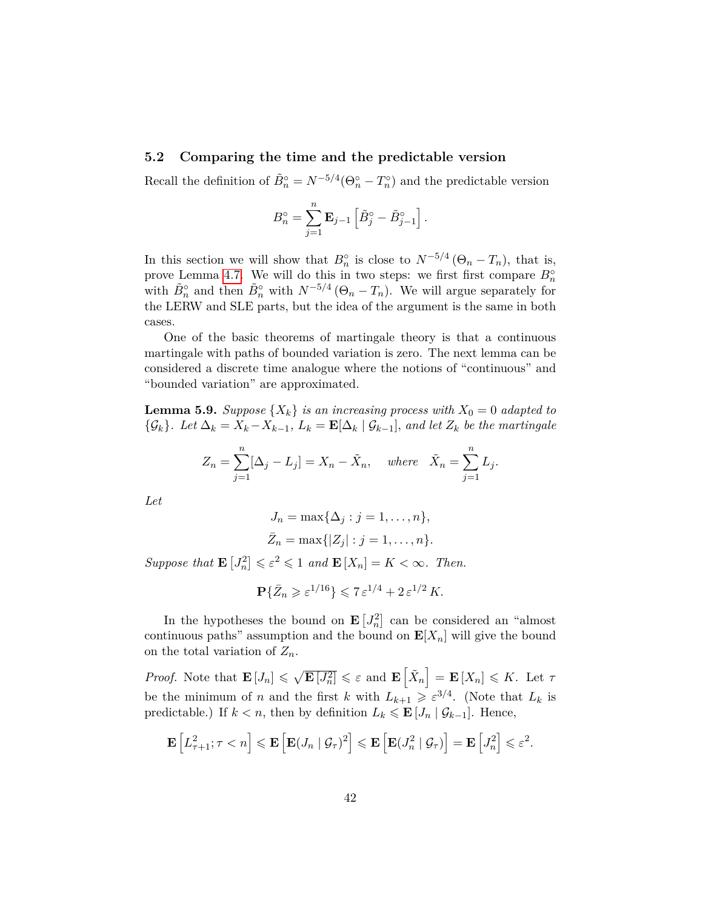#### **5.2 Comparing the time and the predictable version**

Recall the definition of  $\tilde{B}_n^{\circ} = N^{-5/4}(\Theta_n^{\circ} - T_n^{\circ})$  and the predictable version

$$
B_n^{\circ} = \sum_{j=1}^n \mathbf{E}_{j-1} \left[ \tilde{B}_j^{\circ} - \tilde{B}_{j-1}^{\circ} \right].
$$

In this section we will show that  $B_n^{\circ}$  is close to  $N^{-5/4}$  ( $\Theta_n - T_n$ ), that is, prove Lemma [4.7.](#page-30-0) We will do this in two steps: we first first compare  $B_n^{\circ}$ with  $\tilde{B}_n^{\circ}$  and then  $\tilde{B}_n^{\circ}$  with  $N^{-5/4}$  ( $\Theta_n - T_n$ ). We will argue separately for the LERW and SLE parts, but the idea of the argument is the same in both cases.

One of the basic theorems of martingale theory is that a continuous martingale with paths of bounded variation is zero. The next lemma can be considered a discrete time analogue where the notions of "continuous" and "bounded variation" are approximated.

**Lemma 5.9.** *Suppose*  $\{X_k\}$  *is an increasing process with*  $X_0 = 0$  *adapted to*  ${\mathcal{G}_k}$ *. Let*  $\Delta_k = X_k - X_{k-1}$ *,*  $L_k = \mathbf{E}[\Delta_k | {\mathcal{G}_{k-1}}]$ *, and let*  $Z_k$  *be the martingale* 

$$
Z_n = \sum_{j=1}^n [\Delta_j - L_j] = X_n - \tilde{X}_n, \quad \text{where} \quad \tilde{X}_n = \sum_{j=1}^n L_j.
$$

*Let*

$$
J_n = \max{\{\Delta_j : j = 1, ..., n\}},
$$
  
 $\bar{Z}_n = \max{\{|Z_j| : j = 1, ..., n\}}.$ 

*Suppose that*  $\mathbf{E}[J_n^2] \leq \varepsilon^2 \leq 1$  *and*  $\mathbf{E}[X_n] = K < \infty$ *. Then.* 

$$
\mathbf{P}\{\bar{Z}_n \geqslant \varepsilon^{1/16}\} \leqslant 7\,\varepsilon^{1/4} + 2\,\varepsilon^{1/2}\,K.
$$

In the hypotheses the bound on  $\mathbf{E}\left[J_n^2\right]$  can be considered an "almost continuous paths" assumption and the bound on  $\mathbf{E}[X_n]$  will give the bound on the total variation of  $Z_n$ .

*Proof.* Note that  $\mathbf{E}[J_n] \leq \sqrt{\mathbf{E}[J_n^2]} \leq \varepsilon$  and  $\mathbf{E}[\tilde{X}_n] = \mathbf{E}[X_n] \leq K$ . Let  $\tau$ be the minimum of *n* and the first *k* with  $L_{k+1} \geqslant \varepsilon^{3/4}$ . (Note that  $L_k$  is predictable.) If  $k < n$ , then by definition  $L_k \leq \mathbf{E}[J_n | \mathcal{G}_{k-1}]$ . Hence,

$$
\mathbf{E}\left[L_{\tau+1}^2; \tau < n\right] \leqslant \mathbf{E}\left[\mathbf{E}(J_n \mid \mathcal{G}_{\tau})^2\right] \leqslant \mathbf{E}\left[\mathbf{E}(J_n^2 \mid \mathcal{G}_{\tau})\right] = \mathbf{E}\left[J_n^2\right] \leqslant \varepsilon^2.
$$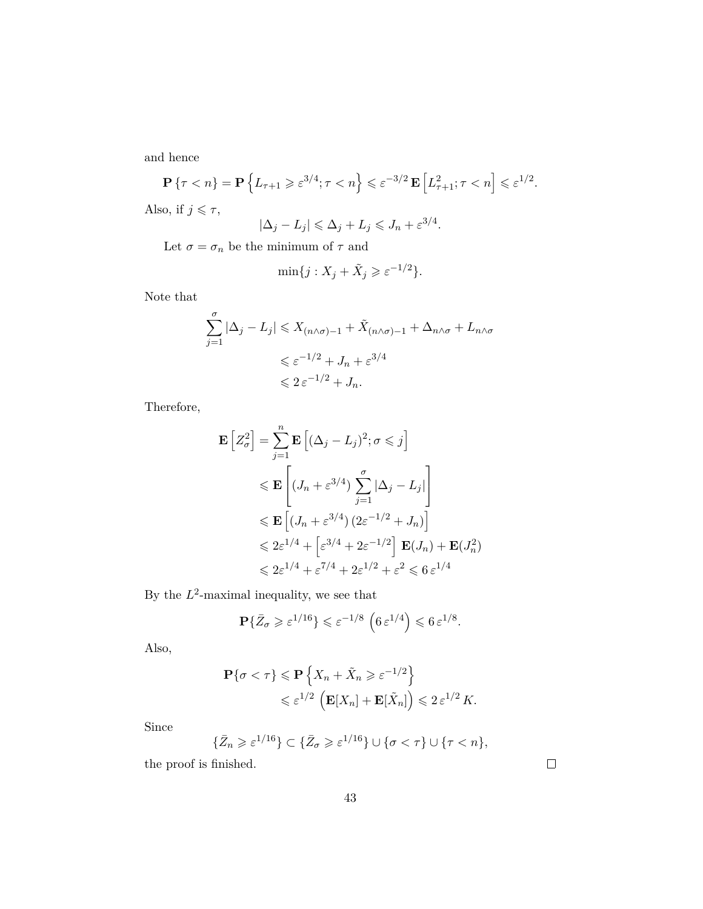and hence

$$
\mathbf{P}\left\{\tau < n\right\} = \mathbf{P}\left\{L_{\tau+1} \geqslant \varepsilon^{3/4}; \tau < n\right\} \leqslant \varepsilon^{-3/2} \mathbf{E}\left[L_{\tau+1}^2; \tau < n\right] \leqslant \varepsilon^{1/2}.
$$
\nAlso, if  $j \leqslant \tau$ ,

\n
$$
|\Delta_j - L_j| \leqslant \Delta_j + L_j \leqslant J_n + \varepsilon^{3/4}.
$$

Let  $\sigma = \sigma_n$  be the minimum of  $\tau$  and

$$
\min\{j: X_j + \tilde{X}_j \geqslant \varepsilon^{-1/2}\}.
$$

Note that

$$
\sum_{j=1}^{\sigma} |\Delta_j - L_j| \leq X_{(n \wedge \sigma) - 1} + \tilde{X}_{(n \wedge \sigma) - 1} + \Delta_{n \wedge \sigma} + L_{n \wedge \sigma}
$$
  

$$
\leq \varepsilon^{-1/2} + J_n + \varepsilon^{3/4}
$$
  

$$
\leq 2 \varepsilon^{-1/2} + J_n.
$$

Therefore,

$$
\mathbf{E}\left[Z_{\sigma}^{2}\right] = \sum_{j=1}^{n} \mathbf{E}\left[(\Delta_{j} - L_{j})^{2}; \sigma \leq j\right]
$$
  
\n
$$
\leq \mathbf{E}\left[(J_{n} + \varepsilon^{3/4}) \sum_{j=1}^{\sigma} |\Delta_{j} - L_{j}|\right]
$$
  
\n
$$
\leq \mathbf{E}\left[(J_{n} + \varepsilon^{3/4}) (2\varepsilon^{-1/2} + J_{n})\right]
$$
  
\n
$$
\leq 2\varepsilon^{1/4} + \left[\varepsilon^{3/4} + 2\varepsilon^{-1/2}\right] \mathbf{E}(J_{n}) + \mathbf{E}(J_{n}^{2})
$$
  
\n
$$
\leq 2\varepsilon^{1/4} + \varepsilon^{7/4} + 2\varepsilon^{1/2} + \varepsilon^{2} \leq 6\varepsilon^{1/4}
$$

By the  $L^2$ -maximal inequality, we see that

$$
\mathbf{P}\{\bar{Z}_{\sigma}\geqslant \varepsilon^{1/16}\}\leqslant \varepsilon^{-1/8}\,\left(6\,\varepsilon^{1/4}\right)\leqslant 6\,\varepsilon^{1/8}.
$$

Also,

$$
\mathbf{P}\{\sigma < \tau\} \leq \mathbf{P}\left\{X_n + \tilde{X}_n \geqslant \varepsilon^{-1/2}\right\}
$$
\n
$$
\leqslant \varepsilon^{1/2} \left(\mathbf{E}[X_n] + \mathbf{E}[\tilde{X}_n]\right) \leqslant 2\,\varepsilon^{1/2}\,K.
$$

Since

$$
\{\bar{Z}_n \geqslant \varepsilon^{1/16}\} \subset \{\bar{Z}_\sigma \geqslant \varepsilon^{1/16}\} \cup \{\sigma < \tau\} \cup \{\tau < n\},\
$$

the proof is finished.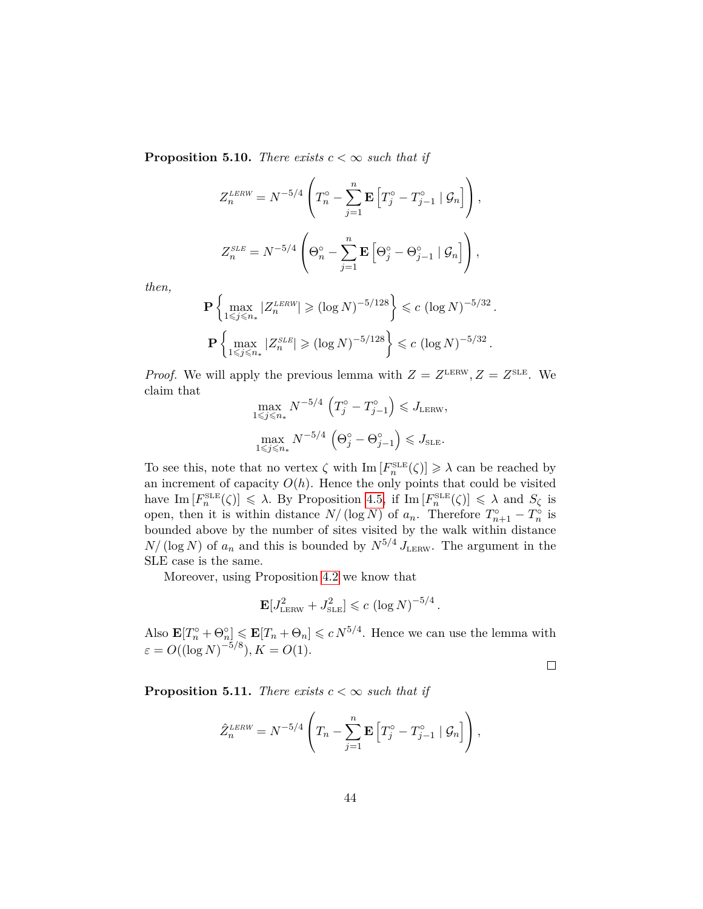**Proposition 5.10.** *There exists*  $c < \infty$  *such that if* 

$$
Z_n^{\text{LERW}} = N^{-5/4} \left( T_n^{\circ} - \sum_{j=1}^n \mathbf{E} \left[ T_j^{\circ} - T_{j-1}^{\circ} \mid \mathcal{G}_n \right] \right),
$$
  

$$
Z_n^{\text{SLE}} = N^{-5/4} \left( \Theta_n^{\circ} - \sum_{j=1}^n \mathbf{E} \left[ \Theta_j^{\circ} - \Theta_{j-1}^{\circ} \mid \mathcal{G}_n \right] \right),
$$

*then,*

$$
\mathbf{P}\left\{\max_{1 \leq j \leq n_*} |Z_n^{LERW}| \geq (\log N)^{-5/128}\right\} \leq c \left(\log N\right)^{-5/32}.
$$
  

$$
\mathbf{P}\left\{\max_{1 \leq j \leq n_*} |Z_n^{SLE}| \geq (\log N)^{-5/128}\right\} \leq c \left(\log N\right)^{-5/32}.
$$

*Proof.* We will apply the previous lemma with  $Z = Z^{\text{LERW}}, Z = Z^{\text{SLE}}.$  We claim that

$$
\max_{1 \le j \le n_*} N^{-5/4} \left( T_j^\circ - T_{j-1}^\circ \right) \le J_{\text{LERW}},
$$
  

$$
\max_{1 \le j \le n_*} N^{-5/4} \left( \Theta_j^\circ - \Theta_{j-1}^\circ \right) \le J_{\text{SLE}}.
$$

To see this, note that no vertex  $\zeta$  with  $\text{Im}\left[F_n^{\text{SLE}}(\zeta)\right] \geqslant \lambda$  can be reached by an increment of capacity  $O(h)$ . Hence the only points that could be visited have  $\text{Im}[F_n^{\text{SLE}}(\zeta)] \leq \lambda$ . By Proposition [4.5,](#page-28-0) if  $\text{Im}[F_n^{\text{SLE}}(\zeta)] \leq \lambda$  and  $S_{\zeta}$  is open, then it is within distance  $N/(\log N)$  of  $a_n$ . Therefore  $T_{n+1}^{\circ} - T_n^{\circ}$  is bounded above by the number of sites visited by the walk within distance  $N/(\log N)$  of  $a_n$  and this is bounded by  $N^{5/4} J_{\text{LERW}}$ . The argument in the SLE case is the same.

Moreover, using Proposition [4.2](#page-25-0) we know that

$$
\mathbf{E}[J_{\text{LERW}}^2 + J_{\text{SLE}}^2] \leqslant c \left(\log N\right)^{-5/4}.
$$

Also  $\mathbf{E}[T_n^{\circ} + \Theta_n^{\circ}] \leq \mathbf{E}[T_n + \Theta_n] \leq c N^{5/4}$ . Hence we can use the lemma with  $\varepsilon = O((\log N)^{-5/8}), K = O(1).$ 

 $\hfill \square$ 

**Proposition 5.11.** *There exists*  $c < \infty$  *such that if* 

$$
\hat{Z}_n^{\text{LERW}} = N^{-5/4} \left( T_n - \sum_{j=1}^n \mathbf{E} \left[ T_j^\circ - T_{j-1}^\circ \mid \mathcal{G}_n \right] \right),
$$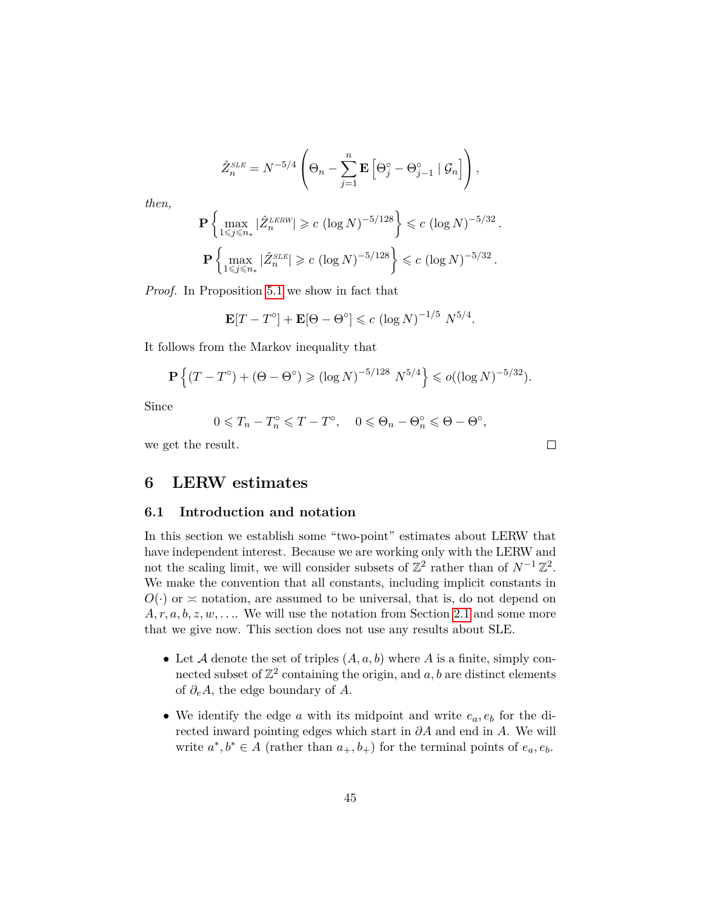$$
\hat{Z}_n^{SLE} = N^{-5/4} \left( \Theta_n - \sum_{j=1}^n \mathbf{E} \left[ \Theta_j^\circ - \Theta_{j-1}^\circ \mid \mathcal{G}_n \right] \right),
$$

*then,*

$$
\mathbf{P}\left\{\max_{1 \leq j \leq n_*} |\hat{Z}_n^{\text{LERW}}| \geq c \left(\log N\right)^{-5/128}\right\} \leq c \left(\log N\right)^{-5/32}.
$$
  

$$
\mathbf{P}\left\{\max_{1 \leq j \leq n_*} |\hat{Z}_n^{\text{SLE}}| \geq c \left(\log N\right)^{-5/128}\right\} \leq c \left(\log N\right)^{-5/32}.
$$

*Proof.* In Proposition [5.1](#page-36-0) we show in fact that

$$
\mathbf{E}[T - T^{\circ}] + \mathbf{E}[\Theta - \Theta^{\circ}] \leqslant c \left(\log N\right)^{-1/5} N^{5/4}.
$$

It follows from the Markov inequality that

$$
\mathbf{P}\left\{(T-T^{\circ}) + (\Theta - \Theta^{\circ}) \geq ( \log N)^{-5/128} N^{5/4} \right\} \leq o( (\log N)^{-5/32}).
$$

Since

$$
0 \leq T_n - T_n^{\circ} \leq T - T^{\circ}, \quad 0 \leq \Theta_n - \Theta_n^{\circ} \leq \Theta - \Theta^{\circ},
$$

 $\Box$ 

we get the result.

### **6 LERW estimates**

#### **6.1 Introduction and notation**

In this section we establish some "two-point" estimates about LERW that have independent interest. Because we are working only with the LERW and not the scaling limit, we will consider subsets of  $\mathbb{Z}^2$  rather than of  $N^{-1}\mathbb{Z}^2$ . We make the convention that all constants, including implicit constants in  $O(\cdot)$  or  $\leq$  notation, are assumed to be universal, that is, do not depend on  $A, r, a, b, z, w, \ldots$  We will use the notation from Section [2.1](#page-10-0) and some more that we give now. This section does not use any results about SLE.

- Let  $A$  denote the set of triples  $(A, a, b)$  where  $A$  is a finite, simply connected subset of  $\mathbb{Z}^2$  containing the origin, and  $a, b$  are distinct elements of *∂eA*, the edge boundary of *A*.
- We identify the edge *a* with its midpoint and write *ea, e<sup>b</sup>* for the directed inward pointing edges which start in *∂A* and end in *A*. We will write  $a^*, b^* \in A$  (rather than  $a_+, b_+$ ) for the terminal points of  $e_a, e_b$ .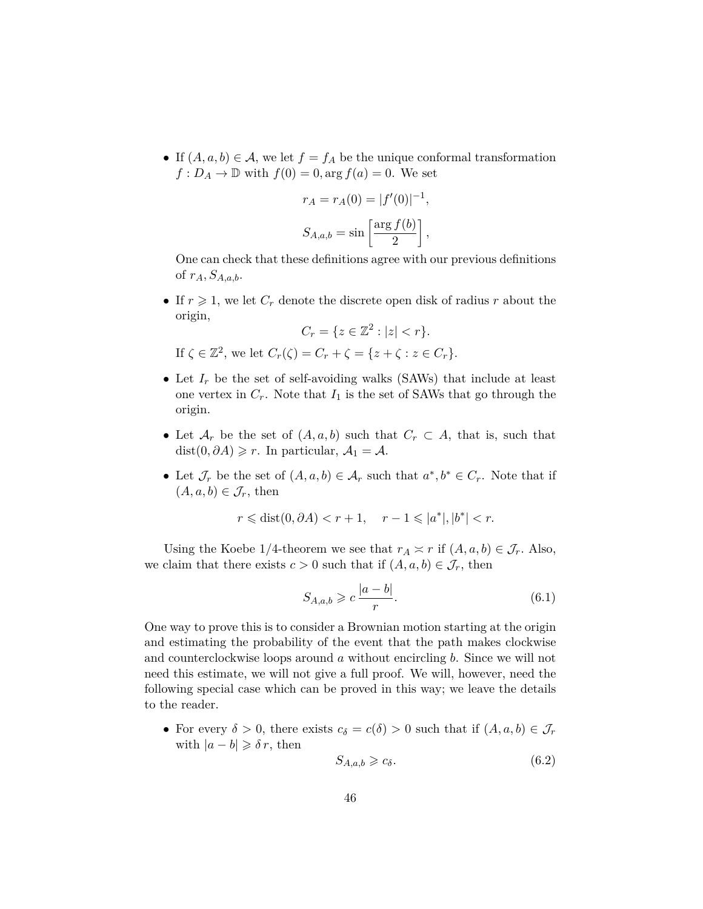• If  $(A, a, b) \in \mathcal{A}$ , we let  $f = f_A$  be the unique conformal transformation  $f: D_A \to \mathbb{D}$  with  $f(0) = 0$ , arg  $f(a) = 0$ . We set

$$
r_A = r_A(0) = |f'(0)|^{-1},
$$
  

$$
S_{A,a,b} = \sin\left[\frac{\arg f(b)}{2}\right],
$$

One can check that these definitions agree with our previous definitions of *rA, SA,a,b*.

• If  $r \geq 1$ , we let  $C_r$  denote the discrete open disk of radius  $r$  about the origin,

$$
C_r = \{ z \in \mathbb{Z}^2 : |z| < r \}.
$$

If  $\zeta \in \mathbb{Z}^2$ , we let  $C_r(\zeta) = C_r + \zeta = \{z + \zeta : z \in C_r\}.$ 

- Let  $I_r$  be the set of self-avoiding walks (SAWs) that include at least one vertex in  $C_r$ . Note that  $I_1$  is the set of SAWs that go through the origin.
- Let  $\mathcal{A}_r$  be the set of  $(A, a, b)$  such that  $C_r \subset A$ , that is, such that  $dist(0, \partial A) \geq r$ . In particular,  $A_1 = A$ .
- Let  $\mathcal{J}_r$  be the set of  $(A, a, b) \in \mathcal{A}_r$  such that  $a^*, b^* \in C_r$ . Note that if  $(A, a, b) \in \mathcal{J}_r$ , then

$$
r \leq \text{dist}(0, \partial A) < r + 1, \quad r - 1 \leq |a^*|, |b^*| < r.
$$

Using the Koebe 1/4-theorem we see that  $r_A \approx r$  if  $(A, a, b) \in \mathcal{J}_r$ . Also, we claim that there exists  $c > 0$  such that if  $(A, a, b) \in \mathcal{J}_r$ , then

<span id="page-45-0"></span>
$$
S_{A,a,b} \geqslant c \, \frac{|a-b|}{r}.\tag{6.1}
$$

One way to prove this is to consider a Brownian motion starting at the origin and estimating the probability of the event that the path makes clockwise and counterclockwise loops around *a* without encircling *b*. Since we will not need this estimate, we will not give a full proof. We will, however, need the following special case which can be proved in this way; we leave the details to the reader.

• For every  $\delta > 0$ , there exists  $c_{\delta} = c(\delta) > 0$  such that if  $(A, a, b) \in \mathcal{J}_r$ with  $|a - b| \geq \delta r$ , then

<span id="page-45-1"></span>
$$
S_{A,a,b} \geq c_{\delta}.\tag{6.2}
$$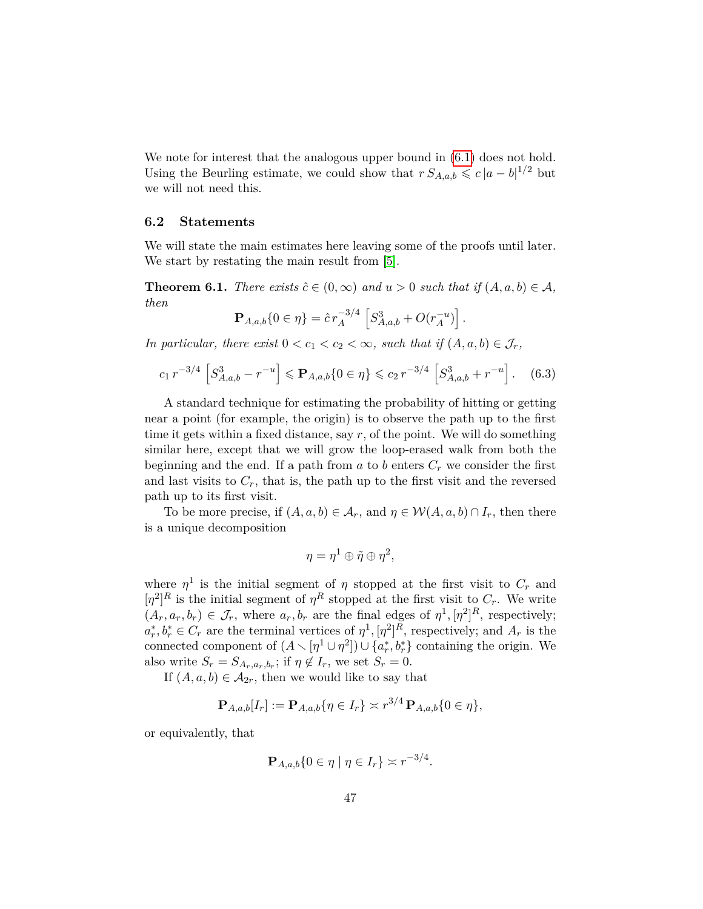We note for interest that the analogous upper bound in  $(6.1)$  does not hold. Using the Beurling estimate, we could show that  $r S_{A,a,b} \leq c |a-b|^{1/2}$  but we will not need this.

#### <span id="page-46-1"></span>**6.2 Statements**

We will state the main estimates here leaving some of the proofs until later. We start by restating the main result from [\[5\]](#page-79-0).

<span id="page-46-2"></span>**Theorem 6.1.** *There exists*  $\hat{c} \in (0, \infty)$  *and*  $u > 0$  *such that if*  $(A, a, b) \in \mathcal{A}$ *, then*

$$
\mathbf{P}_{A,a,b}\{0 \in \eta\} = \hat{c}r_A^{-3/4} \left[ S_{A,a,b}^3 + O(r_A^{-u}) \right].
$$

*In particular, there exist*  $0 < c_1 < c_2 < \infty$ *, such that if*  $(A, a, b) \in \mathcal{J}_r$ *,* 

<span id="page-46-0"></span>
$$
c_1 r^{-3/4} \left[ S_{A,a,b}^3 - r^{-u} \right] \leqslant \mathbf{P}_{A,a,b} \{ 0 \in \eta \} \leqslant c_2 r^{-3/4} \left[ S_{A,a,b}^3 + r^{-u} \right]. \tag{6.3}
$$

A standard technique for estimating the probability of hitting or getting near a point (for example, the origin) is to observe the path up to the first time it gets within a fixed distance, say *r*, of the point. We will do something similar here, except that we will grow the loop-erased walk from both the beginning and the end. If a path from  $a$  to  $b$  enters  $C_r$  we consider the first and last visits to  $C_r$ , that is, the path up to the first visit and the reversed path up to its first visit.

To be more precise, if  $(A, a, b) \in \mathcal{A}_r$ , and  $\eta \in \mathcal{W}(A, a, b) \cap I_r$ , then there is a unique decomposition

$$
\eta = \eta^1 \oplus \tilde{\eta} \oplus \eta^2,
$$

where  $\eta^1$  is the initial segment of  $\eta$  stopped at the first visit to  $C_r$  and  $[\eta^2]^R$  is the initial segment of  $\eta^R$  stopped at the first visit to  $C_r$ . We write  $(A_r, a_r, b_r) \in \mathcal{J}_r$ , where  $a_r, b_r$  are the final edges of  $\eta^1, [\eta^2]^R$ , respectively;  $a_r^*, b_r^* \in C_r$  are the terminal vertices of  $\eta^1, [\eta^2]^R$ , respectively; and  $A_r$  is the connected component of  $(A \setminus [\eta^1 \cup \eta^2]) \cup \{a_r^*, b_r^*\}$  containing the origin. We also write  $S_r = S_{A_r, a_r, b_r}$ ; if  $\eta \notin I_r$ , we set  $S_r = 0$ .

If  $(A, a, b) \in \mathcal{A}_{2r}$ , then we would like to say that

$$
\mathbf{P}_{A,a,b}[I_r] := \mathbf{P}_{A,a,b}\{\eta \in I_r\} \asymp r^{3/4} \mathbf{P}_{A,a,b}\{0 \in \eta\},\
$$

or equivalently, that

$$
\mathbf{P}_{A,a,b}\{0 \in \eta \mid \eta \in I_r\} \asymp r^{-3/4}.
$$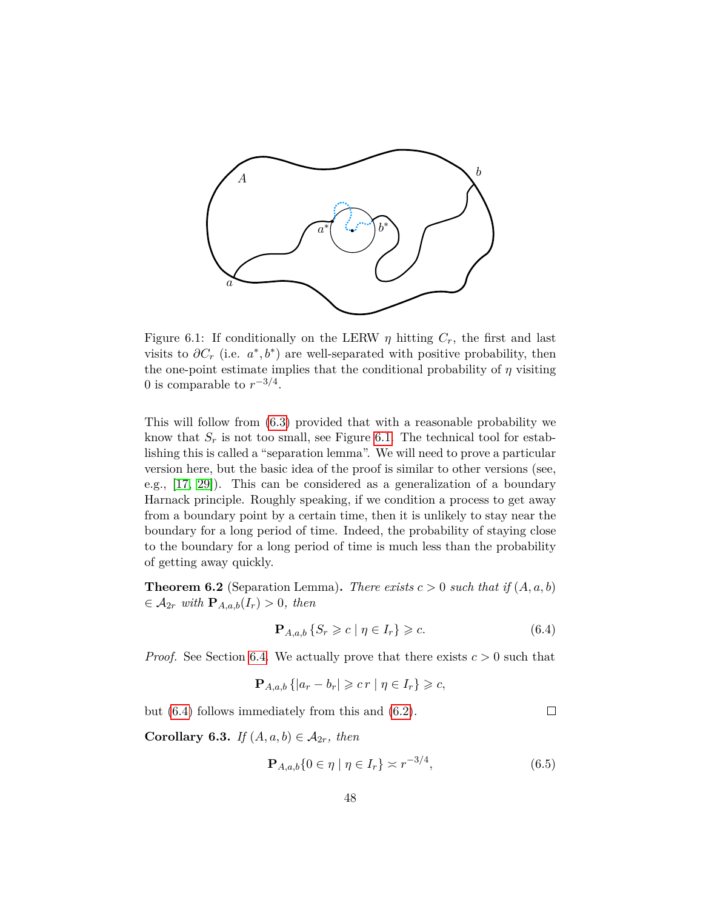

Figure 6.1: If conditionally on the LERW  $\eta$  hitting  $C_r$ , the first and last visits to  $\partial C_r$  (i.e.  $a^*, b^*$ ) are well-separated with positive probability, then the one-point estimate implies that the conditional probability of  $\eta$  visiting 0 is comparable to  $r^{-3/4}$ .

This will follow from [\(6.3\)](#page-46-0) provided that with a reasonable probability we know that  $S_r$  is not too small, see Figure [6.1.](#page-26-1) The technical tool for establishing this is called a "separation lemma". We will need to prove a particular version here, but the basic idea of the proof is similar to other versions (see, e.g., [\[17,](#page-80-2) [29\]](#page-81-0)). This can be considered as a generalization of a boundary Harnack principle. Roughly speaking, if we condition a process to get away from a boundary point by a certain time, then it is unlikely to stay near the boundary for a long period of time. Indeed, the probability of staying close to the boundary for a long period of time is much less than the probability of getting away quickly.

<span id="page-47-3"></span>**Theorem 6.2** (Separation Lemma). *There exists*  $c > 0$  *such that if*  $(A, a, b)$  $\in$   $\mathcal{A}_{2r}$  *with*  $\mathbf{P}_{A,a,b}(I_r) > 0$ *, then* 

<span id="page-47-0"></span>
$$
\mathbf{P}_{A,a,b} \{ S_r \geqslant c \mid \eta \in I_r \} \geqslant c. \tag{6.4}
$$

*Proof.* See Section [6.4.](#page-54-0) We actually prove that there exists  $c > 0$  such that

$$
\mathbf{P}_{A,a,b}\left\{ |a_r - b_r| \geqslant c\,r \mid \eta \in I_r \right\} \geqslant c,
$$

but [\(6.4\)](#page-47-0) follows immediately from this and [\(6.2\)](#page-45-1).

<span id="page-47-2"></span>**Corollary 6.3.** *If*  $(A, a, b) \in \mathcal{A}_{2r}$ *, then* 

<span id="page-47-1"></span>
$$
\mathbf{P}_{A,a,b}\{0 \in \eta \mid \eta \in I_r\} \asymp r^{-3/4},\tag{6.5}
$$

 $\Box$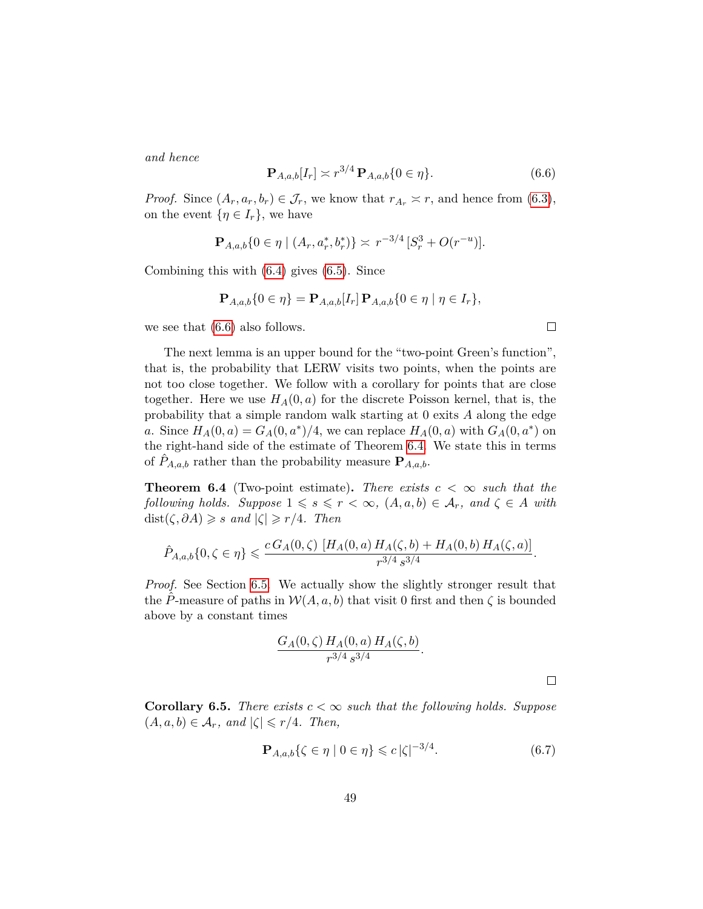*and hence*

<span id="page-48-0"></span>
$$
\mathbf{P}_{A,a,b}[I_r] \simeq r^{3/4} \, \mathbf{P}_{A,a,b} \{ 0 \in \eta \}. \tag{6.6}
$$

*Proof.* Since  $(A_r, a_r, b_r) \in \mathcal{J}_r$ , we know that  $r_{A_r} \approx r$ , and hence from [\(6.3\)](#page-46-0), on the event  $\{\eta \in I_r\}$ , we have

$$
\mathbf{P}_{A,a,b}\{0 \in \eta \mid (A_r, a_r^*, b_r^*)\} \asymp r^{-3/4} \left[S_r^3 + O(r^{-u})\right].
$$

Combining this with [\(6.4\)](#page-47-0) gives [\(6.5\)](#page-47-1). Since

$$
\mathbf{P}_{A,a,b}\{0 \in \eta\} = \mathbf{P}_{A,a,b}[I_r] \, \mathbf{P}_{A,a,b}\{0 \in \eta \mid \eta \in I_r\},\
$$

we see that [\(6.6\)](#page-48-0) also follows.

The next lemma is an upper bound for the "two-point Green's function", that is, the probability that LERW visits two points, when the points are not too close together. We follow with a corollary for points that are close together. Here we use  $H_A(0, a)$  for the discrete Poisson kernel, that is, the probability that a simple random walk starting at 0 exits *A* along the edge *a*. Since  $H_A(0, a) = G_A(0, a^*)/4$ , we can replace  $H_A(0, a)$  with  $G_A(0, a^*)$  on the right-hand side of the estimate of Theorem [6.4.](#page-48-1) We state this in terms of  $\hat{P}_{A,a,b}$  rather than the probability measure  $\mathbf{P}_{A,a,b}$ .

<span id="page-48-1"></span>**Theorem 6.4** (Two-point estimate). There exists  $c < \infty$  such that the *following holds. Suppose*  $1 \leq s \leq r < \infty$ ,  $(A, a, b) \in A_r$ , and  $\zeta \in A$  with  $dist(\zeta, \partial A) \geqslant s \text{ and } |\zeta| \geqslant r/4.$  Then

$$
\hat{P}_{A,a,b}\{0,\zeta\in\eta\}\leqslant \frac{c\,G_A(0,\zeta)\,\left[H_A(0,a)\,H_A(\zeta,b)+H_A(0,b)\,H_A(\zeta,a)\right]}{r^{3/4}\,s^{3/4}}.
$$

*Proof.* See Section [6.5.](#page-60-0) We actually show the slightly stronger result that the P-measure of paths in  $W(A, a, b)$  that visit 0 first and then  $\zeta$  is bounded above by a constant times

$$
\frac{G_A(0,\zeta) H_A(0,a) H_A(\zeta,b)}{r^{3/4} s^{3/4}}.
$$

**Corollary 6.5.** *There exists*  $c < \infty$  *such that the following holds. Suppose*  $(A, a, b) \in \mathcal{A}_r$ , and  $|\zeta| \leq r/4$ . Then,

<span id="page-48-2"></span>
$$
\mathbf{P}_{A,a,b}\{\zeta \in \eta \mid 0 \in \eta\} \leqslant c\,|\zeta|^{-3/4}.\tag{6.7}
$$

 $\Box$ 

 $\Box$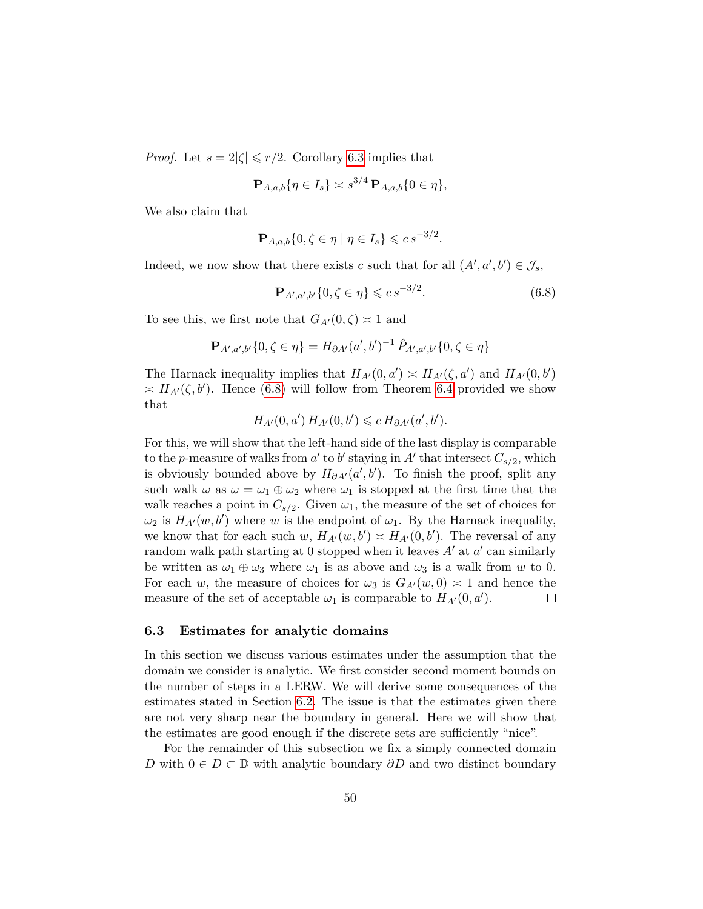*Proof.* Let  $s = 2|\zeta| \leq r/2$ . Corollary [6.3](#page-47-2) implies that

$$
\mathbf{P}_{A,a,b}\{\eta\in I_s\}\asymp s^{3/4}\,\mathbf{P}_{A,a,b}\{0\in\eta\},
$$

We also claim that

$$
\mathbf{P}_{A,a,b}\{0,\zeta\in\eta\mid\eta\in I_s\}\leqslant c\,s^{-3/2}.
$$

Indeed, we now show that there exists *c* such that for all  $(A', a', b') \in \mathcal{J}_s$ ,

<span id="page-49-0"></span>
$$
\mathbf{P}_{A',a',b'}\{0,\zeta\in\eta\}\leqslant c\,s^{-3/2}.\tag{6.8}
$$

To see this, we first note that  $G_{A}(0,\zeta) \approx 1$  and

$$
\mathbf{P}_{A',a',b'}\{0,\zeta\in\eta\}=H_{\partial A'}(a',b')^{-1}\,\hat{P}_{A',a',b'}\{0,\zeta\in\eta\}
$$

The Harnack inequality implies that  $H_{A}(0, a') \approx H_{A}(\zeta, a')$  and  $H_{A}(0, b')$  $\asymp$   $H_{A}(\zeta, b')$ . Hence [\(6.8\)](#page-49-0) will follow from Theorem [6.4](#page-48-1) provided we show that

$$
H_{A'}(0, a') H_{A'}(0, b') \leq c H_{\partial A'}(a', b').
$$

For this, we will show that the left-hand side of the last display is comparable to the *p*-measure of walks from  $a'$  to  $b'$  staying in  $A'$  that intersect  $C_{s/2}$ , which is obviously bounded above by  $H_{\partial A}(a',b')$ . To finish the proof, split any such walk  $\omega$  as  $\omega = \omega_1 \oplus \omega_2$  where  $\omega_1$  is stopped at the first time that the walk reaches a point in  $C_{s/2}$ . Given  $\omega_1$ , the measure of the set of choices for  $\omega_2$  is  $H_{A'}(w, b')$  where *w* is the endpoint of  $\omega_1$ . By the Harnack inequality, we know that for each such  $w$ ,  $H_{A}(w, b') \approx H_{A}(0, b')$ . The reversal of any random walk path starting at 0 stopped when it leaves  $A'$  at  $a'$  can similarly be written as  $\omega_1 \oplus \omega_3$  where  $\omega_1$  is as above and  $\omega_3$  is a walk from *w* to 0. For each *w*, the measure of choices for  $\omega_3$  is  $G_{A'}(w,0) \approx 1$  and hence the measure of the set of acceptable  $\omega_1$  is comparable to  $H_{A}(0, a')$ .  $\Box$ 

#### **6.3 Estimates for analytic domains**

In this section we discuss various estimates under the assumption that the domain we consider is analytic. We first consider second moment bounds on the number of steps in a LERW. We will derive some consequences of the estimates stated in Section [6.2.](#page-46-1) The issue is that the estimates given there are not very sharp near the boundary in general. Here we will show that the estimates are good enough if the discrete sets are sufficiently "nice".

For the remainder of this subsection we fix a simply connected domain *D* with  $0 \in D \subset \mathbb{D}$  with analytic boundary  $\partial D$  and two distinct boundary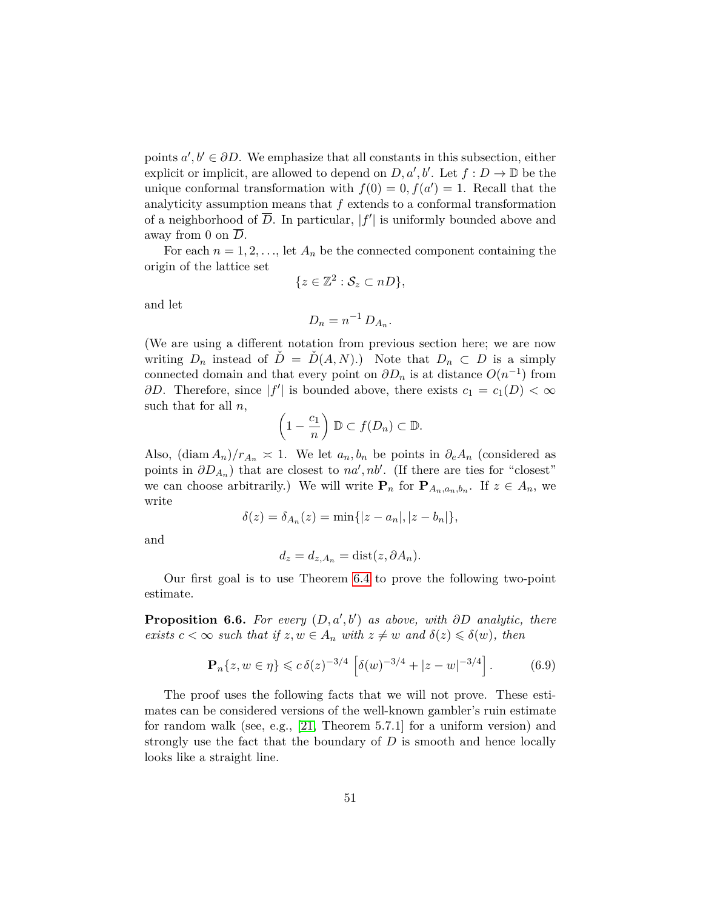points  $a', b' \in \partial D$ . We emphasize that all constants in this subsection, either explicit or implicit, are allowed to depend on  $D, a', b'$ . Let  $f : D \to \mathbb{D}$  be the unique conformal transformation with  $f(0) = 0, f(a') = 1$ . Recall that the analyticity assumption means that *f* extends to a conformal transformation of a neighborhood of  $\overline{D}$ . In particular,  $|f'|$  is uniformly bounded above and away from 0 on  $\overline{D}$ .

For each  $n = 1, 2, \ldots$ , let  $A_n$  be the connected component containing the origin of the lattice set

$$
\{z\in\mathbb{Z}^2:\mathcal{S}_z\subset nD\},\
$$

and let

$$
D_n = n^{-1} D_{A_n}.
$$

(We are using a different notation from previous section here; we are now writing  $D_n$  instead of  $\tilde{D} = \tilde{D}(A, N)$ .) Note that  $D_n \subset D$  is a simply connected domain and that every point on  $\partial D_n$  is at distance  $O(n^{-1})$  from *∂D*. Therefore, since  $|f'|$  is bounded above, there exists  $c_1 = c_1(D) < \infty$ such that for all *n*,

$$
\left(1-\frac{c_1}{n}\right) \mathbb{D} \subset f(D_n) \subset \mathbb{D}.
$$

Also,  $(\text{diam } A_n)/r_{A_n} \approx 1$ . We let  $a_n, b_n$  be points in  $\partial_e A_n$  (considered as points in  $\partial D_{A_n}$ ) that are closest to *na'*, *nb'*. (If there are ties for "closest" we can choose arbitrarily.) We will write  $P_n$  for  $P_{A_n, a_n, b_n}$ . If  $z \in A_n$ , we write

$$
\delta(z) = \delta_{A_n}(z) = \min\{|z - a_n|, |z - b_n|\},\,
$$

and

$$
d_z = d_{z,A_n} = \text{dist}(z, \partial A_n).
$$

Our first goal is to use Theorem [6.4](#page-48-1) to prove the following two-point estimate.

<span id="page-50-0"></span>**Proposition 6.6.** For every  $(D, a', b')$  as above, with  $\partial D$  analytic, there *exists*  $c < \infty$  *such that if*  $z, w \in A_n$  *with*  $z \neq w$  *and*  $\delta(z) \leq \delta(w)$ *, then* 

<span id="page-50-1"></span>
$$
\mathbf{P}_n\{z, w \in \eta\} \leqslant c \,\delta(z)^{-3/4} \left[\delta(w)^{-3/4} + |z - w|^{-3/4}\right].\tag{6.9}
$$

The proof uses the following facts that we will not prove. These estimates can be considered versions of the well-known gambler's ruin estimate for random walk (see, e.g., [\[21,](#page-80-3) Theorem 5.7.1] for a uniform version) and strongly use the fact that the boundary of *D* is smooth and hence locally looks like a straight line.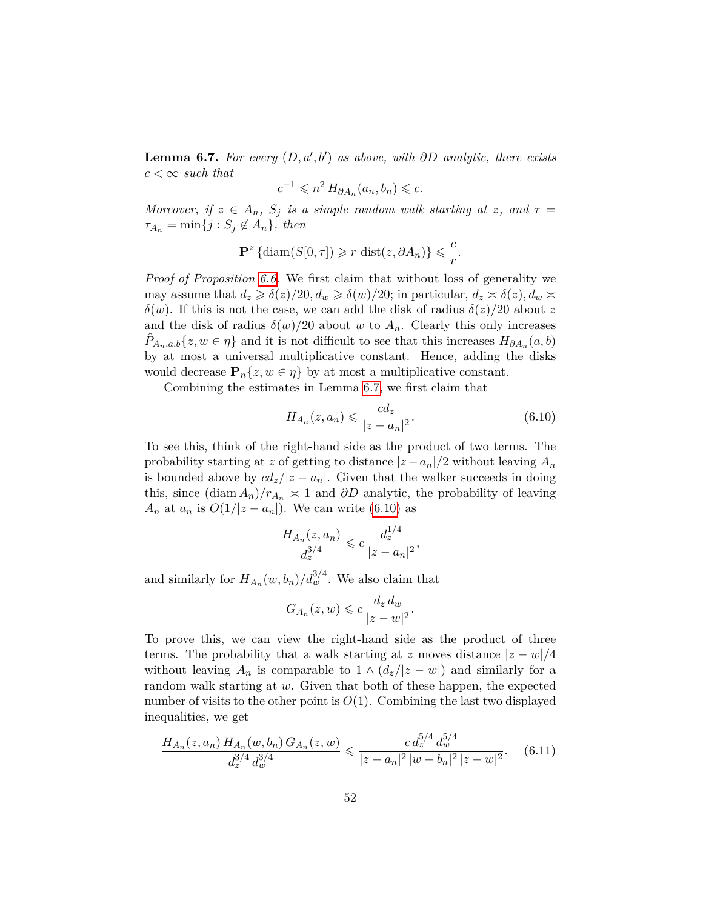<span id="page-51-0"></span>**Lemma 6.7.** *For every*  $(D, a', b')$  *as above, with*  $\partial D$  *analytic, there exists*  $c < \infty$  *such that* 

$$
c^{-1} \leqslant n^2 \, H_{\partial A_n}(a_n, b_n) \leqslant c.
$$

*Moreover, if*  $z \in A_n$ *,*  $S_j$  *is a simple random walk starting at z, and*  $\tau =$  $\tau_{A_n} = \min\{j : S_j \notin A_n\}$ , then

$$
\mathbf{P}^z \left\{ \text{diam}(S[0, \tau]) \ge r \text{ dist}(z, \partial A_n) \right\} \le \frac{c}{r}.
$$

*Proof of Proposition [6.6.](#page-50-0)* We first claim that without loss of generality we may assume that  $d_z \geq \delta(z)/20, d_w \geq \delta(w)/20$ ; in particular,  $d_z \approx \delta(z), d_w \approx$ *δ*(*w*). If this is not the case, we can add the disk of radius  $δ(z)/20$  about *z* and the disk of radius  $\delta(w)/20$  about *w* to  $A_n$ . Clearly this only increases  $\hat{P}_{A_n,a,b}\{z,w \in \eta\}$  and it is not difficult to see that this increases  $H_{\partial A_n}(a,b)$ by at most a universal multiplicative constant. Hence, adding the disks would decrease  $\mathbf{P}_n\{z, w \in \eta\}$  by at most a multiplicative constant.

Combining the estimates in Lemma [6.7,](#page-51-0) we first claim that

<span id="page-51-1"></span>
$$
H_{A_n}(z, a_n) \leqslant \frac{cd_z}{|z - a_n|^2}.\tag{6.10}
$$

To see this, think of the right-hand side as the product of two terms. The probability starting at *z* of getting to distance  $|z - a_n|/2$  without leaving  $A_n$ is bounded above by  $cd_z/|z - a_n|$ . Given that the walker succeeds in doing this, since  $(\text{diam } A_n)/r_{A_n} \geq 1$  and  $\partial D$  analytic, the probability of leaving *A*<sup>n</sup> at  $a_n$  is  $O(1/|z - a_n|)$ . We can write [\(6.10\)](#page-51-1) as

$$
\frac{H_{A_n}(z, a_n)}{d_z^{3/4}} \leqslant c \, \frac{d_z^{1/4}}{|z - a_n|^2},
$$

and similarly for  $H_{A_n}(w, b_n)/d_w^{3/4}$ . We also claim that

<span id="page-51-2"></span>
$$
G_{A_n}(z, w) \leqslant c \, \frac{d_z \, d_w}{|z - w|^2}.
$$

To prove this, we can view the right-hand side as the product of three terms. The probability that a walk starting at *z* moves distance  $|z - w|/4$ without leaving  $A_n$  is comparable to  $1 \wedge (d_z/|z-w|)$  and similarly for a random walk starting at *w*. Given that both of these happen, the expected number of visits to the other point is  $O(1)$ . Combining the last two displayed inequalities, we get

$$
\frac{H_{A_n}(z, a_n) H_{A_n}(w, b_n) G_{A_n}(z, w)}{d_z^{3/4} d_w^{3/4}} \leq \frac{c d_z^{5/4} d_w^{5/4}}{|z - a_n|^2 |w - b_n|^2 |z - w|^2}.
$$
 (6.11)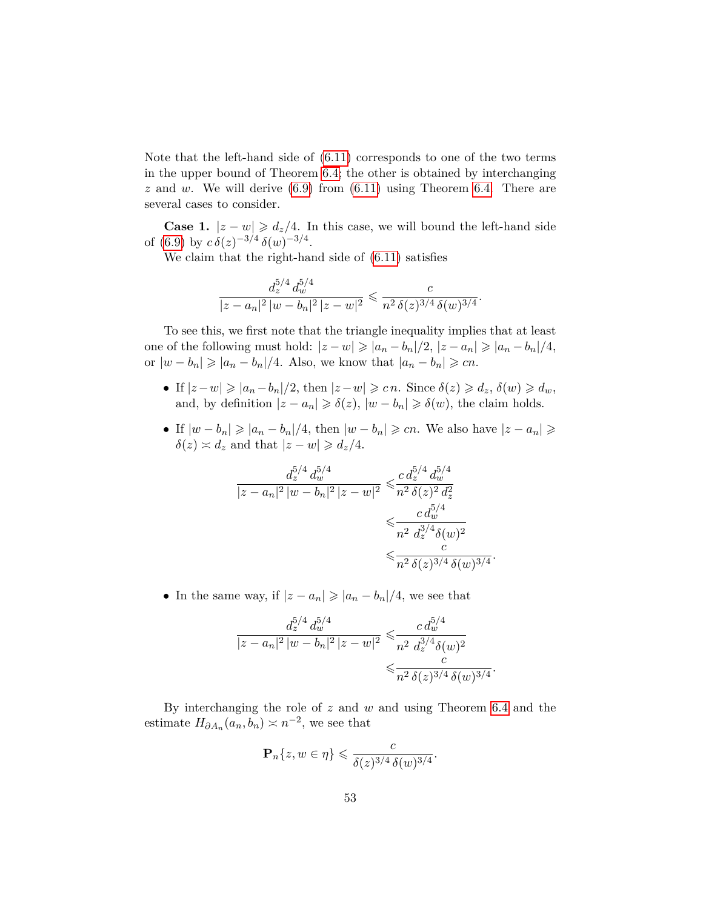Note that the left-hand side of [\(6.11\)](#page-51-2) corresponds to one of the two terms in the upper bound of Theorem [6.4;](#page-48-1) the other is obtained by interchanging  $z$  and  $w$ . We will derive  $(6.9)$  from  $(6.11)$  using Theorem [6.4.](#page-48-1) There are several cases to consider.

**Case 1.**  $|z - w| \ge d_z/4$ . In this case, we will bound the left-hand side of [\(6.9\)](#page-50-1) by  $c \, \delta(z)^{-3/4} \, \delta(w)^{-3/4}$ .

We claim that the right-hand side of [\(6.11\)](#page-51-2) satisfies

$$
\frac{d_z^{5/4} d_w^{5/4}}{|z - a_n|^2 |w - b_n|^2 |z - w|^2} \leqslant \frac{c}{n^2 \delta(z)^{3/4} \delta(w)^{3/4}}.
$$

To see this, we first note that the triangle inequality implies that at least one of the following must hold:  $|z-w|\geqslant |a_n-b_n|/2$ ,  $|z-a_n|\geqslant |a_n-b_n|/4$ , or  $|w - b_n| \geqslant |a_n - b_n|/4$ . Also, we know that  $|a_n - b_n| \geqslant cn$ .

- If  $|z-w| \geqslant |a_n-b_n|/2$ , then  $|z-w| \geqslant c n$ . Since  $\delta(z) \geqslant d_z$ ,  $\delta(w) \geqslant d_w$ , and, by definition  $|z - a_n| \geq \delta(z)$ ,  $|w - b_n| \geq \delta(w)$ , the claim holds.
- If  $|w b_n| \geqslant |a_n b_n|/4$ , then  $|w b_n| \geqslant cn$ . We also have  $|z a_n| \geqslant$  $\delta(z) \asymp d_z$  and that  $|z - w| \geq d_z/4$ .

$$
\frac{d_z^{5/4} d_w^{5/4}}{|z - a_n|^2 |w - b_n|^2 |z - w|^2} \leqslant \frac{c d_z^{5/4} d_w^{5/4}}{n^2 \delta(z)^2 d_z^2} \leqslant \frac{c d_w^{5/4}}{n^2 d_z^{3/4} \delta(w)^2} \leqslant \frac{c}{n^2 \delta(z)^{3/4} \delta(w)^{3/4}}.
$$

• In the same way, if  $|z - a_n| \geqslant |a_n - b_n|/4$ , we see that

$$
\frac{d_z^{5/4} d_w^{5/4}}{|z - a_n|^2 |w - b_n|^2 |z - w|^2} \leqslant \frac{c d_w^{5/4}}{n^2 d_z^{3/4} \delta(w)^2} \leqslant \frac{c}{n^2 \delta(z)^{3/4} \delta(w)^{3/4}}.
$$

By interchanging the role of *z* and *w* and using Theorem [6.4](#page-48-1) and the estimate  $H_{\partial A_n}(a_n, b_n) \asymp n^{-2}$ , we see that

$$
\mathbf{P}_n\{z, w \in \eta\} \leqslant \frac{c}{\delta(z)^{3/4} \delta(w)^{3/4}}.
$$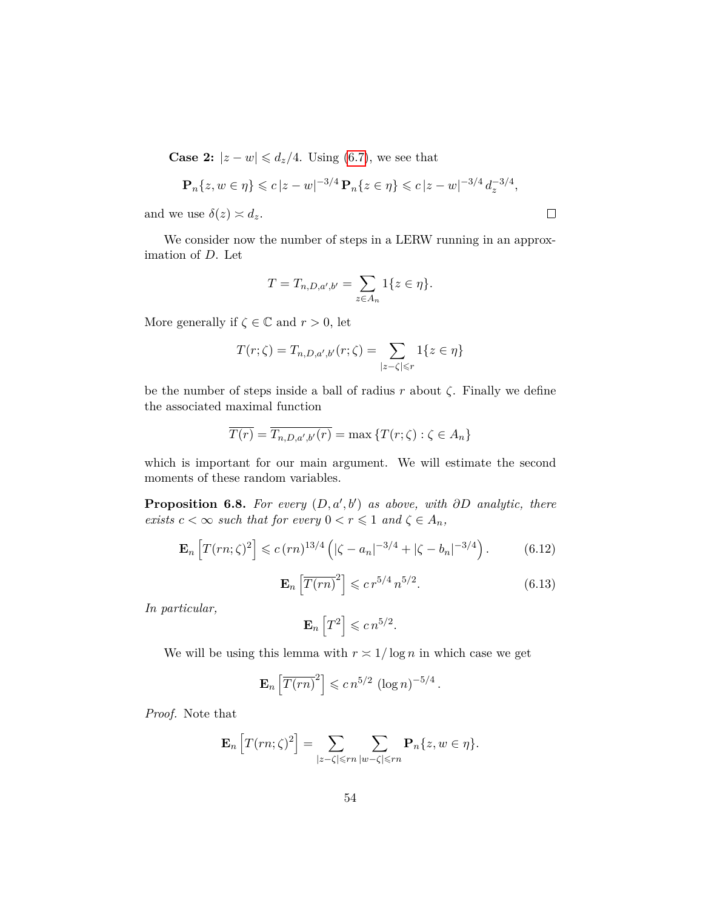**Case 2:**  $|z - w| \leq d_z/4$ . Using [\(6.7\)](#page-48-2), we see that

$$
\mathbf{P}_n\{z, w \in \eta\} \leqslant c |z - w|^{-3/4} \mathbf{P}_n\{z \in \eta\} \leqslant c |z - w|^{-3/4} d_z^{-3/4},
$$

 $\Box$ 

and we use  $\delta(z) \simeq d_z$ .

We consider now the number of steps in a LERW running in an approximation of *D*. Let

$$
T = T_{n,D,a',b'} = \sum_{z \in A_n} 1\{z \in \eta\}.
$$

More generally if  $\zeta \in \mathbb{C}$  and  $r > 0$ , let

$$
T(r;\zeta) = T_{n,D,a',b'}(r;\zeta) = \sum_{|z-\zeta| \leq r} 1\{z \in \eta\}
$$

be the number of steps inside a ball of radius  $r$  about  $\zeta$ . Finally we define the associated maximal function

$$
\overline{T(r)} = \overline{T_{n,D,a',b'}(r)} = \max\left\{T(r;\zeta) : \zeta \in A_n\right\}
$$

which is important for our main argument. We will estimate the second moments of these random variables.

**Proposition 6.8.** For every  $(D, a', b')$  as above, with  $\partial D$  analytic, there *exists*  $c < \infty$  *such that for every*  $0 < r \leq 1$  *and*  $\zeta \in A_n$ *,* 

<span id="page-53-0"></span>
$$
\mathbf{E}_n \left[ T(rn; \zeta)^2 \right] \leqslant c \, (rn)^{13/4} \left( |\zeta - a_n|^{-3/4} + |\zeta - b_n|^{-3/4} \right). \tag{6.12}
$$

<span id="page-53-1"></span>
$$
\mathbf{E}_n \left[ \overline{T(rn)}^2 \right] \leqslant c \, r^{5/4} \, n^{5/2}.
$$
\n(6.13)

*In particular,*

$$
\mathbf{E}_n\left[T^2\right] \leqslant c\,n^{5/2}.
$$

We will be using this lemma with  $r \approx 1/\log n$  in which case we get

$$
\mathbf{E}_n \left[ \overline{T(rn)}^2 \right] \leqslant c \, n^{5/2} \, \left( \log n \right)^{-5/4}.
$$

*Proof.* Note that

$$
\mathbf{E}_n\left[T(rn;\zeta)^2\right] = \sum_{|z-\zeta| \leqslant rn} \sum_{|w-\zeta| \leqslant rn} \mathbf{P}_n\{z,w \in \eta\}.
$$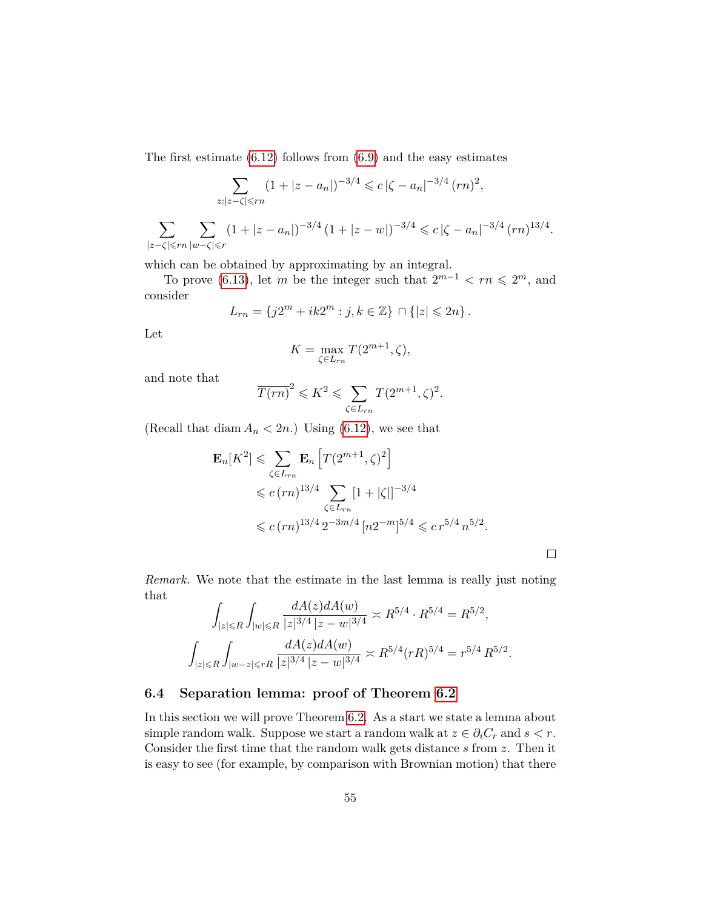The first estimate  $(6.12)$  follows from  $(6.9)$  and the easy estimates

$$
\sum_{z:|z-\zeta| \leqslant rn} (1+|z-a_n|)^{-3/4} \leqslant c\,|\zeta-a_n|^{-3/4} \,(rn)^2,
$$
\n
$$
\sum_{z:|z-\zeta| \leqslant rn} (1+|z-a_n|)^{-3/4} \,(1+|z-w|)^{-3/4} \leqslant c\,|\zeta-a_n|^{-3/4} \,(rn)^{13/4}.
$$

|*z*−*ζ*|6*rn* |*w*−*ζ*|6*r*

which can be obtained by approximating by an integral.

To prove [\(6.13\)](#page-53-1), let *m* be the integer such that  $2^{m-1} < rn \leq 2^m$ , and consider

$$
L_{rn} = \{ j2^m + ik2^m : j, k \in \mathbb{Z} \} \cap \{ |z| \leq 2n \} .
$$

Let

$$
K = \max_{\zeta \in L_{rn}} T(2^{m+1}, \zeta),
$$

and note that

$$
\overline{T(rn)}^2 \leqslant K^2 \leqslant \sum_{\zeta \in L_{rn}} T(2^{m+1}, \zeta)^2.
$$

(Recall that diam  $A_n < 2n$ .) Using [\(6.12\)](#page-53-0), we see that

$$
\mathbf{E}_n[K^2] \leq \sum_{\zeta \in L_{rn}} \mathbf{E}_n \left[ T(2^{m+1}, \zeta)^2 \right] \n\leq c (rn)^{13/4} \sum_{\zeta \in L_{rn}} [1 + |\zeta|]^{-3/4} \n\leq c (rn)^{13/4} 2^{-3m/4} [n2^{-m}]^{5/4} \leq c r^{5/4} n^{5/2}.
$$

*Remark.* We note that the estimate in the last lemma is really just noting that *dA*(*z*)*dA*(*w*)

$$
\int_{|z| \le R} \int_{|w| \le R} \frac{dA(z) dA(w)}{|z|^{3/4} |z-w|^{3/4}} \asymp R^{5/4} \cdot R^{5/4} = R^{5/2},
$$
  

$$
\int_{|z| \le R} \int_{|w-z| \le rR} \frac{dA(z) dA(w)}{|z|^{3/4} |z-w|^{3/4}} \asymp R^{5/4} (rR)^{5/4} = r^{5/4} R^{5/2}.
$$

### <span id="page-54-0"></span>**6.4 Separation lemma: proof of Theorem [6.2](#page-47-3)**

In this section we will prove Theorem [6.2.](#page-47-3) As a start we state a lemma about simple random walk. Suppose we start a random walk at  $z \in \partial_i C_r$  and  $s < r$ . Consider the first time that the random walk gets distance *s* from *z*. Then it is easy to see (for example, by comparison with Brownian motion) that there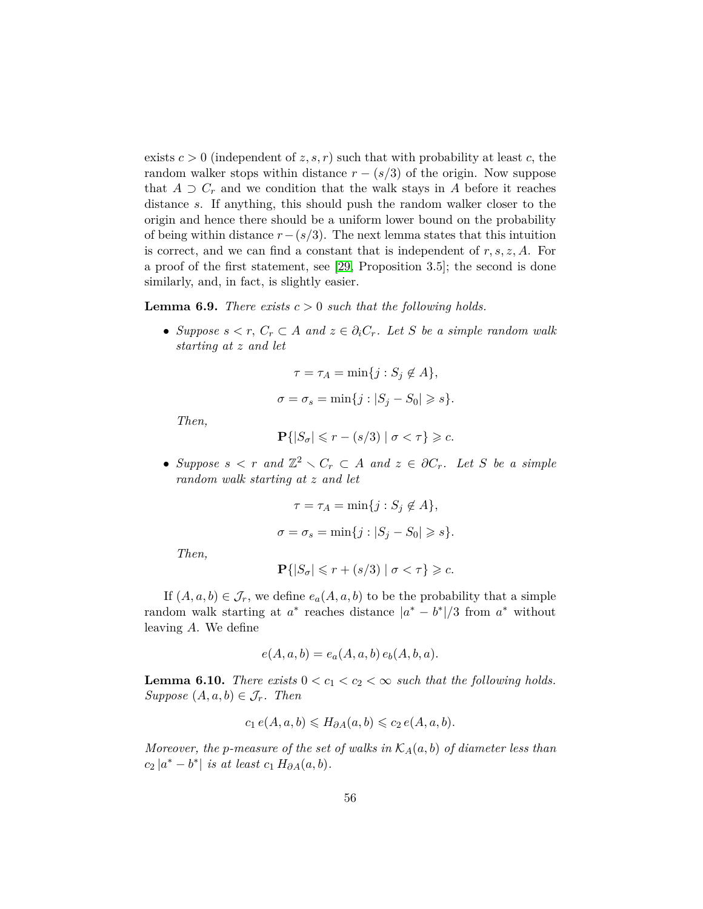exists  $c > 0$  (independent of  $z, s, r$ ) such that with probability at least  $c$ , the random walker stops within distance  $r - (s/3)$  of the origin. Now suppose that  $A \supset C_r$  and we condition that the walk stays in  $A$  before it reaches distance *s*. If anything, this should push the random walker closer to the origin and hence there should be a uniform lower bound on the probability of being within distance *r*−(*s/*3). The next lemma states that this intuition is correct, and we can find a constant that is independent of *r, s, z, A*. For a proof of the first statement, see [\[29,](#page-81-0) Proposition 3.5]; the second is done similarly, and, in fact, is slightly easier.

<span id="page-55-0"></span>**Lemma 6.9.** *There exists*  $c > 0$  *such that the following holds.* 

• *Suppose*  $s < r$ ,  $C_r \subset A$  *and*  $z \in \partial_i C_r$ *. Let S be a simple random walk starting at z and let*

$$
\tau = \tau_A = \min\{j : S_j \notin A\},\
$$

$$
\sigma = \sigma_s = \min\{j : |S_j - S_0| \geq s\}.
$$

*Then,*

$$
\mathbf{P}\{|S_{\sigma}| \leq r - (s/3) \mid \sigma < \tau\} \geq c.
$$

• Suppose  $s < r$  and  $\mathbb{Z}^2 \setminus C_r \subset A$  and  $z \in \partial C_r$ . Let S be a simple *random walk starting at z and let*

$$
\tau = \tau_A = \min\{j : S_j \notin A\},\
$$

$$
\sigma = \sigma_s = \min\{j : |S_j - S_0| \geq s\}.
$$

*Then,*

$$
\mathbf{P}\{|S_{\sigma}| \leq r + (s/3) | \sigma < \tau\} \geq c.
$$

If  $(A, a, b) \in \mathcal{J}_r$ , we define  $e_a(A, a, b)$  to be the probability that a simple random walk starting at  $a^*$  reaches distance  $|a^* - b^*|/3$  from  $a^*$  without leaving *A*. We define

$$
e(A, a, b) = e_a(A, a, b) e_b(A, b, a).
$$

<span id="page-55-1"></span>**Lemma 6.10.** *There exists*  $0 < c_1 < c_2 < \infty$  *such that the following holds.*  $Suppose (A, a, b) \in \mathcal{J}_r$ *. Then* 

$$
c_1 e(A, a, b) \le H_{\partial A}(a, b) \le c_2 e(A, a, b).
$$

*Moreover, the p-measure of the set of walks in*  $K_A(a, b)$  *of diameter less than*  $c_2 |a^* - b^*|$  *is at least*  $c_1 H_{\partial A}(a, b)$ *.*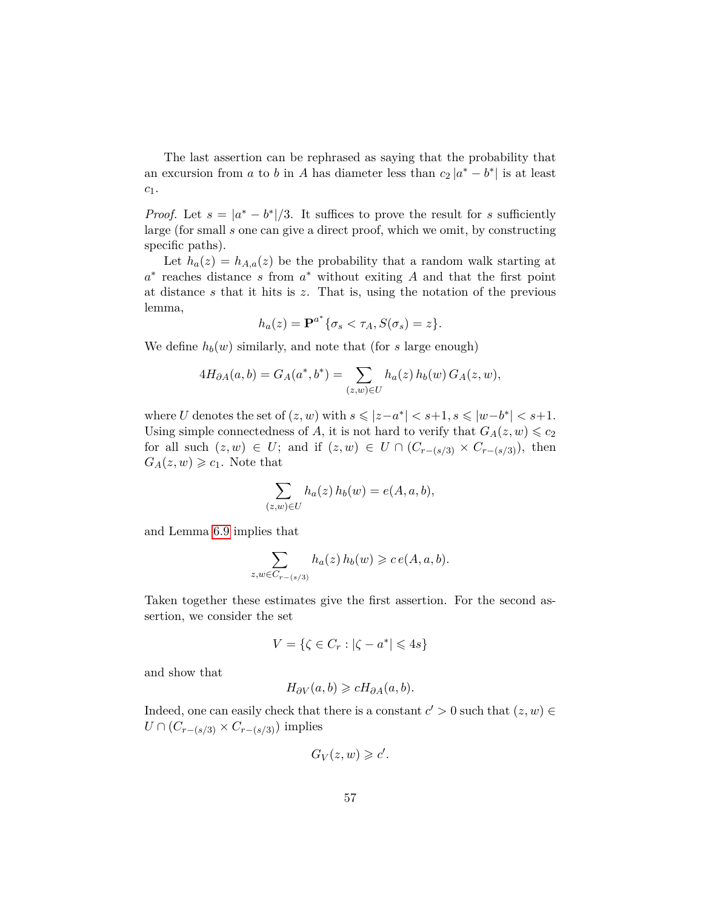The last assertion can be rephrased as saying that the probability that an excursion from *a* to *b* in *A* has diameter less than  $c_2 |a^* - b^*|$  is at least *c*1.

*Proof.* Let  $s = |a^* - b^*|/3$ . It suffices to prove the result for *s* sufficiently large (for small *s* one can give a direct proof, which we omit, by constructing specific paths).

Let  $h_a(z) = h_{A,a}(z)$  be the probability that a random walk starting at *a* ∗ reaches distance *s* from *a* <sup>∗</sup> without exiting *A* and that the first point at distance *s* that it hits is *z*. That is, using the notation of the previous lemma,

$$
h_a(z) = \mathbf{P}^{a^*} \{ \sigma_s < \tau_A, S(\sigma_s) = z \}.
$$

We define  $h_b(w)$  similarly, and note that (for *s* large enough)

$$
4H_{\partial A}(a,b) = G_A(a^*,b^*) = \sum_{(z,w)\in U} h_a(z) h_b(w) G_A(z,w),
$$

where *U* denotes the set of  $(z, w)$  with  $s \le |z - a^*| < s + 1, s \le |w - b^*| < s + 1$ . Using simple connectedness of *A*, it is not hard to verify that  $G_A(z, w) \leq c_2$ for all such  $(z, w) \in U$ ; and if  $(z, w) \in U \cap (C_{r-(s/3)} \times C_{r-(s/3)})$ , then  $G_A(z, w) \geq c_1$ . Note that

$$
\sum_{(z,w)\in U} h_a(z) h_b(w) = e(A, a, b),
$$

and Lemma [6.9](#page-55-0) implies that

$$
\sum_{z,w \in C_{r-(s/3)}} h_a(z) h_b(w) \geqslant c e(A,a,b).
$$

Taken together these estimates give the first assertion. For the second assertion, we consider the set

$$
V = \{ \zeta \in C_r : |\zeta - a^*| \leqslant 4s \}
$$

and show that

$$
H_{\partial V}(a,b) \geq cH_{\partial A}(a,b).
$$

Indeed, one can easily check that there is a constant  $c' > 0$  such that  $(z, w) \in$  $U \cap (C_{r-(s/3)} \times C_{r-(s/3)})$  implies

$$
G_V(z, w) \geqslant c'.
$$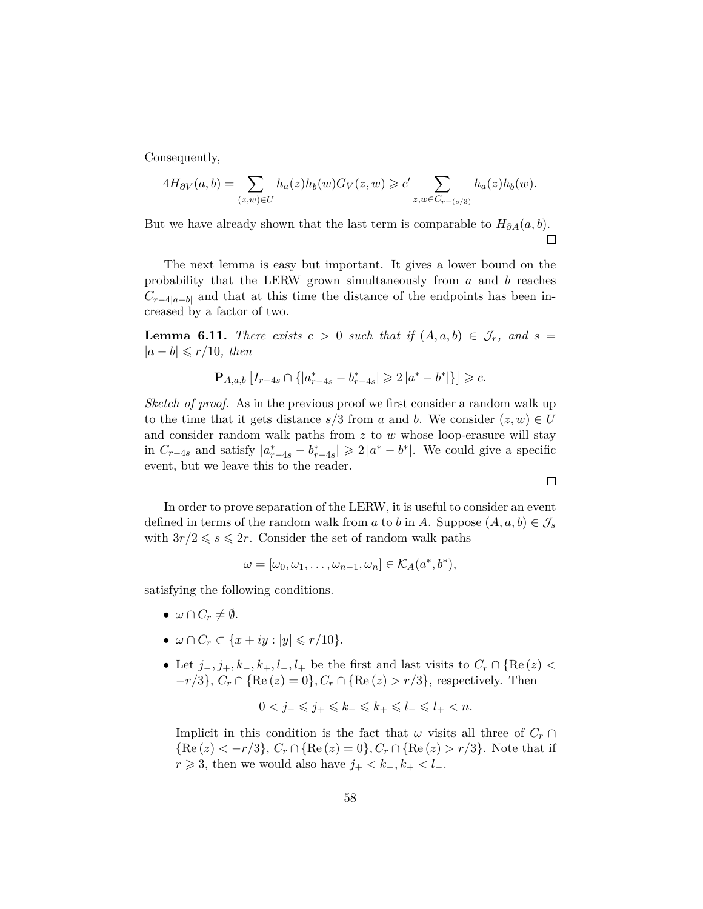Consequently,

$$
4H_{\partial V}(a,b) = \sum_{(z,w)\in U} h_a(z)h_b(w)G_V(z,w) \geq c' \sum_{z,w\in C_{r-(s/3)}} h_a(z)h_b(w).
$$

But we have already shown that the last term is comparable to  $H_{\partial A}(a, b)$ .  $\Box$ 

The next lemma is easy but important. It gives a lower bound on the probability that the LERW grown simultaneously from *a* and *b* reaches  $C_{r-4|a-b|}$  and that at this time the distance of the endpoints has been increased by a factor of two.

<span id="page-57-0"></span>**Lemma 6.11.** *There exists*  $c > 0$  *such that if*  $(A, a, b) \in \mathcal{J}_r$ *, and*  $s =$  $|a - b|$  ≤ *r*/10*, then* 

$$
\mathbf{P}_{A,a,b}\left[I_{r-4s} \cap \{|a_{r-4s}^* - b_{r-4s}^*| \geq 2 |a^* - b^*|\}\right] \geq c.
$$

*Sketch of proof.* As in the previous proof we first consider a random walk up to the time that it gets distance  $s/3$  from *a* and *b*. We consider  $(z, w) \in U$ and consider random walk paths from *z* to *w* whose loop-erasure will stay in  $C_{r-4s}$  and satisfy  $|a_{r-4s}^* - b_{r-4s}^*| \geq 2 |a^* - b^*|$ . We could give a specific event, but we leave this to the reader.

In order to prove separation of the LERW, it is useful to consider an event defined in terms of the random walk from *a* to *b* in *A*. Suppose  $(A, a, b) \in \mathcal{J}_s$ with  $3r/2 \le s \le 2r$ . Consider the set of random walk paths

$$
\omega = [\omega_0, \omega_1, \dots, \omega_{n-1}, \omega_n] \in \mathcal{K}_A(a^*, b^*),
$$

satisfying the following conditions.

- $\omega \cap C_r \neq \emptyset$ .
- $\omega \cap C_r \subset \{x + iy : |y| \leq r/10\}.$
- Let  $j_-, j_+, k_-, k_+, l_-, l_+$  be the first and last visits to  $C_r \cap \{ \text{Re}(z) \leq$  $-r/3$ ,  $C_r \cap {\Re\varepsilon(z) = 0}$ ,  $C_r \cap {\Re\varepsilon(z) > r/3}$ , respectively. Then

$$
0 < j_- \leqslant j_+ \leqslant k_- \leqslant k_+ \leqslant l_- \leqslant l_+ < n.
$$

Implicit in this condition is the fact that  $\omega$  visits all three of  $C_r$  ${Re(z) < -r/3}, C_r \cap {Re(z) = 0}, C_r \cap {Re(z) > r/3}.$  Note that if *r* ≥ 3, then we would also have  $j_{+}$  <  $k_{-}$ ,  $k_{+}$  <  $l_{-}$ .

 $\Box$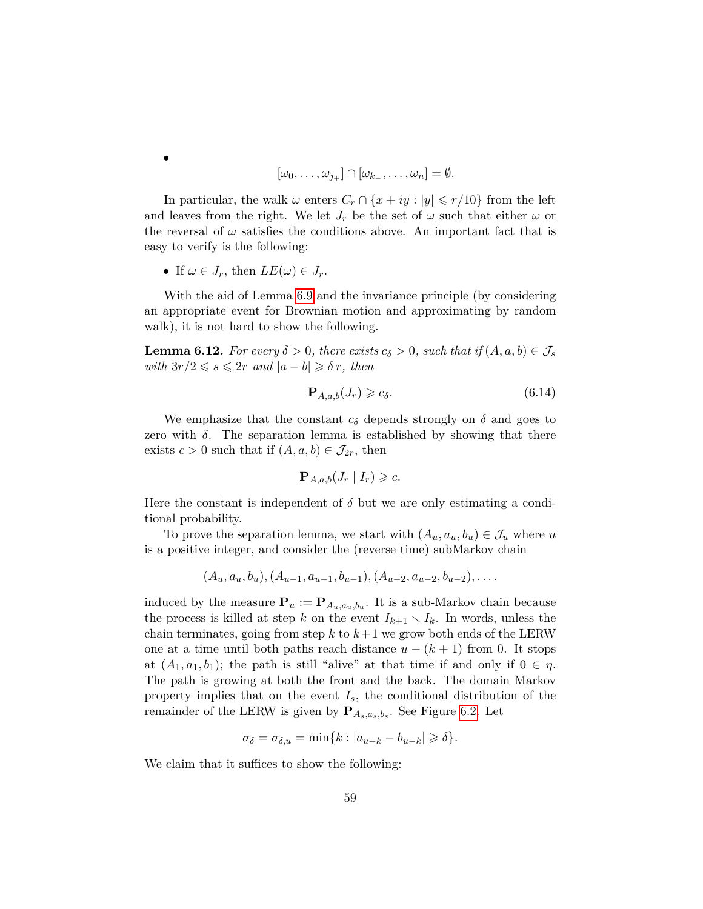$$
[\omega_0,\ldots,\omega_{j_+}]\cap[\omega_{k_-},\ldots,\omega_n]=\emptyset.
$$

In particular, the walk  $\omega$  enters  $C_r \cap \{x + iy : |y| \leq r/10\}$  from the left and leaves from the right. We let  $J_r$  be the set of  $\omega$  such that either  $\omega$  or the reversal of  $\omega$  satisfies the conditions above. An important fact that is easy to verify is the following:

• If  $\omega \in J_r$ , then  $LE(\omega) \in J_r$ .

With the aid of Lemma [6.9](#page-55-0) and the invariance principle (by considering an appropriate event for Brownian motion and approximating by random walk), it is not hard to show the following.

**Lemma 6.12.** *For every*  $\delta > 0$ *, there exists*  $c_{\delta} > 0$ *, such that if*  $(A, a, b) \in \mathcal{J}_s$ *with*  $3r/2 \le s \le 2r$  *and*  $|a-b| \ge \delta r$ *, then* 

<span id="page-58-0"></span>
$$
\mathbf{P}_{A,a,b}(J_r) \geq c_{\delta}.\tag{6.14}
$$

We emphasize that the constant  $c_{\delta}$  depends strongly on  $\delta$  and goes to zero with  $\delta$ . The separation lemma is established by showing that there exists  $c > 0$  such that if  $(A, a, b) \in \mathcal{J}_{2r}$ , then

$$
\mathbf{P}_{A,a,b}(J_r | I_r) \geqslant c.
$$

Here the constant is independent of  $\delta$  but we are only estimating a conditional probability.

To prove the separation lemma, we start with  $(A_u, a_u, b_u) \in \mathcal{J}_u$  where *u* is a positive integer, and consider the (reverse time) subMarkov chain

$$
(A_u, a_u, b_u), (A_{u-1}, a_{u-1}, b_{u-1}), (A_{u-2}, a_{u-2}, b_{u-2}), \ldots
$$

induced by the measure  $\mathbf{P}_u := \mathbf{P}_{A_u, a_u, b_u}$ . It is a sub-Markov chain because the process is killed at step *k* on the event  $I_{k+1} \setminus I_k$ . In words, unless the chain terminates, going from step  $k$  to  $k+1$  we grow both ends of the LERW one at a time until both paths reach distance  $u - (k + 1)$  from 0. It stops at  $(A_1, a_1, b_1)$ ; the path is still "alive" at that time if and only if  $0 \in \eta$ . The path is growing at both the front and the back. The domain Markov property implies that on the event  $I_s$ , the conditional distribution of the remainder of the LERW is given by **P***As,as,b<sup>s</sup>* . See Figure [6.2.](#page-27-0) Let

$$
\sigma_{\delta} = \sigma_{\delta, u} = \min\{k : |a_{u-k} - b_{u-k}| \geqslant \delta\}.
$$

We claim that it suffices to show the following:

•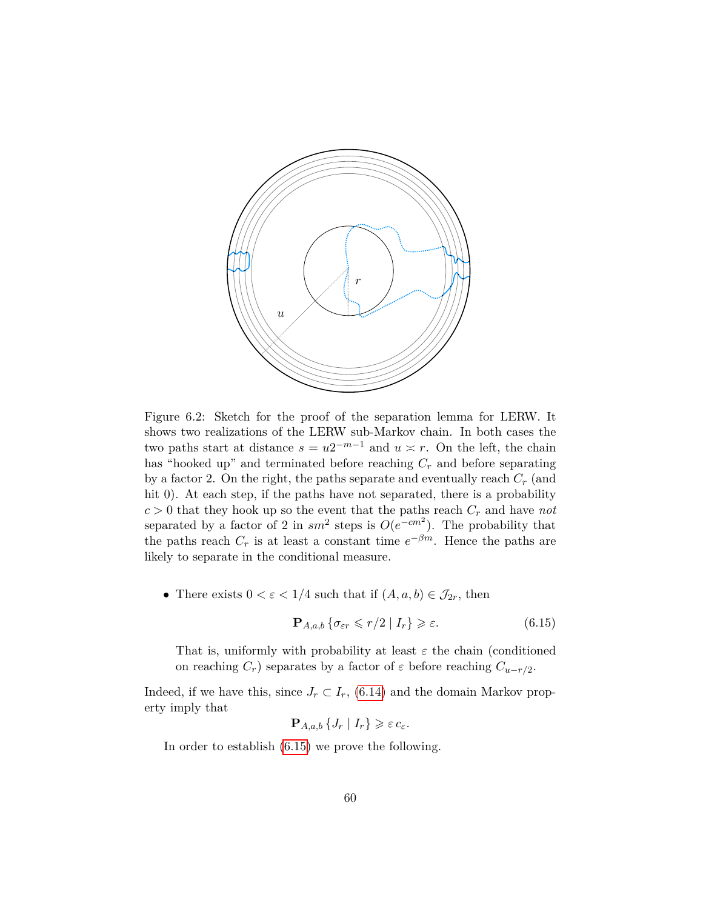

Figure 6.2: Sketch for the proof of the separation lemma for LERW. It shows two realizations of the LERW sub-Markov chain. In both cases the two paths start at distance  $s = u2^{-m-1}$  and  $u \approx r$ . On the left, the chain has "hooked up" and terminated before reaching *C<sup>r</sup>* and before separating by a factor 2. On the right, the paths separate and eventually reach *C<sup>r</sup>* (and hit 0). At each step, if the paths have not separated, there is a probability  $c > 0$  that they hook up so the event that the paths reach  $C_r$  and have *not* separated by a factor of 2 in  $sm^2$  steps is  $O(e^{-cm^2})$ . The probability that the paths reach  $C_r$  is at least a constant time  $e^{-\beta m}$ . Hence the paths are likely to separate in the conditional measure.

• There exists  $0 < \varepsilon < 1/4$  such that if  $(A, a, b) \in \mathcal{J}_{2r}$ , then

<span id="page-59-0"></span>
$$
\mathbf{P}_{A,a,b} \left\{ \sigma_{\varepsilon r} \leqslant r/2 \mid I_r \right\} \geqslant \varepsilon. \tag{6.15}
$$

That is, uniformly with probability at least  $\varepsilon$  the chain (conditioned on reaching  $C_r$ ) separates by a factor of  $\varepsilon$  before reaching  $C_{u-r/2}$ .

Indeed, if we have this, since  $J_r \subset I_r$ , [\(6.14\)](#page-58-0) and the domain Markov property imply that

$$
\mathbf{P}_{A,a,b}\left\{J_r \mid I_r\right\} \geqslant \varepsilon \, c_{\varepsilon}.
$$

In order to establish [\(6.15\)](#page-59-0) we prove the following.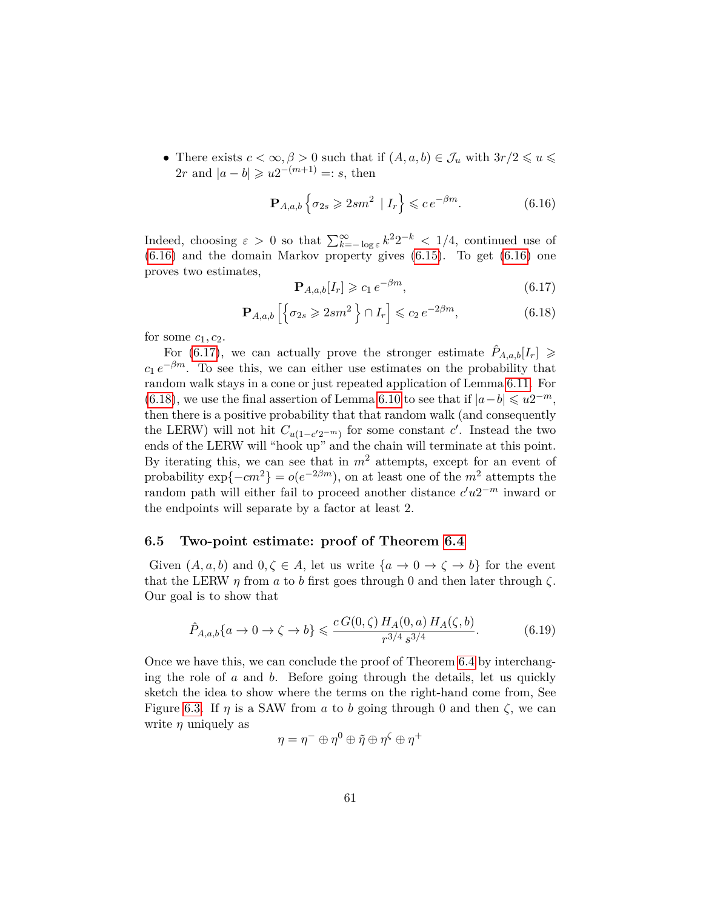• There exists  $c < \infty, \beta > 0$  such that if  $(A, a, b) \in \mathcal{J}_u$  with  $3r/2 \leq u \leq$  $2r$  and  $|a - b| \geq u2^{-(m+1)} =: s$ , then

<span id="page-60-1"></span>
$$
\mathbf{P}_{A,a,b} \left\{ \sigma_{2s} \geqslant 2sm^2 \mid I_r \right\} \leqslant c \, e^{-\beta m}.\tag{6.16}
$$

Indeed, choosing  $\varepsilon > 0$  so that  $\sum_{k=-\log \varepsilon}^{\infty} k^2 2^{-k} < 1/4$ , continued use of [\(6.16\)](#page-60-1) and the domain Markov property gives [\(6.15\)](#page-59-0). To get [\(6.16\)](#page-60-1) one proves two estimates,

<span id="page-60-2"></span>
$$
\mathbf{P}_{A,a,b}[I_r] \geqslant c_1 \, e^{-\beta m},\tag{6.17}
$$

<span id="page-60-3"></span>
$$
\mathbf{P}_{A,a,b} \left[ \left\{ \sigma_{2s} \geqslant 2sm^2 \right\} \cap I_r \right] \leqslant c_2 \, e^{-2\beta m},\tag{6.18}
$$

for some  $c_1$ ,  $c_2$ .

For [\(6.17\)](#page-60-2), we can actually prove the stronger estimate  $\hat{P}_{A,a,b}[I_r] \geq$  $c_1 e^{-\beta m}$ . To see this, we can either use estimates on the probability that random walk stays in a cone or just repeated application of Lemma [6.11.](#page-57-0) For [\(6.18\)](#page-60-3), we use the final assertion of Lemma [6.10](#page-55-1) to see that if  $|a-b| \leq u2^{-m}$ , then there is a positive probability that that random walk (and consequently the LERW) will not hit  $C_{u(1-c'2^{-m})}$  for some constant *c*'. Instead the two ends of the LERW will "hook up" and the chain will terminate at this point. By iterating this, we can see that in  $m^2$  attempts, except for an event of probability  $\exp\{-cm^2\} = o(e^{-2\beta m})$ , on at least one of the  $m^2$  attempts the random path will either fail to proceed another distance  $c'u2^{-m}$  inward or the endpoints will separate by a factor at least 2.

#### <span id="page-60-0"></span>**6.5 Two-point estimate: proof of Theorem [6.4](#page-48-1)**

Given  $(A, a, b)$  and  $0, \zeta \in A$ , let us write  $\{a \to 0 \to \zeta \to b\}$  for the event that the LERW  $\eta$  from  $\alpha$  to  $\delta$  first goes through 0 and then later through  $\zeta$ . Our goal is to show that

<span id="page-60-4"></span>
$$
\hat{P}_{A,a,b}\{a \to 0 \to \zeta \to b\} \leqslant \frac{cG(0,\zeta) H_A(0,a) H_A(\zeta,b)}{r^{3/4} s^{3/4}}.
$$
\n(6.19)

Once we have this, we can conclude the proof of Theorem [6.4](#page-48-1) by interchanging the role of *a* and *b*. Before going through the details, let us quickly sketch the idea to show where the terms on the right-hand come from, See Figure [6.3.](#page-61-0) If  $\eta$  is a SAW from *a* to *b* going through 0 and then  $\zeta$ , we can write  $\eta$  uniquely as

$$
\eta = \eta^- \oplus \eta^0 \oplus \tilde{\eta} \oplus \eta^{\zeta} \oplus \eta^+
$$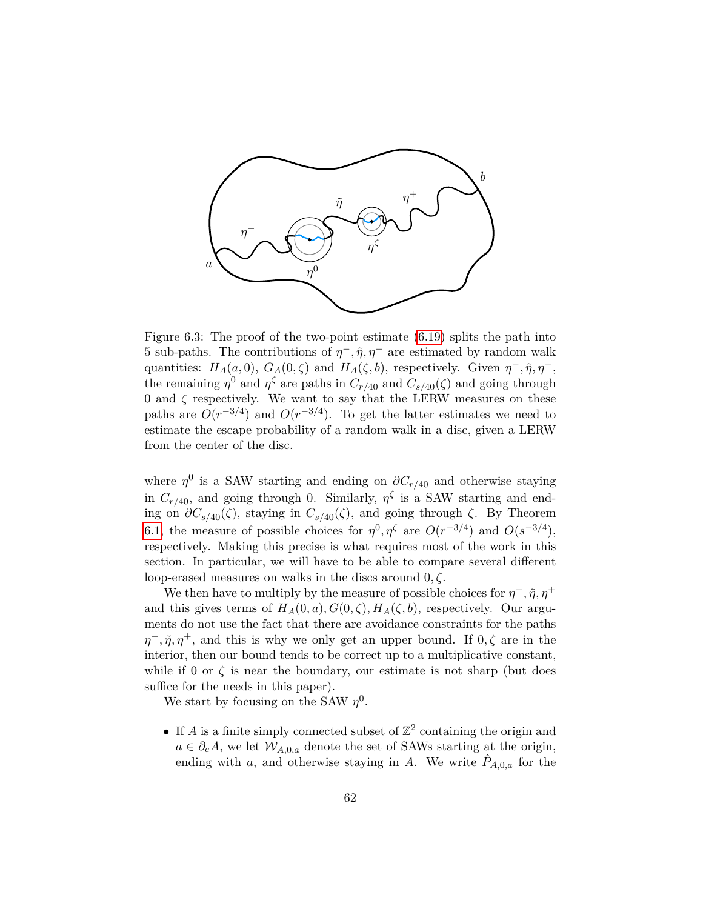

<span id="page-61-0"></span>Figure 6.3: The proof of the two-point estimate [\(6.19\)](#page-60-4) splits the path into 5 sub-paths. The contributions of  $\eta$ <sup>-</sup>,  $\tilde{\eta}$ ,  $\eta$ <sup>+</sup> are estimated by random walk quantities:  $H_A(a,0), G_A(0,\zeta)$  and  $H_A(\zeta,b)$ , respectively. Given  $\eta^-, \tilde{\eta}, \eta^+,$ the remaining  $\eta^0$  and  $\eta^{\zeta}$  are paths in  $C_{r/40}$  and  $C_{s/40}(\zeta)$  and going through 0 and *ζ* respectively. We want to say that the LERW measures on these paths are  $O(r^{-3/4})$  and  $O(r^{-3/4})$ . To get the latter estimates we need to estimate the escape probability of a random walk in a disc, given a LERW from the center of the disc.

where  $\eta^0$  is a SAW starting and ending on  $\partial C_{r/40}$  and otherwise staying in  $C_{r/40}$ , and going through 0. Similarly,  $\eta^{\zeta}$  is a SAW starting and ending on  $\partial C_{s/40}(\zeta)$ , staying in  $C_{s/40}(\zeta)$ , and going through  $\zeta$ . By Theorem [6.1,](#page-46-2) the measure of possible choices for  $\eta^0, \eta^{\zeta}$  are  $O(r^{-3/4})$  and  $O(s^{-3/4})$ , respectively. Making this precise is what requires most of the work in this section. In particular, we will have to be able to compare several different loop-erased measures on walks in the discs around 0*, ζ*.

We then have to multiply by the measure of possible choices for  $\eta^-$ ,  $\tilde{\eta}$ ,  $\eta^+$ and this gives terms of  $H_A(0, a)$ ,  $G(0, \zeta)$ ,  $H_A(\zeta, b)$ , respectively. Our arguments do not use the fact that there are avoidance constraints for the paths  $\eta^-$ ,  $\tilde{\eta}$ ,  $\eta^+$ , and this is why we only get an upper bound. If  $0, \zeta$  are in the interior, then our bound tends to be correct up to a multiplicative constant, while if 0 or  $\zeta$  is near the boundary, our estimate is not sharp (but does suffice for the needs in this paper).

We start by focusing on the SAW  $\eta^0$ .

• If *A* is a finite simply connected subset of  $\mathbb{Z}^2$  containing the origin and  $a \in \partial_e A$ , we let  $W_{A,0,a}$  denote the set of SAWs starting at the origin, ending with *a*, and otherwise staying in *A*. We write  $\hat{P}_{A,0,a}$  for the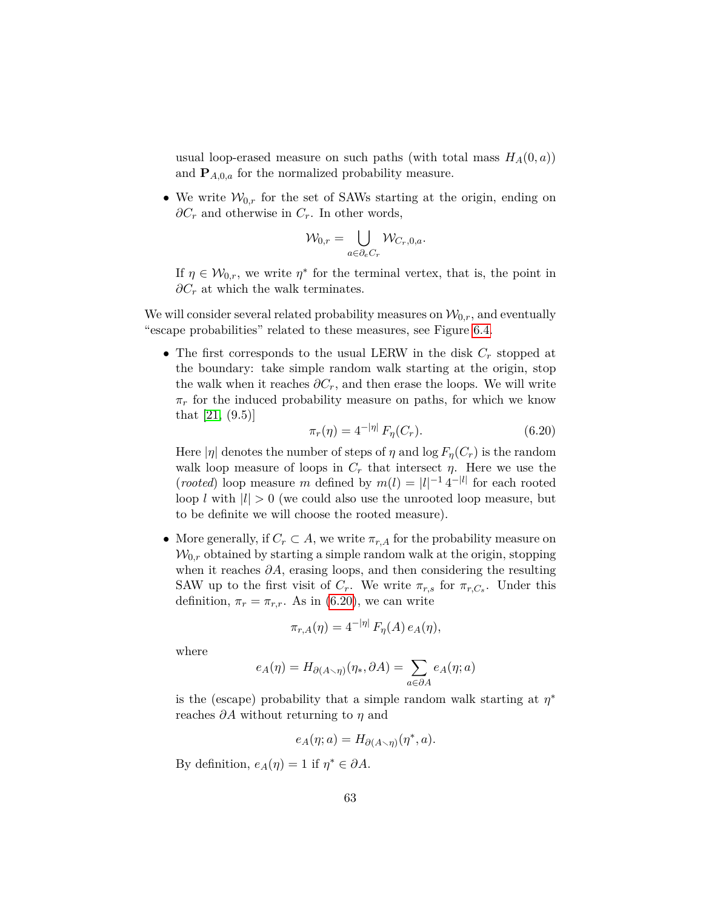usual loop-erased measure on such paths (with total mass  $H_A(0, a)$ ) and  $P_{A,0,a}$  for the normalized probability measure.

• We write  $W_{0,r}$  for the set of SAWs starting at the origin, ending on *∂C<sup>r</sup>* and otherwise in *Cr*. In other words,

$$
\mathcal{W}_{0,r} = \bigcup_{a \in \partial_e C_r} \mathcal{W}_{C_r,0,a}.
$$

If  $\eta \in \mathcal{W}_{0,r}$ , we write  $\eta^*$  for the terminal vertex, that is, the point in *∂C<sub>r</sub>* at which the walk terminates.

We will consider several related probability measures on  $\mathcal{W}_{0,r}$ , and eventually "escape probabilities" related to these measures, see Figure [6.4.](#page-65-0)

• The first corresponds to the usual LERW in the disk *C<sup>r</sup>* stopped at the boundary: take simple random walk starting at the origin, stop the walk when it reaches  $\partial C_r$ , and then erase the loops. We will write  $\pi_r$  for the induced probability measure on paths, for which we know that [\[21,](#page-80-3) (9.5)]

<span id="page-62-0"></span>
$$
\pi_r(\eta) = 4^{-|\eta|} F_\eta(C_r). \tag{6.20}
$$

Here  $|\eta|$  denotes the number of steps of  $\eta$  and  $\log F_{\eta}(C_r)$  is the random walk loop measure of loops in  $C_r$  that intersect  $\eta$ . Here we use the (*rooted*) loop measure *m* defined by  $m(l) = |l|^{-1} 4^{-|l|}$  for each rooted loop *l* with  $|l| > 0$  (we could also use the unrooted loop measure, but to be definite we will choose the rooted measure).

• More generally, if  $C_r \subset A$ , we write  $\pi_{r,A}$  for the probability measure on  $W_{0,r}$  obtained by starting a simple random walk at the origin, stopping when it reaches  $\partial A$ , erasing loops, and then considering the resulting SAW up to the first visit of  $C_r$ . We write  $\pi_{r,s}$  for  $\pi_{r,C_s}$ . Under this definition,  $\pi_r = \pi_{r,r}$ . As in [\(6.20\)](#page-62-0), we can write

$$
\pi_{r,A}(\eta) = 4^{-|\eta|} F_{\eta}(A) e_A(\eta),
$$

where

$$
e_A(\eta) = H_{\partial(A \smallsetminus \eta)}(\eta_*, \partial A) = \sum_{a \in \partial A} e_A(\eta; a)
$$

is the (escape) probability that a simple random walk starting at  $\eta^*$ reaches *∂A* without returning to *η* and

$$
e_A(\eta; a) = H_{\partial(A \smallsetminus \eta)}(\eta^*, a).
$$

By definition,  $e_A(\eta) = 1$  if  $\eta^* \in \partial A$ .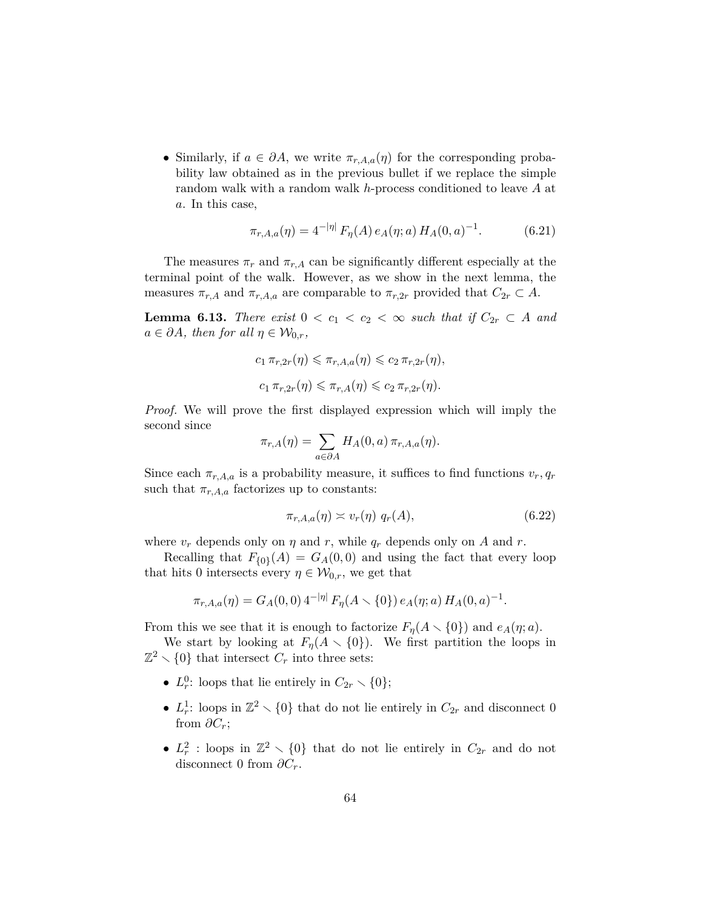• Similarly, if  $a \in \partial A$ , we write  $\pi_{r,A,a}(\eta)$  for the corresponding probability law obtained as in the previous bullet if we replace the simple random walk with a random walk *h*-process conditioned to leave *A* at *a*. In this case,

$$
\pi_{r,A,a}(\eta) = 4^{-|\eta|} F_{\eta}(A) e_A(\eta; a) H_A(0, a)^{-1}.
$$
 (6.21)

The measures  $\pi_r$  and  $\pi_{r,A}$  can be significantly different especially at the terminal point of the walk. However, as we show in the next lemma, the measures  $\pi_{r,A}$  and  $\pi_{r,A,a}$  are comparable to  $\pi_{r,2r}$  provided that  $C_{2r} \subset A$ .

<span id="page-63-1"></span>**Lemma 6.13.** *There exist*  $0 < c_1 < c_2 < \infty$  *such that if*  $C_{2r} \subset A$  *and*  $a \in \partial A$ *, then for all*  $\eta \in \mathcal{W}_{0,r}$ *,* 

$$
c_1 \pi_{r,2r}(\eta) \leq \pi_{r,A,a}(\eta) \leq c_2 \pi_{r,2r}(\eta),
$$
  

$$
c_1 \pi_{r,2r}(\eta) \leq \pi_{r,A}(\eta) \leq c_2 \pi_{r,2r}(\eta).
$$

*Proof.* We will prove the first displayed expression which will imply the second since

$$
\pi_{r,A}(\eta) = \sum_{a \in \partial A} H_A(0,a) \, \pi_{r,A,a}(\eta).
$$

Since each  $\pi_{r,A,a}$  is a probability measure, it suffices to find functions  $v_r, q_r$ such that  $\pi_{r,A,a}$  factorizes up to constants:

<span id="page-63-0"></span>
$$
\pi_{r,A,a}(\eta) \asymp v_r(\eta) \ q_r(A),\tag{6.22}
$$

where  $v_r$  depends only on  $\eta$  and  $r$ , while  $q_r$  depends only on  $A$  and  $r$ .

Recalling that  $F_{\{0\}}(A) = G_A(0,0)$  and using the fact that every loop that hits 0 intersects every  $\eta \in \mathcal{W}_{0,r}$ , we get that

$$
\pi_{r,A,a}(\eta) = G_A(0,0) 4^{-|\eta|} F_\eta(A \smallsetminus \{0\}) e_A(\eta;a) H_A(0,a)^{-1}.
$$

From this we see that it is enough to factorize  $F_n(A \setminus \{0\})$  and  $e_A(\eta; a)$ .

We start by looking at  $F_{\eta}(A \setminus \{0\})$ . We first partition the loops in  $\mathbb{Z}^2 \setminus \{0\}$  that intersect  $C_r$  into three sets:

- $L_r^0$ : loops that lie entirely in  $C_{2r} \setminus \{0\};$
- $L_r^1$ : loops in  $\mathbb{Z}^2 \setminus \{0\}$  that do not lie entirely in  $C_{2r}$  and disconnect 0 from  $\partial C_r$ ;
- $L_r^2$ : loops in  $\mathbb{Z}^2 \setminus \{0\}$  that do not lie entirely in  $C_{2r}$  and do not disconnect 0 from  $\partial C_r$ .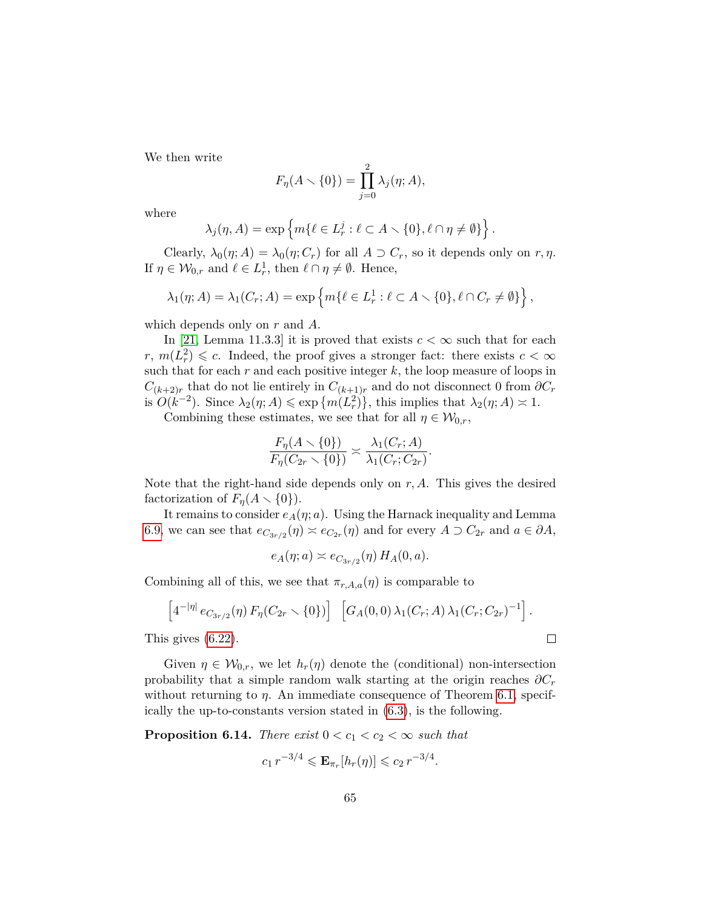We then write

$$
F_{\eta}(A \setminus \{0\}) = \prod_{j=0}^{2} \lambda_j(\eta; A),
$$

where

$$
\lambda_j(\eta, A) = \exp\left\{ m\{\ell \in L^j_r : \ell \subset A \setminus \{0\}, \ell \cap \eta \neq \emptyset\} \right\}.
$$

Clearly,  $\lambda_0(\eta; A) = \lambda_0(\eta; C_r)$  for all  $A \supset C_r$ , so it depends only on  $r, \eta$ . If  $\eta \in \mathcal{W}_{0,r}$  and  $\ell \in L^1_r$ , then  $\ell \cap \eta \neq \emptyset$ . Hence,

$$
\lambda_1(\eta; A) = \lambda_1(C_r; A) = \exp\left\{m\{\ell \in L^1_r : \ell \subset A \setminus \{0\}, \ell \cap C_r \neq \emptyset\}\right\},\
$$

which depends only on *r* and *A*.

In [\[21,](#page-80-3) Lemma 11.3.3] it is proved that exists  $c < \infty$  such that for each  $r, m(\overline{L_r^2}) \leqslant c$ . Indeed, the proof gives a stronger fact: there exists  $c < \infty$ such that for each *r* and each positive integer *k*, the loop measure of loops in  $C_{(k+2)r}$  that do not lie entirely in  $C_{(k+1)r}$  and do not disconnect 0 from  $\partial C_r$ is  $O(k^{-2})$ . Since  $\lambda_2(\eta; A) \leq \exp\{m(L_r^2)\}\$ , this implies that  $\lambda_2(\eta; A) \approx 1$ .

Combining these estimates, we see that for all  $\eta \in \mathcal{W}_{0,r}$ ,

$$
\frac{F_{\eta}(A \setminus \{0\})}{F_{\eta}(C_{2r} \setminus \{0\})} \asymp \frac{\lambda_1(C_r; A)}{\lambda_1(C_r; C_{2r})}.
$$

Note that the right-hand side depends only on *r, A*. This gives the desired factorization of  $F_n(A \setminus \{0\})$ .

It remains to consider  $e_A(\eta; a)$ . Using the Harnack inequality and Lemma [6.9,](#page-55-0) we can see that  $e_{C_{3r/2}}(\eta) \approx e_{C_{2r}}(\eta)$  and for every  $A \supset C_{2r}$  and  $a \in \partial A$ ,

$$
e_A(\eta; a) \asymp e_{C_{3r/2}}(\eta) H_A(0, a).
$$

Combining all of this, we see that  $\pi_{r,A,a}(\eta)$  is comparable to

$$
\[4^{-|\eta|} e_{C_{3r/2}}(\eta) F_{\eta}(C_{2r} \setminus \{0\})] \quad [G_A(0,0) \lambda_1(C_r;A) \lambda_1(C_r;C_{2r})^{-1}].
$$
  
 *gives (6.22).*

This gives [\(6.22\)](#page-63-0).

Given  $\eta \in \mathcal{W}_{0,r}$ , we let  $h_r(\eta)$  denote the (conditional) non-intersection probability that a simple random walk starting at the origin reaches  $\partial C_r$ without returning to *η*. An immediate consequence of Theorem [6.1,](#page-46-2) specifically the up-to-constants version stated in [\(6.3\)](#page-46-0), is the following.

<span id="page-64-0"></span>**Proposition 6.14.** *There exist*  $0 < c_1 < c_2 < \infty$  *such that* 

$$
c_1 r^{-3/4} \leqslant \mathbf{E}_{\pi_r}[h_r(\eta)] \leqslant c_2 r^{-3/4}.
$$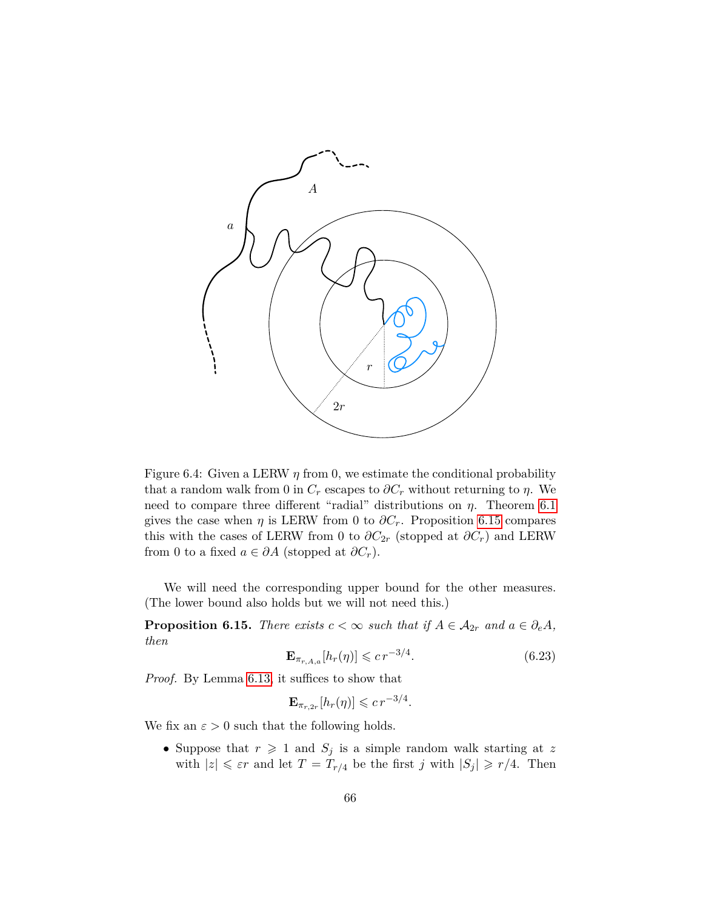

<span id="page-65-0"></span>Figure 6.4: Given a LERW  $\eta$  from 0, we estimate the conditional probability that a random walk from 0 in  $C_r$  escapes to  $\partial C_r$  without returning to  $\eta$ . We need to compare three different "radial" distributions on *η*. Theorem [6.1](#page-46-2) gives the case when  $\eta$  is LERW from 0 to  $\partial C_r$ . Proposition [6.15](#page-65-1) compares this with the cases of LERW from 0 to  $\partial C_{2r}$  (stopped at  $\partial C_r$ ) and LERW from 0 to a fixed  $a \in \partial A$  (stopped at  $\partial C_r$ ).

We will need the corresponding upper bound for the other measures. (The lower bound also holds but we will not need this.)

<span id="page-65-1"></span>**Proposition 6.15.** *There exists*  $c < \infty$  *such that if*  $A \in \mathcal{A}_{2r}$  *and*  $a \in \partial_e A$ *, then*

$$
\mathbf{E}_{\pi_{r,A,a}}[h_r(\eta)] \leqslant c \, r^{-3/4}.\tag{6.23}
$$

*Proof.* By Lemma [6.13,](#page-63-1) it suffices to show that

$$
\mathbf{E}_{\pi_{r,2r}}[h_r(\eta)] \leqslant c \, r^{-3/4}.
$$

We fix an  $\varepsilon > 0$  such that the following holds.

• Suppose that  $r \geq 1$  and  $S_j$  is a simple random walk starting at z with  $|z| \leq \varepsilon r$  and let  $T = T_{r/4}$  be the first *j* with  $|S_j| \geq r/4$ . Then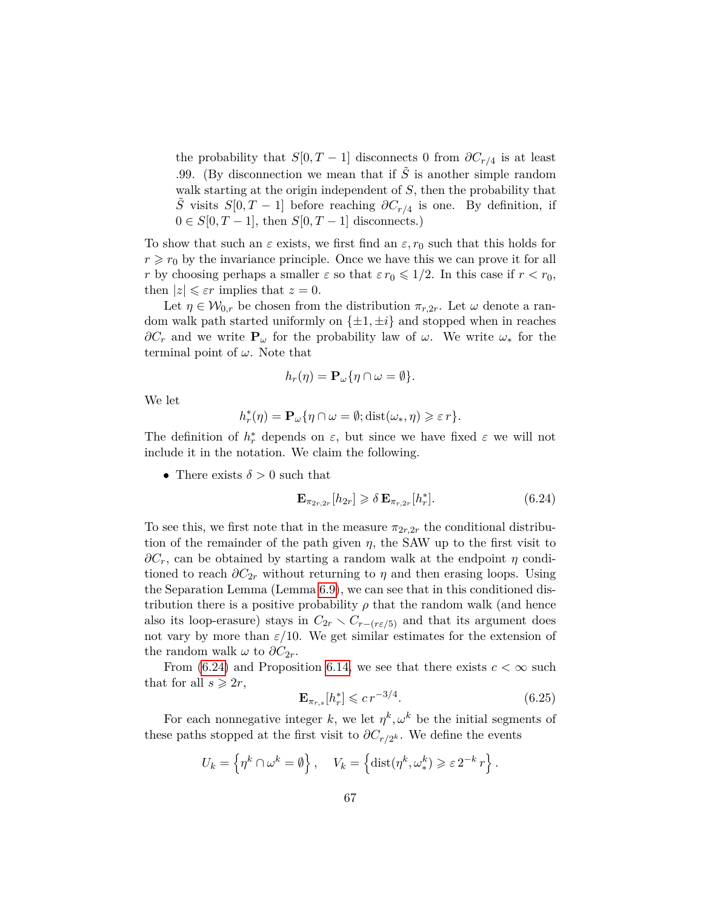the probability that  $S[0, T-1]$  disconnects 0 from  $\partial C_{r/4}$  is at least .99. (By disconnection we mean that if  $\tilde{S}$  is another simple random walk starting at the origin independent of *S*, then the probability that *S*<sup> $\tilde{S}$ </sup> visits *S*[0*,T* − 1] before reaching  $\partial C_{r/4}$  is one. By definition, if  $0 \in S[0, T-1]$ , then  $S[0, T-1]$  disconnects.)

To show that such an  $\varepsilon$  exists, we first find an  $\varepsilon$ ,  $r_0$  such that this holds for  $r \geq r_0$  by the invariance principle. Once we have this we can prove it for all *r* by choosing perhaps a smaller  $\varepsilon$  so that  $\varepsilon r_0 \leq 1/2$ . In this case if  $r < r_0$ , then  $|z| \leq \varepsilon r$  implies that  $z = 0$ .

Let  $\eta \in \mathcal{W}_{0,r}$  be chosen from the distribution  $\pi_{r,2r}$ . Let  $\omega$  denote a random walk path started uniformly on  $\{\pm 1, \pm i\}$  and stopped when in reaches  $\partial C_r$  and we write  $P_\omega$  for the probability law of  $\omega$ . We write  $\omega_*$  for the terminal point of *ω*. Note that

$$
h_r(\eta) = \mathbf{P}_{\omega} \{ \eta \cap \omega = \emptyset \}.
$$

We let

$$
h_r^*(\eta) = \mathbf{P}_{\omega} \{ \eta \cap \omega = \emptyset; \text{dist}(\omega_*, \eta) \geqslant \varepsilon r \}.
$$

The definition of  $h_r^*$  depends on  $\varepsilon$ , but since we have fixed  $\varepsilon$  we will not include it in the notation. We claim the following.

• There exists  $\delta > 0$  such that

<span id="page-66-0"></span>
$$
\mathbf{E}_{\pi_{2r,2r}}[h_{2r}] \geq \delta \mathbf{E}_{\pi_{r,2r}}[h_r^*].\tag{6.24}
$$

To see this, we first note that in the measure  $\pi_{2r,2r}$  the conditional distribution of the remainder of the path given  $\eta$ , the SAW up to the first visit to  $\partial C_r$ , can be obtained by starting a random walk at the endpoint *η* conditioned to reach  $\partial C_{2r}$  without returning to  $\eta$  and then erasing loops. Using the Separation Lemma (Lemma [6.9\)](#page-55-0), we can see that in this conditioned distribution there is a positive probability  $\rho$  that the random walk (and hence also its loop-erasure) stays in  $C_{2r} \setminus C_{r-(r\epsilon/5)}$  and that its argument does not vary by more than  $\varepsilon/10$ . We get similar estimates for the extension of the random walk  $\omega$  to  $\partial C_{2r}$ .

From [\(6.24\)](#page-66-0) and Proposition [6.14,](#page-64-0) we see that there exists  $c < \infty$  such that for all  $s \geqslant 2r$ ,

<span id="page-66-1"></span>
$$
\mathbf{E}_{\pi_{r,s}}[h_r^*] \leqslant c \, r^{-3/4}.\tag{6.25}
$$

*.*

For each nonnegative integer *k*, we let  $\eta^k, \omega^k$  be the initial segments of these paths stopped at the first visit to  $\partial C_{r/2^k}$ . We define the events

$$
U_k = \left\{ \eta^k \cap \omega^k = \emptyset \right\}, \quad V_k = \left\{ \text{dist}(\eta^k, \omega^k) \geqslant \varepsilon \, 2^{-k} \, r \right\}
$$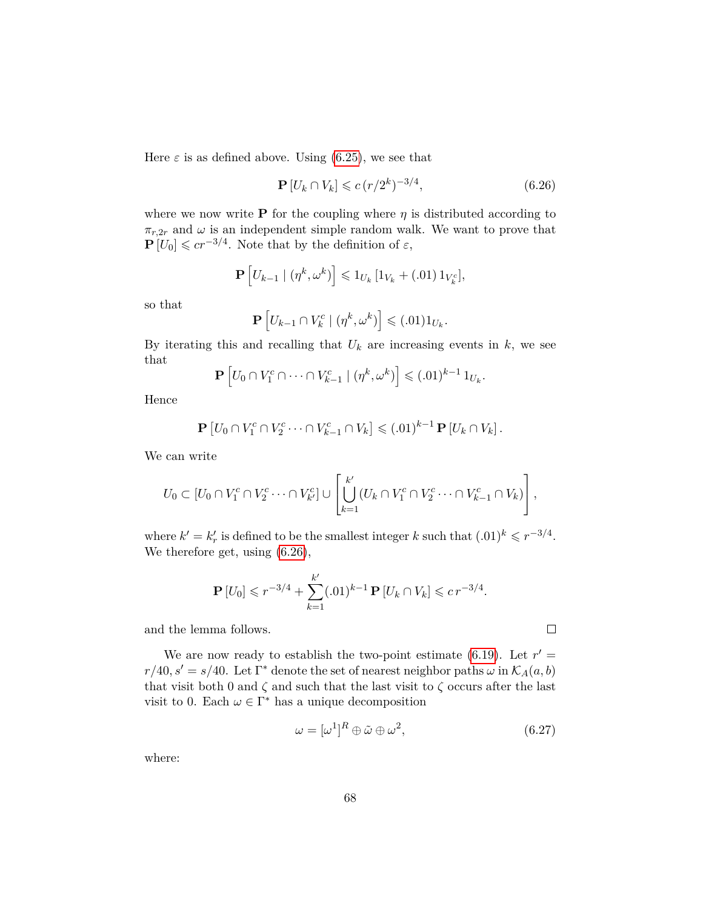Here  $\varepsilon$  is as defined above. Using [\(6.25\)](#page-66-1), we see that

<span id="page-67-0"></span>
$$
\mathbf{P}\left[U_k \cap V_k\right] \leqslant c \, (r/2^k)^{-3/4},\tag{6.26}
$$

where we now write **P** for the coupling where  $\eta$  is distributed according to  $\pi_{r,2r}$  and  $\omega$  is an independent simple random walk. We want to prove that  $\mathbf{P}[U_0] \leqslant c r^{-3/4}$ . Note that by the definition of  $\varepsilon$ ,

$$
\mathbf{P}\left[U_{k-1} \mid (\eta^k, \omega^k)\right] \leq 1_{U_k} \left[1_{V_k} + (.01) \, 1_{V_k^c}\right],
$$

so that

$$
\mathbf{P}\left[U_{k-1}\cap V_k^c\mid(\eta^k,\omega^k)\right]\leqslant(.01)1_{U_k}.
$$

By iterating this and recalling that  $U_k$  are increasing events in  $k$ , we see that

$$
\mathbf{P}\left[U_0 \cap V_1^c \cap \cdots \cap V_{k-1}^c \mid (\eta^k, \omega^k)\right] \leq (0.01)^{k-1} 1_{U_k}.
$$

Hence

$$
\mathbf{P}\left[U_0 \cap V_1^c \cap V_2^c \cdots \cap V_{k-1}^c \cap V_k\right] \leqslant (.01)^{k-1} \mathbf{P}\left[U_k \cap V_k\right].
$$

We can write

$$
U_0\subset [U_0\cap V_1^c\cap V_2^c\cdots\cap V_{k'}^c]\cup \left[\bigcup_{k=1}^{k'}(U_k\cap V_1^c\cap V_2^c\cdots\cap V_{k-1}^c\cap V_k)\right],
$$

where  $k' = k'_r$  is defined to be the smallest integer  $k$  such that  $(0.01)^k \leq r^{-3/4}$ . We therefore get, using [\(6.26\)](#page-67-0),

$$
\mathbf{P}[U_0] \leqslant r^{-3/4} + \sum_{k=1}^{k'} (.01)^{k-1} \mathbf{P}[U_k \cap V_k] \leqslant c \, r^{-3/4}.
$$

and the lemma follows.

We are now ready to establish the two-point estimate  $(6.19)$ . Let  $r' =$  $r/40, s' = s/40$ . Let  $\Gamma^*$  denote the set of nearest neighbor paths  $\omega$  in  $\mathcal{K}_A(a, b)$ that visit both 0 and  $\zeta$  and such that the last visit to  $\zeta$  occurs after the last visit to 0. Each  $\omega \in \Gamma^*$  has a unique decomposition

<span id="page-67-1"></span>
$$
\omega = [\omega^1]^R \oplus \tilde{\omega} \oplus \omega^2, \tag{6.27}
$$

 $\Box$ 

where: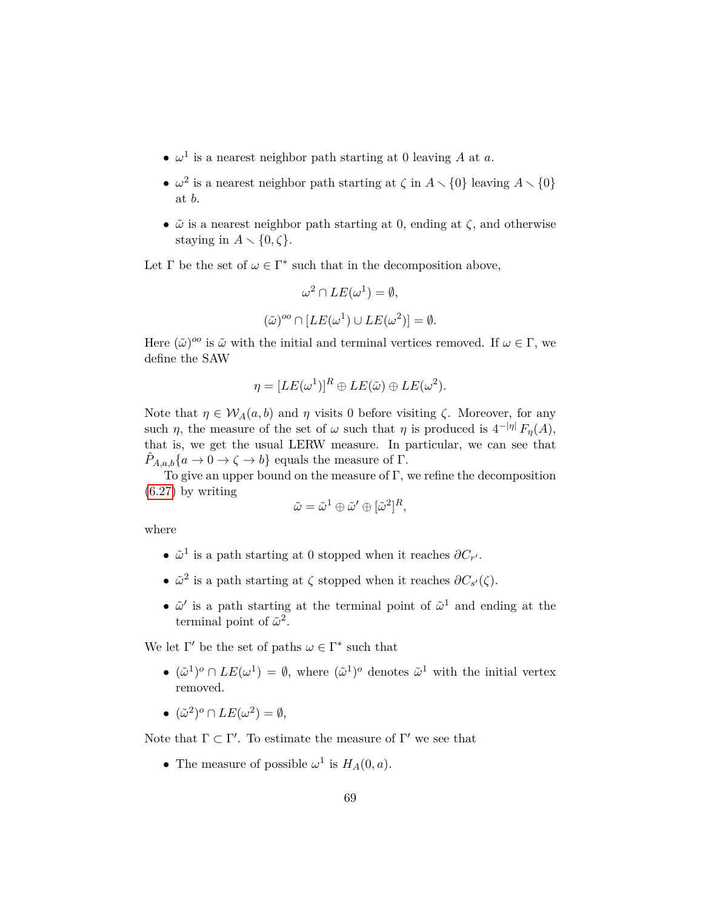- $\omega^1$  is a nearest neighbor path starting at 0 leaving A at a.
- $\omega^2$  is a nearest neighbor path starting at  $\zeta$  in  $A \setminus \{0\}$  leaving  $A \setminus \{0\}$ at *b*.
- $\tilde{\omega}$  is a nearest neighbor path starting at 0, ending at  $\zeta$ , and otherwise staying in  $A \setminus \{0, \zeta\}.$

Let  $\Gamma$  be the set of  $\omega \in \Gamma^*$  such that in the decomposition above,

$$
\omega^2 \cap LE(\omega^1) = \emptyset,
$$
  

$$
(\tilde{\omega})^{oo} \cap [LE(\omega^1) \cup LE(\omega^2)] = \emptyset.
$$

Here  $(\tilde{\omega})^{oo}$  is  $\tilde{\omega}$  with the initial and terminal vertices removed. If  $\omega \in \Gamma$ , we define the SAW

$$
\eta = [LE(\omega^1)]^R \oplus LE(\tilde{\omega}) \oplus LE(\omega^2).
$$

Note that  $\eta \in W_A(a, b)$  and  $\eta$  visits 0 before visiting  $\zeta$ . Moreover, for any such  $\eta$ , the measure of the set of  $\omega$  such that  $\eta$  is produced is  $4^{-|\eta|} F_{\eta}(A)$ , that is, we get the usual LERW measure. In particular, we can see that  $\hat{P}_{A,a,b}\{a \to 0 \to \zeta \to b\}$  equals the measure of  $\Gamma$ .

To give an upper bound on the measure of  $\Gamma$ , we refine the decomposition [\(6.27\)](#page-67-1) by writing

$$
\tilde{\omega} = \tilde{\omega}^1 \oplus \tilde{\omega}' \oplus [\tilde{\omega}^2]^R,
$$

where

- $\tilde{\omega}^1$  is a path starting at 0 stopped when it reaches  $\partial C_{r'}$ .
- $\tilde{\omega}^2$  is a path starting at  $\zeta$  stopped when it reaches  $\partial C_{s'}(\zeta)$ .
- $\tilde{\omega}'$  is a path starting at the terminal point of  $\tilde{\omega}^1$  and ending at the terminal point of  $\tilde{\omega}^2$ .

We let  $\Gamma'$  be the set of paths  $\omega \in \Gamma^*$  such that

- $({\tilde{\omega}}^1)^o \cap LE(\omega^1) = \emptyset$ , where  $({\tilde{\omega}}^1)^o$  denotes  ${\tilde{\omega}}^1$  with the initial vertex removed.
- $({\tilde{\omega}}^2)^o \cap LE(\omega^2) = \emptyset$ ,

Note that  $\Gamma \subset \Gamma'$ . To estimate the measure of  $\Gamma'$  we see that

• The measure of possible  $\omega^1$  is  $H_A(0, a)$ .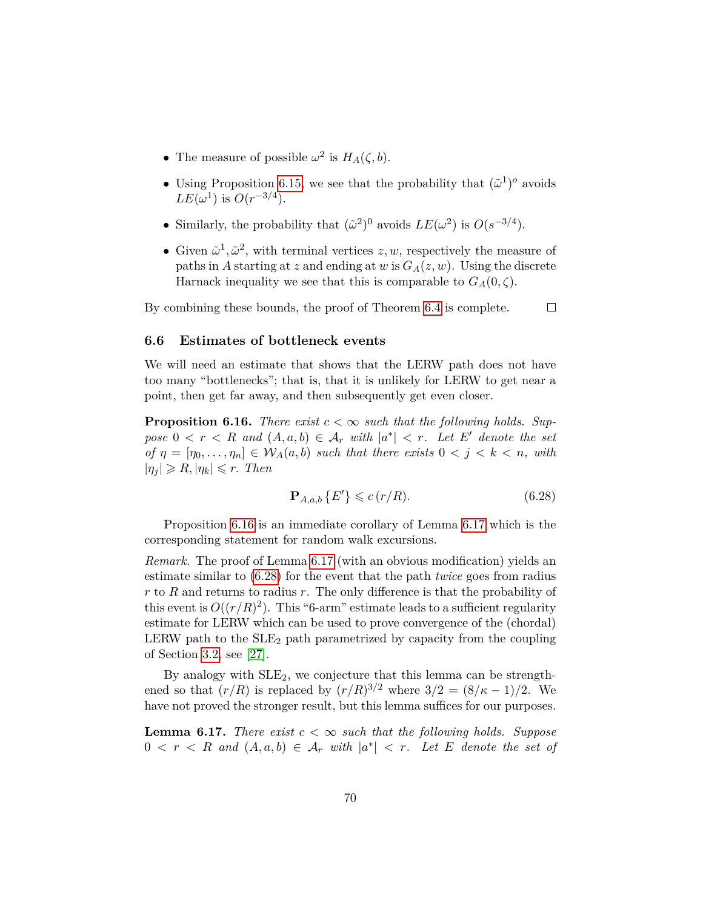- The measure of possible  $\omega^2$  is  $H_A(\zeta, b)$ .
- Using Proposition [6.15,](#page-65-1) we see that the probability that  $({\tilde{\omega}}^1)^o$  avoids *LE*( $\omega$ <sup>1</sup>) is *O*( $r$ <sup>-3/4</sup>).
- Similarly, the probability that  $({\tilde{\omega}}^2)^0$  avoids  $LE(\omega^2)$  is  $O(s^{-3/4})$ .
- Given  $\tilde{\omega}^1, \tilde{\omega}^2$ , with terminal vertices  $z, w$ , respectively the measure of paths in *A* starting at *z* and ending at *w* is  $G_A(z, w)$ . Using the discrete Harnack inequality we see that this is comparable to  $G_A(0,\zeta)$ .

By combining these bounds, the proof of Theorem [6.4](#page-48-1) is complete.  $\Box$ 

#### **6.6 Estimates of bottleneck events**

We will need an estimate that shows that the LERW path does not have too many "bottlenecks"; that is, that it is unlikely for LERW to get near a point, then get far away, and then subsequently get even closer.

<span id="page-69-0"></span>**Proposition 6.16.** *There exist*  $c < \infty$  *such that the following holds. Sup* $pose\ 0 < r < R$  *and*  $(A, a, b) \in A_r$  *with*  $|a^*| < r$ *. Let*  $E'$  *denote the set*  $of \eta = [\eta_0, \ldots, \eta_n] \in W_A(a, b) \text{ such that there exists } 0 < j < k < n, \text{ with }$  $|\eta_i| \ge R$ ,  $|\eta_k| \le r$ . *Then* 

<span id="page-69-2"></span>
$$
\mathbf{P}_{A,a,b} \left\{ E' \right\} \leqslant c \left( r/R \right). \tag{6.28}
$$

Proposition [6.16](#page-69-0) is an immediate corollary of Lemma [6.17](#page-69-1) which is the corresponding statement for random walk excursions.

*Remark.* The proof of Lemma [6.17](#page-69-1) (with an obvious modification) yields an estimate similar to [\(6.28\)](#page-69-2) for the event that the path *twice* goes from radius *r* to *R* and returns to radius *r*. The only difference is that the probability of this event is  $O((r/R)^2)$ . This "6-arm" estimate leads to a sufficient regularity estimate for LERW which can be used to prove convergence of the (chordal) LERW path to the  $SLE<sub>2</sub>$  path parametrized by capacity from the coupling of Section [3.2,](#page-20-0) see [\[27\]](#page-80-4).

By analogy with  $SLE<sub>2</sub>$ , we conjecture that this lemma can be strengthened so that  $(r/R)$  is replaced by  $(r/R)^{3/2}$  where  $3/2 = (8/\kappa - 1)/2$ . We have not proved the stronger result, but this lemma suffices for our purposes.

<span id="page-69-1"></span>**Lemma 6.17.** *There exist*  $c < \infty$  *such that the following holds. Suppose*  $0 < r < R$  and  $(A, a, b) \in A_r$  with  $|a^*| < r$ . Let E denote the set of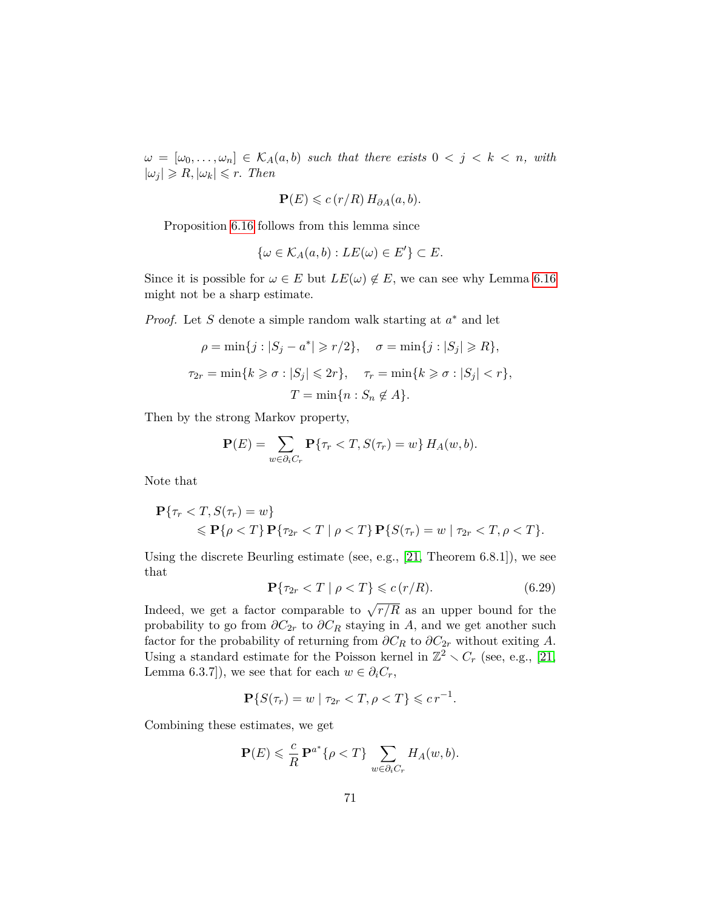$\omega = [\omega_0, \ldots, \omega_n] \in \mathcal{K}_A(a, b)$  *such that there exists*  $0 \leq j \leq k \leq n$ *, with*  $|\omega_j| \ge R$ ,  $|\omega_k| \le r$ . *Then* 

$$
\mathbf{P}(E) \leqslant c\left(\frac{r}{R}\right)H_{\partial A}(a,b).
$$

Proposition [6.16](#page-69-0) follows from this lemma since

$$
\{\omega \in \mathcal{K}_A(a,b) : LE(\omega) \in E'\} \subset E.
$$

Since it is possible for  $\omega \in E$  but  $LE(\omega) \notin E$ , we can see why Lemma [6.16](#page-69-0) might not be a sharp estimate.

*Proof.* Let *S* denote a simple random walk starting at  $a^*$  and let

$$
\rho = \min\{j : |S_j - a^*| \ge r/2\}, \quad \sigma = \min\{j : |S_j| \ge R\},\
$$
  

$$
\tau_{2r} = \min\{k \ge \sigma : |S_j| \le 2r\}, \quad \tau_r = \min\{k \ge \sigma : |S_j| < r\},\
$$
  

$$
T = \min\{n : S_n \notin A\}.
$$

Then by the strong Markov property,

$$
\mathbf{P}(E) = \sum_{w \in \partial_i C_r} \mathbf{P}\{\tau_r < T, S(\tau_r) = w\} \, H_A(w, b).
$$

Note that

$$
\mathbf{P}\{\tau_r < T, S(\tau_r) = w\} \\
\leq \mathbf{P}\{\rho < T\} \mathbf{P}\{\tau_{2r} < T \mid \rho < T\} \mathbf{P}\{S(\tau_r) = w \mid \tau_{2r} < T, \rho < T\}.
$$

Using the discrete Beurling estimate (see, e.g., [\[21,](#page-80-3) Theorem 6.8.1]), we see that

$$
\mathbf{P}\{\tau_{2r} < T \mid \rho < T\} \leqslant c\left(\frac{r}{R}\right). \tag{6.29}
$$

Indeed, we get a factor comparable to  $\sqrt{r/R}$  as an upper bound for the probability to go from  $\partial C_{2r}$  to  $\partial C_R$  staying in *A*, and we get another such factor for the probability of returning from  $\partial C_R$  to  $\partial C_{2r}$  without exiting A. Using a standard estimate for the Poisson kernel in  $\mathbb{Z}^2 \setminus C_r$  (see, e.g., [\[21,](#page-80-3) Lemma 6.3.7]), we see that for each  $w \in \partial_i C_r$ ,

$$
\mathbf{P}\{S(\tau_r) = w \mid \tau_{2r} < T, \rho < T\} \leqslant c \, r^{-1}.
$$

Combining these estimates, we get

$$
\mathbf{P}(E) \leqslant \frac{c}{R} \mathbf{P}^{a^*} \{ \rho < T \} \sum_{w \in \partial_i C_r} H_A(w, b).
$$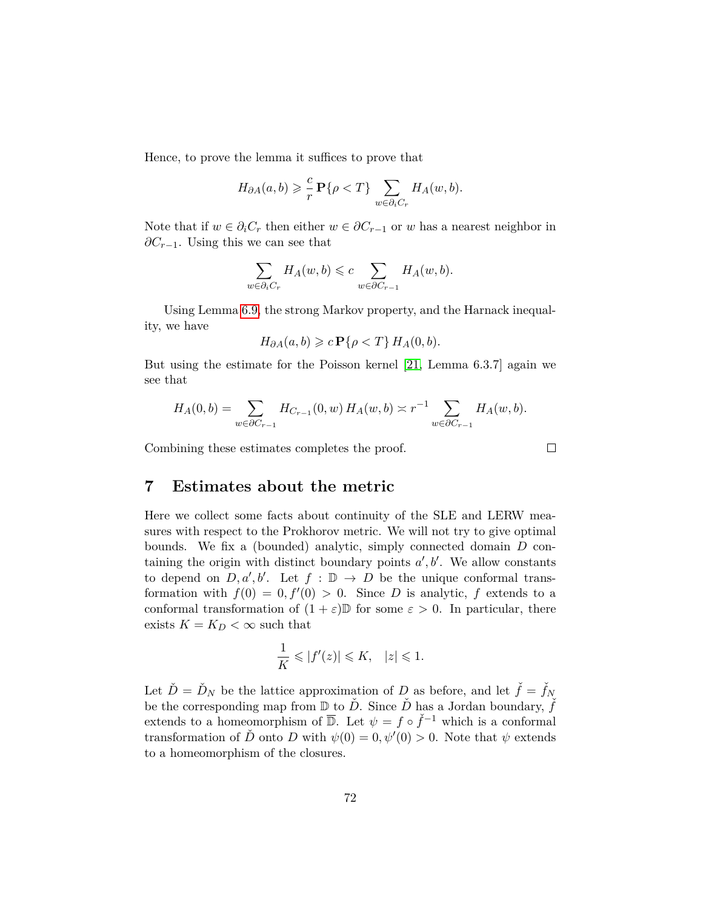Hence, to prove the lemma it suffices to prove that

$$
H_{\partial A}(a,b) \geqslant \frac{c}{r} \mathbf{P}\{\rho < T\} \sum_{w \in \partial_i C_r} H_A(w,b).
$$

Note that if  $w \in \partial_i C_r$  then either  $w \in \partial C_{r-1}$  or  $w$  has a nearest neighbor in *∂C*<sub>*r*−1</sub>. Using this we can see that

$$
\sum_{w \in \partial_i C_r} H_A(w, b) \leqslant c \sum_{w \in \partial C_{r-1}} H_A(w, b).
$$

Using Lemma [6.9,](#page-55-0) the strong Markov property, and the Harnack inequality, we have

$$
H_{\partial A}(a,b) \geqslant c \, \mathbf{P}\{\rho < T\} \, H_A(0,b).
$$

But using the estimate for the Poisson kernel [\[21,](#page-80-3) Lemma 6.3.7] again we see that

$$
H_A(0,b) = \sum_{w \in \partial C_{r-1}} H_{C_{r-1}}(0,w) H_A(w,b) \asymp r^{-1} \sum_{w \in \partial C_{r-1}} H_A(w,b).
$$

Combining these estimates completes the proof.

$$
\Box
$$

## **7 Estimates about the metric**

Here we collect some facts about continuity of the SLE and LERW measures with respect to the Prokhorov metric. We will not try to give optimal bounds. We fix a (bounded) analytic, simply connected domain *D* containing the origin with distinct boundary points  $a', b'$ . We allow constants to depend on  $D, a', b'$ . Let  $f : \mathbb{D} \to D$  be the unique conformal transformation with  $f(0) = 0, f'(0) > 0$ . Since *D* is analytic, *f* extends to a conformal transformation of  $(1 + \varepsilon)$  for some  $\varepsilon > 0$ . In particular, there exists  $K = K_D < \infty$  such that

$$
\frac{1}{K} \leqslant |f'(z)| \leqslant K, \quad |z| \leqslant 1.
$$

Let  $\check{D} = \check{D}_N$  be the lattice approximation of *D* as before, and let  $\check{f} = \check{f}_N$ be the corresponding map from  $\mathbb{D}$  to  $\check{D}$ . Since  $\check{D}$  has a Jordan boundary,  $\check{f}$ extends to a homeomorphism of  $\overline{\mathbb{D}}$ . Let  $\psi = f \circ \check{f}^{-1}$  which is a conformal transformation of  $\check{D}$  onto *D* with  $\psi(0) = 0, \psi'(0) > 0$ . Note that  $\psi$  extends to a homeomorphism of the closures.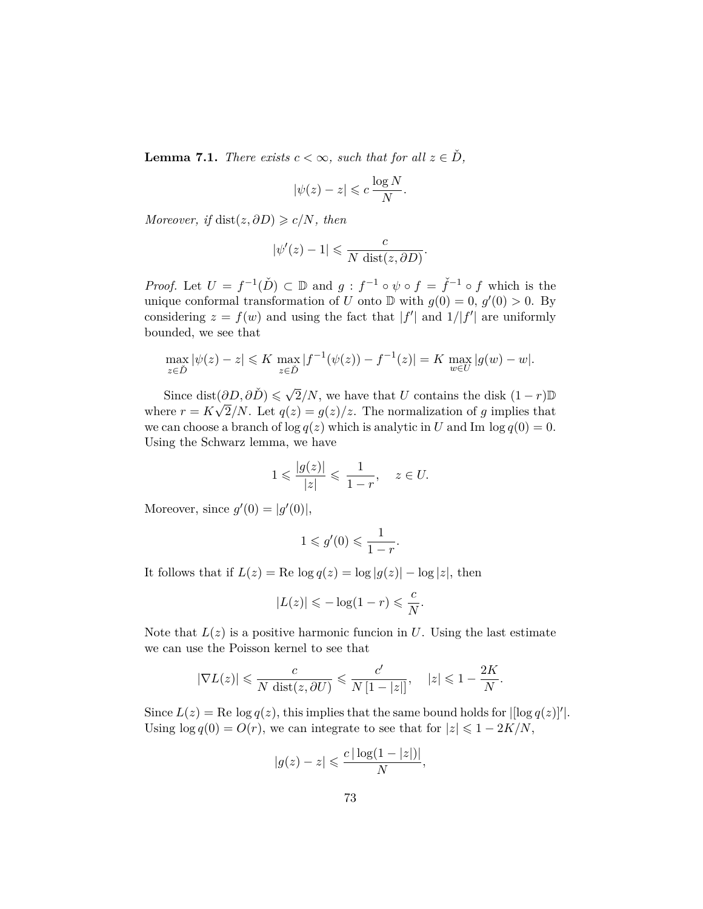<span id="page-72-0"></span>**Lemma 7.1.** *There exists*  $c < \infty$ *, such that for all*  $z \in \check{D}$ *,* 

$$
|\psi(z) - z| \leqslant c \, \frac{\log N}{N}.
$$

*Moreover, if*  $dist(z, \partial D) \geq c/N$ *, then* 

$$
|\psi'(z) - 1| \leqslant \frac{c}{N \operatorname{dist}(z, \partial D)}.
$$

*Proof.* Let  $U = f^{-1}(\check{D}) \subset \mathbb{D}$  and  $g : f^{-1} \circ \psi \circ f = \check{f}^{-1} \circ f$  which is the unique conformal transformation of *U* onto  $D$  with  $g(0) = 0, g'(0) > 0$ . By considering  $z = f(w)$  and using the fact that  $|f'|$  and  $1/|f'|$  are uniformly bounded, we see that

$$
\max_{z \in D} |\psi(z) - z| \leq K \max_{z \in D} |f^{-1}(\psi(z)) - f^{-1}(z)| = K \max_{w \in U} |g(w) - w|.
$$

Since dist $(\partial D, \partial \check{D}) \leq \sqrt{2}/N$ , we have that *U* contains the disk  $(1 - r)\mathbb{D}$ where  $r = K$ √ 2/N. Let  $q(z) = g(z)/z$ . The normalization of g implies that we can choose a branch of  $\log q(z)$  which is analytic in *U* and Im  $\log q(0) = 0$ . Using the Schwarz lemma, we have

$$
1 \leqslant \frac{|g(z)|}{|z|} \leqslant \frac{1}{1-r}, \quad z \in U.
$$

Moreover, since  $g'(0) = |g'(0)|$ ,

$$
1 \leqslant g'(0) \leqslant \frac{1}{1-r}
$$

*.*

It follows that if  $L(z) = \text{Re}\log q(z) = \log |q(z)| - \log |z|$ , then

$$
|L(z)| \leqslant -\log(1-r) \leqslant \frac{c}{N}.
$$

Note that  $L(z)$  is a positive harmonic funcion in  $U$ . Using the last estimate we can use the Poisson kernel to see that

$$
|\nabla L(z)| \leqslant \frac{c}{N \operatorname{dist}(z, \partial U)} \leqslant \frac{c'}{N \left[1 - |z|\right]}, \quad |z| \leqslant 1 - \frac{2K}{N}.
$$

Since  $L(z) = \text{Re}\log q(z)$ , this implies that the same bound holds for  $\left| \log q(z) \right|'$ . Using  $\log q(0) = O(r)$ , we can integrate to see that for  $|z| \leq 1 - 2K/N$ ,

$$
|g(z) - z| \leqslant \frac{c |\log(1 - |z|)|}{N},
$$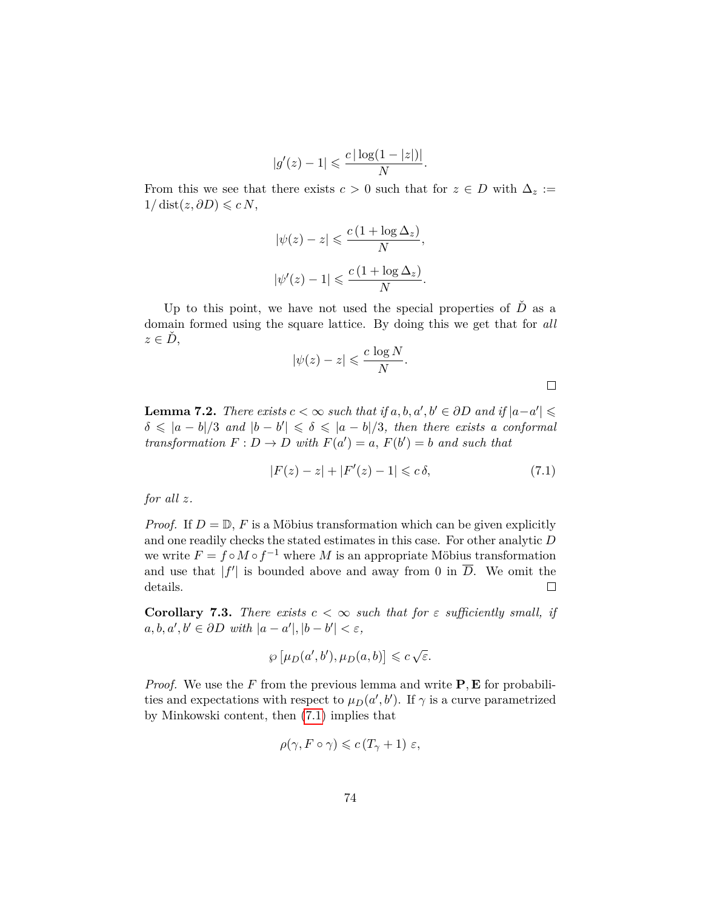$$
|g'(z) - 1| \leqslant \frac{c |\log(1 - |z|)|}{N}.
$$

From this we see that there exists  $c > 0$  such that for  $z \in D$  with  $\Delta_z :=$  $1/\text{dist}(z, \partial D) \leqslant c N$ ,

$$
|\psi(z) - z| \leqslant \frac{c(1 + \log \Delta_z)}{N},
$$
  

$$
|\psi'(z) - 1| \leqslant \frac{c(1 + \log \Delta_z)}{N}.
$$

Up to this point, we have not used the special properties of  $\check{D}$  as a domain formed using the square lattice. By doing this we get that for *all*  $z \in \dot{D}$ ,

$$
|\psi(z) - z| \leqslant \frac{c \log N}{N}.
$$

 $\Box$ 

**Lemma 7.2.** *There exists*  $c < \infty$  *such that if*  $a, b, a', b' \in \partial D$  *and if*  $|a-a'| \le$  $\delta \leqslant |a - b|/3$  *and*  $|b - b'| \leqslant \delta \leqslant |a - b|/3$ , then there exists a conformal *transformation*  $F: D \to D$  *with*  $F(a') = a$ ,  $F(b') = b$  *and such that* 

<span id="page-73-0"></span>
$$
|F(z) - z| + |F'(z) - 1| \leq c \delta,
$$
\n(7.1)

*for all z.*

*Proof.* If  $D = \mathbb{D}$ , *F* is a Möbius transformation which can be given explicitly and one readily checks the stated estimates in this case. For other analytic *D* we write  $F = f \circ M \circ f^{-1}$  where *M* is an appropriate Möbius transformation and use that  $|f'|$  is bounded above and away from 0 in  $\overline{D}$ . We omit the details.  $\Box$ 

<span id="page-73-1"></span>**Corollary 7.3.** *There exists*  $c < \infty$  *such that for*  $\varepsilon$  *sufficiently small, if*  $a, b, a', b' \in \partial D$  *with*  $|a - a'|, |b - b'| < \varepsilon$ ,

$$
\wp \left[ \mu_D(a',b'), \mu_D(a,b) \right] \leqslant c \sqrt{\varepsilon}.
$$

*Proof.* We use the *F* from the previous lemma and write **P***,* **E** for probabilities and expectations with respect to  $\mu_D(a', b')$ . If  $\gamma$  is a curve parametrized by Minkowski content, then [\(7.1\)](#page-73-0) implies that

$$
\rho(\gamma, F \circ \gamma) \leqslant c \left( T_{\gamma} + 1 \right) \varepsilon,
$$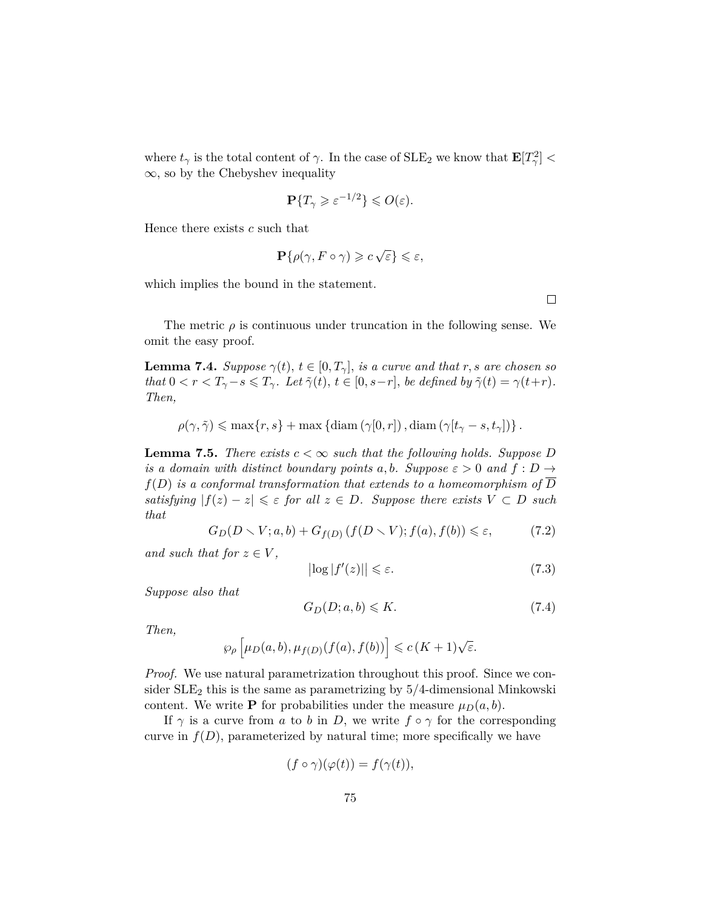where  $t_{\gamma}$  is the total content of  $\gamma$ . In the case of  $SLE_2$  we know that  $\mathbf{E}[T_{\gamma}^2]$  <  $\infty$ , so by the Chebyshev inequality

$$
\mathbf{P}\{T_{\gamma}\geqslant \varepsilon^{-1/2}\}\leqslant O(\varepsilon).
$$

Hence there exists *c* such that

$$
\mathbf{P}\{\rho(\gamma, F \circ \gamma) \geqslant c\sqrt{\varepsilon}\} \leqslant \varepsilon,
$$

which implies the bound in the statement.

The metric  $\rho$  is continuous under truncation in the following sense. We omit the easy proof.

**Lemma 7.4.** *Suppose*  $\gamma(t)$ *,*  $t \in [0, T_{\gamma}]$ *, is a curve and that r, s are chosen so that*  $0 < r < T_{\gamma} - s \leq T_{\gamma}$ *. Let*  $\tilde{\gamma}(t), t \in [0, s-r]$ *, be defined by*  $\tilde{\gamma}(t) = \gamma(t+r)$ *. Then,*

$$
\rho(\gamma, \tilde{\gamma}) \leq \max\{r, s\} + \max\left\{\mathrm{diam}\left(\gamma[0, r]\right), \mathrm{diam}\left(\gamma[t_{\gamma} - s, t_{\gamma}]\right)\right\}.
$$

<span id="page-74-3"></span>**Lemma 7.5.** *There exists*  $c < \infty$  *such that the following holds. Suppose D is a domain with distinct boundary points a, b.* Suppose  $\varepsilon > 0$  *and*  $f : D \to$ *f*(*D*) *is a conformal transformation that extends to a homeomorphism of D satisfying*  $|f(z) - z| \leq \varepsilon$  *for all*  $z \in D$ *. Suppose there exists*  $V \subset D$  *such that*

<span id="page-74-0"></span>
$$
G_D(D \setminus V; a, b) + G_{f(D)}(f(D \setminus V); f(a), f(b)) \leq \varepsilon,
$$
\n(7.2)

*and such that for*  $z \in V$ ,

<span id="page-74-2"></span>
$$
\left| \log |f'(z)| \right| \leqslant \varepsilon. \tag{7.3}
$$

*Suppose also that*

<span id="page-74-1"></span>
$$
G_D(D; a, b) \le K. \tag{7.4}
$$

*Then,*

$$
\wp_{\rho}\left[\mu_D(a,b), \mu_{f(D)}(f(a),f(b))\right] \leqslant c\left(K+1\right)\sqrt{\varepsilon}.
$$

*Proof.* We use natural parametrization throughout this proof. Since we consider SLE<sup>2</sup> this is the same as parametrizing by 5*/*4-dimensional Minkowski content. We write **P** for probabilities under the measure  $\mu_D(a, b)$ .

If  $\gamma$  is a curve from *a* to *b* in *D*, we write  $f \circ \gamma$  for the corresponding curve in  $f(D)$ , parameterized by natural time; more specifically we have

$$
(f \circ \gamma)(\varphi(t)) = f(\gamma(t)),
$$

 $\Box$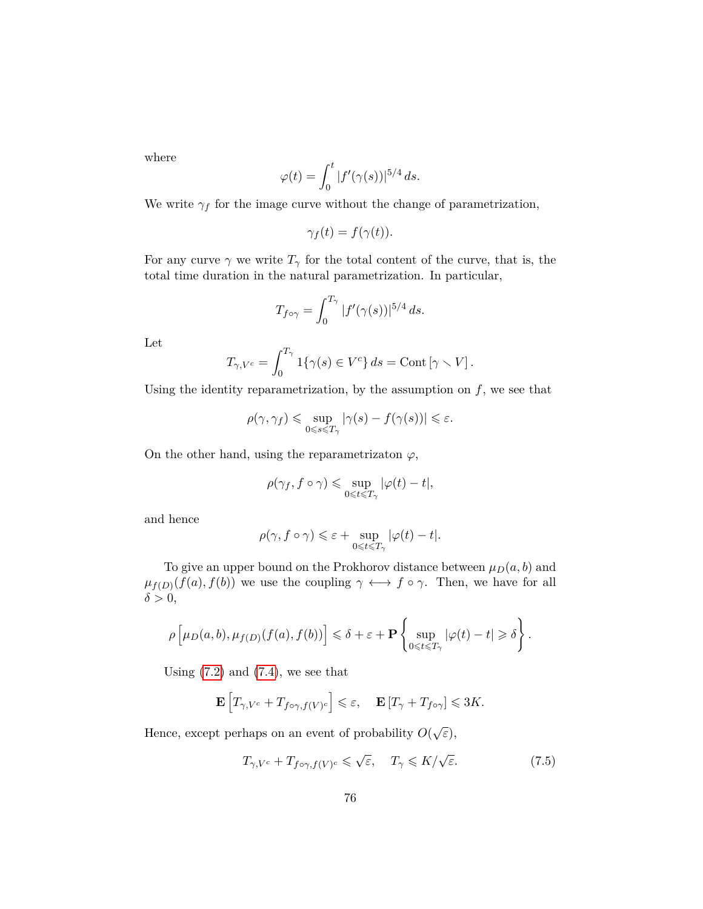where

$$
\varphi(t) = \int_0^t |f'(\gamma(s))|^{5/4} ds.
$$

We write  $\gamma_f$  for the image curve without the change of parametrization,

$$
\gamma_f(t) = f(\gamma(t)).
$$

For any curve  $\gamma$  we write  $T_{\gamma}$  for the total content of the curve, that is, the total time duration in the natural parametrization. In particular,

$$
T_{f\circ\gamma} = \int_0^{T_\gamma} |f'(\gamma(s))|^{5/4} ds.
$$

Let

$$
T_{\gamma,V^c} = \int_0^{T_{\gamma}} 1\{\gamma(s) \in V^c\} ds = \text{Cont} \left[\gamma \setminus V\right].
$$

Using the identity reparametrization, by the assumption on  $f$ , we see that

$$
\rho(\gamma, \gamma_f) \leq \sup_{0 \leq s \leq T_\gamma} |\gamma(s) - f(\gamma(s))| \leq \varepsilon.
$$

On the other hand, using the reparametrizaton  $\varphi$ ,

$$
\rho(\gamma_f, f \circ \gamma) \leqslant \sup_{0 \leqslant t \leqslant T_\gamma} |\varphi(t) - t|,
$$

and hence

$$
\rho(\gamma, f \circ \gamma) \leq \varepsilon + \sup_{0 \leq t \leq T_{\gamma}} |\varphi(t) - t|.
$$

To give an upper bound on the Prokhorov distance between  $\mu_D(a, b)$  and  $\mu_{f(D)}(f(a), f(b))$  we use the coupling  $\gamma \leftrightarrow f \circ \gamma$ . Then, we have for all  $\delta > 0$ ,

$$
\rho\left[\mu_D(a,b),\mu_{f(D)}(f(a),f(b))\right] \leq \delta + \varepsilon + \mathbf{P}\left\{\sup_{0\leqslant t\leqslant T_\gamma}|\varphi(t)-t|\geqslant \delta\right\}.
$$

Using  $(7.2)$  and  $(7.4)$ , we see that

$$
\mathbf{E}\left[T_{\gamma,V^{c}}+T_{f\circ\gamma,f(V)^{c}}\right]\leqslant\varepsilon,\quad\mathbf{E}\left[T_{\gamma}+T_{f\circ\gamma}\right]\leqslant3K.
$$

Hence, except perhaps on an event of probability  $O(\sqrt{\varepsilon})$ ,

<span id="page-75-0"></span>
$$
T_{\gamma,V^c} + T_{f \circ \gamma,f(V)^c} \leq \sqrt{\varepsilon}, \quad T_{\gamma} \leq K/\sqrt{\varepsilon}.
$$
 (7.5)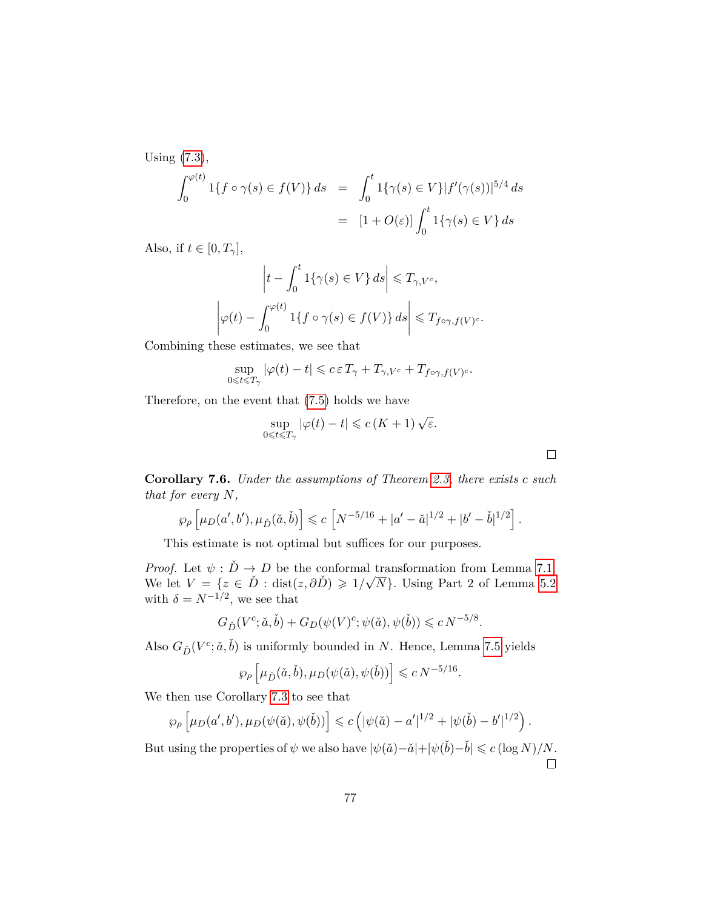Using [\(7.3\)](#page-74-2),

$$
\int_0^{\varphi(t)} 1\{f \circ \gamma(s) \in f(V)\} ds = \int_0^t 1\{\gamma(s) \in V\}|f'(\gamma(s))|^{5/4} ds
$$

$$
= [1 + O(\varepsilon)] \int_0^t 1\{\gamma(s) \in V\} ds
$$

Also, if  $t \in [0, T_\gamma],$ 

$$
\left|t - \int_0^t \mathbf{1}\{\gamma(s) \in V\} ds\right| \leq T_{\gamma, V^c},
$$

$$
\left|\varphi(t) - \int_0^{\varphi(t)} \mathbf{1}\{f \circ \gamma(s) \in f(V)\} ds\right| \leq T_{f \circ \gamma, f(V)^c}.
$$

Combining these estimates, we see that

$$
\sup_{0\leqslant t\leqslant T_{\gamma}}|\varphi(t)-t|\leqslant c\,\varepsilon\,T_{\gamma}+T_{\gamma,V^c}+T_{f\circ\gamma,f(V)^c}.
$$

Therefore, on the event that [\(7.5\)](#page-75-0) holds we have

$$
\sup_{0\leqslant t\leqslant T_\gamma}|\varphi(t)-t|\leqslant c\left(K+1\right)\sqrt{\varepsilon}.
$$

 $\Box$ 

**Corollary 7.6.** *Under the assumptions of Theorem [2.3,](#page-16-0) there exists c such that for every N,*

$$
\wp_{\rho}\left[\mu_D(a',b'), \mu_{\check{D}}(\check{a},\check{b})\right] \leqslant c \left[N^{-5/16}+|a'-\check{a}|^{1/2}+|b'-\check{b}|^{1/2}\right].
$$

This estimate is not optimal but suffices for our purposes.

*Proof.* Let  $\psi : \check{D} \to D$  be the conformal transformation from Lemma [7.1.](#page-72-0) *Proof.* Let  $\psi : D \to D$  be the conformal<br>We let  $V = \{z \in \check{D} : \text{dist}(z, \partial \check{D}) \geq 1/\sqrt{\check{N}}\}$ *N*}*.* Using Part 2 of Lemma [5.2](#page-36-0) with  $\delta = N^{-1/2}$ , we see that

$$
G_{\check{D}}(V^c; \check{a}, \check{b}) + G_D(\psi(V)^c; \psi(\check{a}), \psi(\check{b})) \leqslant c N^{-5/8}.
$$

Also  $G_{\check{D}}(V^c; \check{a}, \check{b})$  is uniformly bounded in  $N$ . Hence, Lemma [7.5](#page-74-3) yields

$$
\wp_\rho\left[\mu_{\check D}(\check a, \check b), \mu_D(\psi(\check a), \psi(\check b))\right] \leqslant c\,N^{-5/16}.
$$

We then use Corollary [7.3](#page-73-1) to see that

$$
\wp_{\rho}\left[\mu_D(a',b'),\mu_D(\psi(\check{a}),\psi(\check{b}))\right] \leqslant c\left(|\psi(\check{a})-a'|^{1/2}+|\psi(\check{b})-b'|^{1/2}\right).
$$

But using the properties of  $\psi$  we also have  $|\psi(\check{a})-\check{a}|+|\psi(\check{b})-\check{b}| \leqslant c \left(\log N\right)/N$ .  $\Box$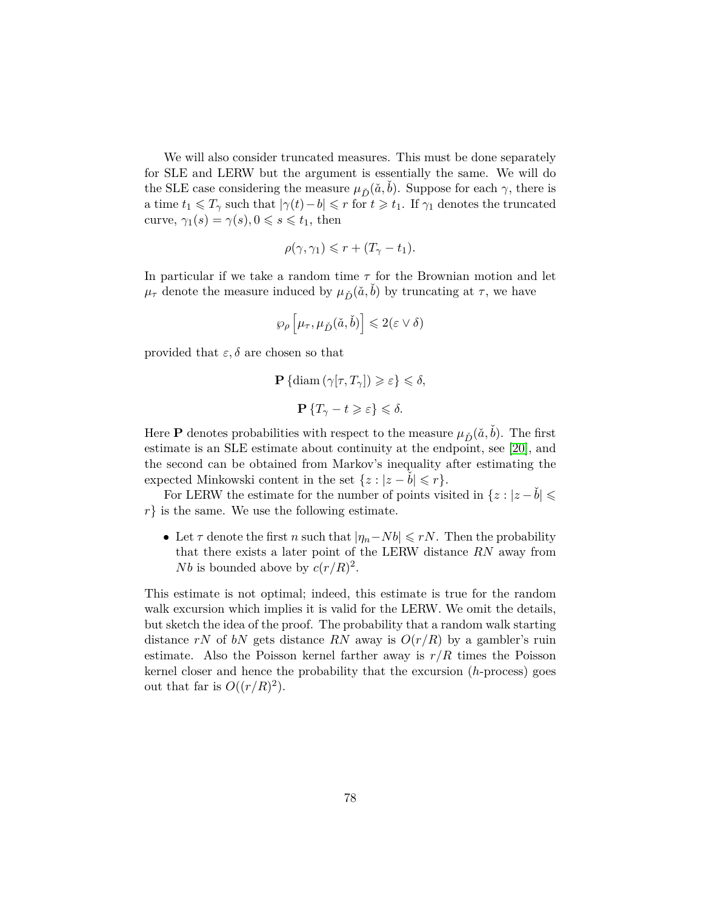We will also consider truncated measures. This must be done separately for SLE and LERW but the argument is essentially the same. We will do the SLE case considering the measure  $\mu_{\tilde{D}}(\tilde{a}, \tilde{b})$ . Suppose for each  $\gamma$ , there is a time  $t_1 \leq T_\gamma$  such that  $|\gamma(t) - b| \leq r$  for  $t \geq t_1$ . If  $\gamma_1$  denotes the truncated curve,  $\gamma_1(s) = \gamma(s), 0 \leq s \leq t_1$ , then

$$
\rho(\gamma, \gamma_1) \leqslant r + (T_\gamma - t_1).
$$

In particular if we take a random time *τ* for the Brownian motion and let  $\mu_{\tau}$  denote the measure induced by  $\mu_{\v{D}}(\v{a},\v{b})$  by truncating at  $\tau$ , we have

$$
\wp_{\rho}\left[\mu_{\tau}, \mu_{\check{D}}(\check{a},\check{b})\right] \leqslant 2(\varepsilon \vee \delta)
$$

provided that  $\varepsilon, \delta$  are chosen so that

$$
\mathbf{P}\{\operatorname{diam}\left(\gamma[\tau,T_{\gamma}]\right) \geqslant \varepsilon\} \leqslant \delta,
$$
  

$$
\mathbf{P}\left\{T_{\gamma}-t\geqslant \varepsilon\right\} \leqslant \delta.
$$

Here **P** denotes probabilities with respect to the measure  $\mu_{\tilde{D}}(\tilde{a}, b)$ . The first estimate is an SLE estimate about continuity at the endpoint, see [\[20\]](#page-80-0), and the second can be obtained from Markov's inequality after estimating the expected Minkowski content in the set  $\{z : |z - b| \leq r\}.$ 

For LERW the estimate for the number of points visited in  $\{z : |z - \dot{b}| \leq$ *r*} is the same. We use the following estimate.

• Let  $\tau$  denote the first  $n$  such that  $|\eta_n - Nb| \leq rN$ . Then the probability that there exists a later point of the LERW distance *RN* away from *Nb* is bounded above by  $c(r/R)^2$ .

This estimate is not optimal; indeed, this estimate is true for the random walk excursion which implies it is valid for the LERW. We omit the details, but sketch the idea of the proof. The probability that a random walk starting distance *rN* of *bN* gets distance *RN* away is  $O(r/R)$  by a gambler's ruin estimate. Also the Poisson kernel farther away is  $r/R$  times the Poisson kernel closer and hence the probability that the excursion (*h*-process) goes out that far is  $O((r/R)^2)$ .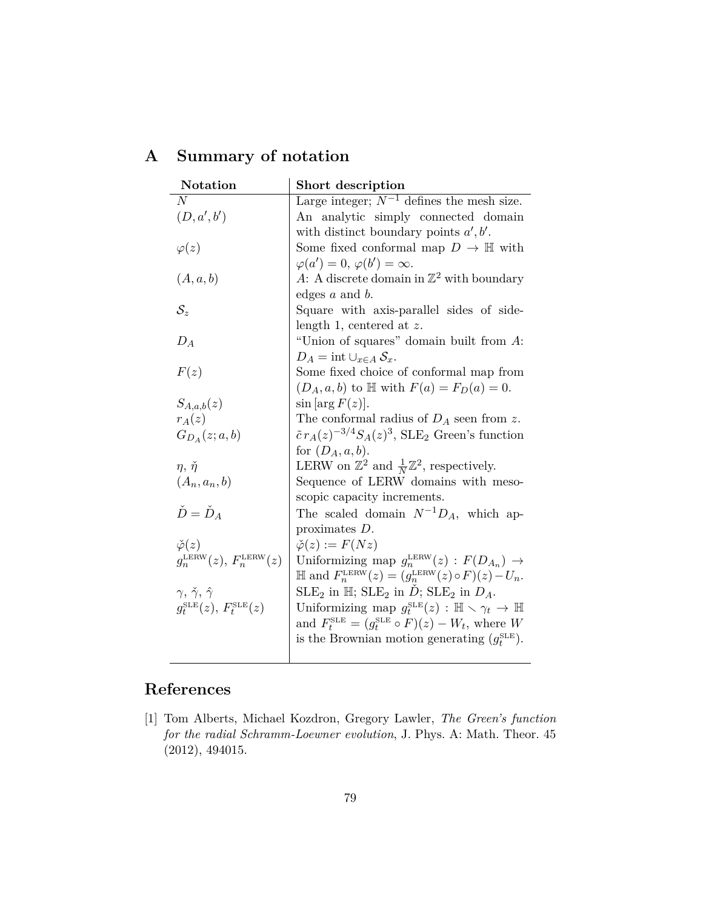| Notation                                        | Short description                                                                     |
|-------------------------------------------------|---------------------------------------------------------------------------------------|
| $\overline{N}$                                  | Large integer; $N^{-1}$ defines the mesh size.                                        |
| (D, a', b')                                     | An analytic simply connected domain                                                   |
|                                                 | with distinct boundary points $a', b'$ .                                              |
| $\varphi(z)$                                    | Some fixed conformal map $D \to \mathbb{H}$ with                                      |
|                                                 | $\varphi(a') = 0, \varphi(b') = \infty.$                                              |
| (A, a, b)                                       | A: A discrete domain in $\mathbb{Z}^2$ with boundary                                  |
|                                                 | edges $a$ and $b$ .                                                                   |
| $\mathcal{S}_z$                                 | Square with axis-parallel sides of side-                                              |
|                                                 | length 1, centered at $z$ .                                                           |
| $D_A$                                           | "Union of squares" domain built from $A$ :                                            |
|                                                 | $D_A = \text{int} \cup_{x \in A} S_x.$                                                |
| F(z)                                            | Some fixed choice of conformal map from                                               |
|                                                 | $(D_A, a, b)$ to $\mathbb{H}$ with $F(a) = F_D(a) = 0$ .                              |
| $S_{A,a,b}(z)$                                  | $\sin \left[ \arg F(z) \right].$                                                      |
| $r_A(z)$                                        | The conformal radius of $D_A$ seen from z.                                            |
| $G_{D_A}(z;a,b)$                                | $\tilde{c}r_A(z)^{-3/4}S_A(z)^3$ , SLE <sub>2</sub> Green's function                  |
|                                                 | for $(D_A, a, b)$ .                                                                   |
| $\eta, \check{\eta}$                            | LERW on $\mathbb{Z}^2$ and $\frac{1}{N}\mathbb{Z}^2$ , respectively.                  |
| $(A_n, a_n, b)$                                 | Sequence of LERW domains with meso-                                                   |
|                                                 | scopic capacity increments.                                                           |
| $\check{D} = \check{D}_4$                       | The scaled domain $N^{-1}D_A$ , which ap-                                             |
|                                                 | proximates $D$ .                                                                      |
| $\check{\varphi}(z)$                            | $\check{\varphi}(z) := F(Nz)$                                                         |
| $g_n^{\text{LERW}}(z)$ , $F_n^{\text{LERW}}(z)$ | Uniformizing map $g_n^{\text{LERW}}(z) : F(D_{A_n}) \rightarrow$                      |
|                                                 | $\mathbb{H}$ and $F_n^{\text{LERW}}(z) = (g_n^{\text{LERW}}(z) \circ F)(z) - U_n.$    |
| $\gamma, \check{\gamma}, \hat{\gamma}$          | $SLE_2$ in $\mathbb{H}$ ; $SLE_2$ in $\dot{D}$ ; $SLE_2$ in $D_A$ .                   |
| $g_t^{\text{SLE}}(z)$ , $F_t^{\text{SLE}}(z)$   | Uniformizing map $g_t^{\text{SLE}}(z) : \mathbb{H} \setminus \gamma_t \to \mathbb{H}$ |
|                                                 | and $F_t^{\text{SLE}} = (g_t^{\text{SLE}} \circ F)(z) - W_t$ , where W                |
|                                                 | is the Brownian motion generating $(g_t^{\text{SLE}})$ .                              |
|                                                 |                                                                                       |

## **A Summary of notation**

## **References**

[1] Tom Alberts, Michael Kozdron, Gregory Lawler, *The Green's function for the radial Schramm-Loewner evolution*, J. Phys. A: Math. Theor. 45 (2012), 494015.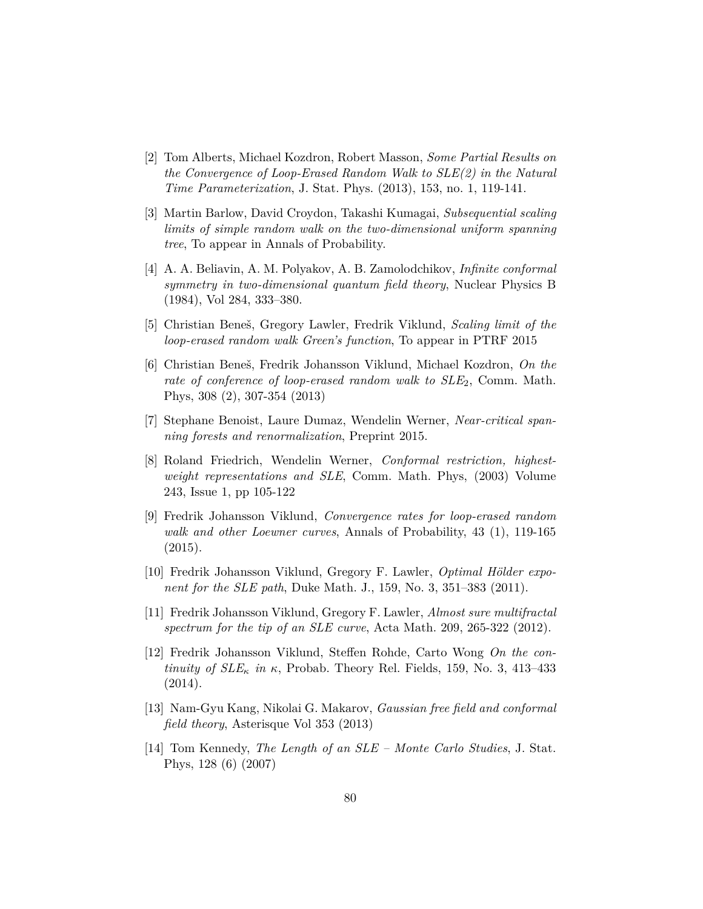- [2] Tom Alberts, Michael Kozdron, Robert Masson, *Some Partial Results on the Convergence of Loop-Erased Random Walk to SLE(2) in the Natural Time Parameterization*, J. Stat. Phys. (2013), 153, no. 1, 119-141.
- [3] Martin Barlow, David Croydon, Takashi Kumagai, *Subsequential scaling limits of simple random walk on the two-dimensional uniform spanning tree*, To appear in Annals of Probability.
- [4] A. A. Beliavin, A. M. Polyakov, A. B. Zamolodchikov, *Infinite conformal symmetry in two-dimensional quantum field theory*, Nuclear Physics B (1984), Vol 284, 333–380.
- [5] Christian Beneš, Gregory Lawler, Fredrik Viklund, *Scaling limit of the loop-erased random walk Green's function*, To appear in PTRF 2015
- [6] Christian Beneš, Fredrik Johansson Viklund, Michael Kozdron, *On the* rate of conference of loop-erased random walk to  $SLE<sub>2</sub>$ , Comm. Math. Phys, 308 (2), 307-354 (2013)
- [7] Stephane Benoist, Laure Dumaz, Wendelin Werner, *Near-critical spanning forests and renormalization*, Preprint 2015.
- [8] Roland Friedrich, Wendelin Werner, *Conformal restriction, highestweight representations and SLE*, Comm. Math. Phys, (2003) Volume 243, Issue 1, pp 105-122
- [9] Fredrik Johansson Viklund, *Convergence rates for loop-erased random walk and other Loewner curves*, Annals of Probability, 43 (1), 119-165  $(2015).$
- [10] Fredrik Johansson Viklund, Gregory F. Lawler, *Optimal Hölder exponent for the SLE path*, Duke Math. J., 159, No. 3, 351–383 (2011).
- [11] Fredrik Johansson Viklund, Gregory F. Lawler, *Almost sure multifractal spectrum for the tip of an SLE curve*, Acta Math. 209, 265-322 (2012).
- [12] Fredrik Johansson Viklund, Steffen Rohde, Carto Wong *On the continuity of*  $SLE_{\kappa}$  *in*  $\kappa$ , Probab. Theory Rel. Fields, 159, No. 3, 413–433  $(2014).$
- [13] Nam-Gyu Kang, Nikolai G. Makarov, *Gaussian free field and conformal field theory*, Asterisque Vol 353 (2013)
- [14] Tom Kennedy, *The Length of an SLE Monte Carlo Studies*, J. Stat. Phys, 128 (6) (2007)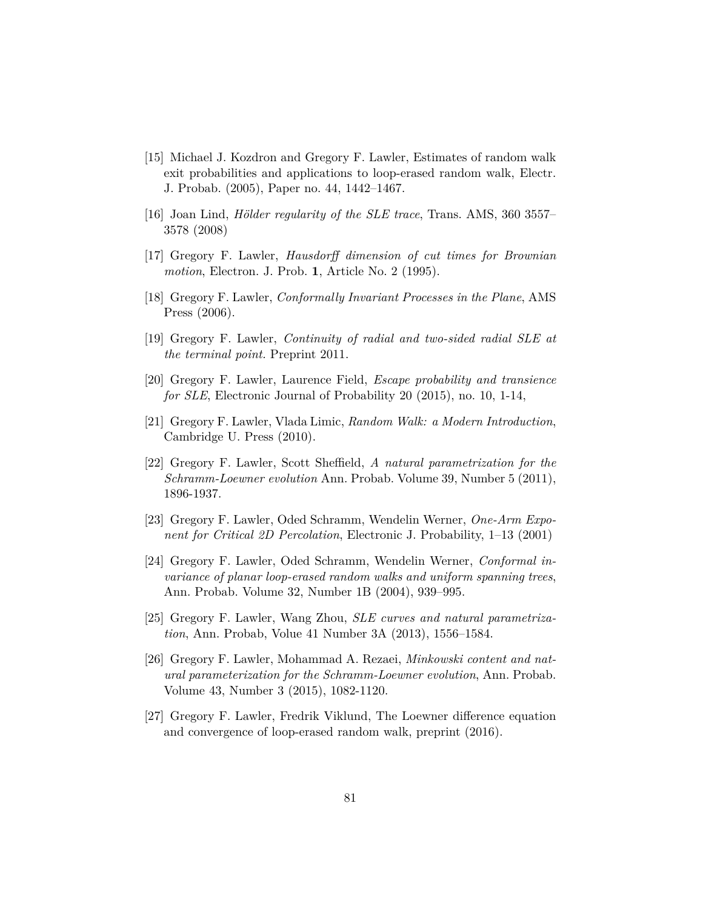- [15] Michael J. Kozdron and Gregory F. Lawler, Estimates of random walk exit probabilities and applications to loop-erased random walk, Electr. J. Probab. (2005), Paper no. 44, 1442–1467.
- [16] Joan Lind, *Hölder regularity of the SLE trace*, Trans. AMS, 360 3557– 3578 (2008)
- [17] Gregory F. Lawler, *Hausdorff dimension of cut times for Brownian motion*, Electron. J. Prob. **1**, Article No. 2 (1995).
- [18] Gregory F. Lawler, *Conformally Invariant Processes in the Plane*, AMS Press (2006).
- [19] Gregory F. Lawler, *Continuity of radial and two-sided radial SLE at the terminal point.* Preprint 2011.
- <span id="page-80-0"></span>[20] Gregory F. Lawler, Laurence Field, *Escape probability and transience for SLE*, Electronic Journal of Probability 20 (2015), no. 10, 1-14,
- [21] Gregory F. Lawler, Vlada Limic, *Random Walk: a Modern Introduction*, Cambridge U. Press (2010).
- [22] Gregory F. Lawler, Scott Sheffield, *A natural parametrization for the Schramm-Loewner evolution* Ann. Probab. Volume 39, Number 5 (2011), 1896-1937.
- [23] Gregory F. Lawler, Oded Schramm, Wendelin Werner, *One-Arm Exponent for Critical 2D Percolation*, Electronic J. Probability, 1–13 (2001)
- [24] Gregory F. Lawler, Oded Schramm, Wendelin Werner, *Conformal invariance of planar loop-erased random walks and uniform spanning trees*, Ann. Probab. Volume 32, Number 1B (2004), 939–995.
- [25] Gregory F. Lawler, Wang Zhou, *SLE curves and natural parametrization*, Ann. Probab, Volue 41 Number 3A (2013), 1556–1584.
- [26] Gregory F. Lawler, Mohammad A. Rezaei, *Minkowski content and natural parameterization for the Schramm-Loewner evolution*, Ann. Probab. Volume 43, Number 3 (2015), 1082-1120.
- [27] Gregory F. Lawler, Fredrik Viklund, The Loewner difference equation and convergence of loop-erased random walk, preprint (2016).